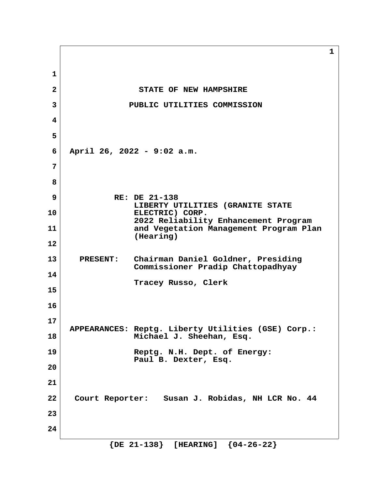**1 2** STATE OF NEW HAMPSHIRE  **3 PUBLIC UTILITIES COMMISSION 4 5 6 April 26, 2022 - 9:02 a.m. 7 8 9 RE: DE 21-138 LIBERTY UTILITIES (GRANITE STATE 10 ELECTRIC) CORP. 2022 Reliability Enhancement Program 11 and Vegetation Management Program Plan (Hearing) 12 13 PRESENT: Chairman Daniel Goldner, Presiding Commissioner Pradip Chattopadhyay 14 Tracey Russo, Clerk 15 16 17 APPEARANCES: Reptg. Liberty Utilities (GSE) Corp.: 18 Michael J. Sheehan, Esq. 19 Reptg. N.H. Dept. of Energy: Paul B. Dexter, Esq. 20 21 22 Court Reporter: Susan J. Robidas, NH LCR No. 44 23 24**

 **{DE 21-138} [HEARING] {04-26-22}**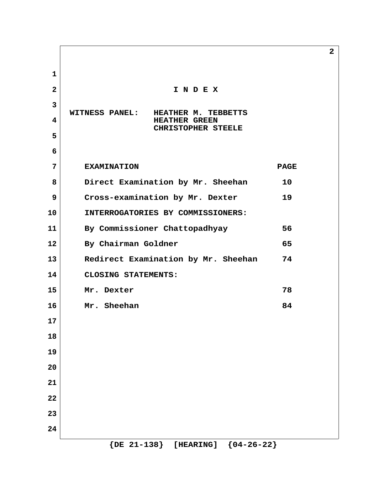| $\mathbf 1$    |                                                                                                   |             |
|----------------|---------------------------------------------------------------------------------------------------|-------------|
| $\overline{2}$ | INDEX                                                                                             |             |
| 3              |                                                                                                   |             |
| 4              | <b>WITNESS PANEL:</b><br>HEATHER M. TEBBETTS<br><b>HEATHER GREEN</b><br><b>CHRISTOPHER STEELE</b> |             |
| 5              |                                                                                                   |             |
| 6              |                                                                                                   |             |
| 7              | <b>EXAMINATION</b>                                                                                | <b>PAGE</b> |
| 8              | Direct Examination by Mr. Sheehan                                                                 | 10          |
| 9              | Cross-examination by Mr. Dexter                                                                   | 19          |
| 10             | INTERROGATORIES BY COMMISSIONERS:                                                                 |             |
| 11             | By Commissioner Chattopadhyay                                                                     | 56          |
| 12             | By Chairman Goldner                                                                               | 65          |
| 13             | Redirect Examination by Mr. Sheehan                                                               | 74          |
| 14             | CLOSING STATEMENTS:                                                                               |             |
| 15             | Mr. Dexter                                                                                        | 78          |
| 16             | Mr. Sheehan                                                                                       | 84          |
| 17             |                                                                                                   |             |
| 18             |                                                                                                   |             |
| 19             |                                                                                                   |             |
| 20             |                                                                                                   |             |
| 21             |                                                                                                   |             |
| 22             |                                                                                                   |             |
| 23             |                                                                                                   |             |
| 24             | $\{$ DE 21-138 $\}$<br>[HEARING] ${04-26-22}$                                                     |             |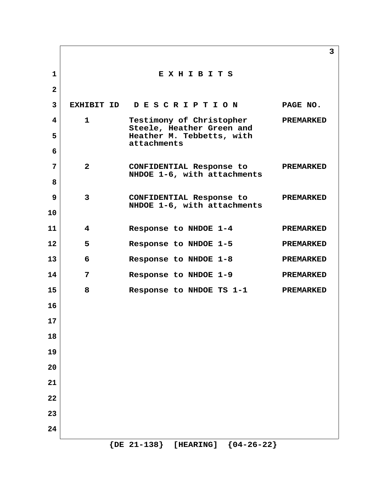|                |                           | 3                                                                                                                                |
|----------------|---------------------------|----------------------------------------------------------------------------------------------------------------------------------|
|                | EXHIBITS                  |                                                                                                                                  |
|                |                           |                                                                                                                                  |
|                |                           | PAGE NO.                                                                                                                         |
| $\mathbf{1}$   | Testimony of Christopher  | <b>PREMARKED</b>                                                                                                                 |
|                | Heather M. Tebbetts, with |                                                                                                                                  |
|                |                           |                                                                                                                                  |
| $2^{\circ}$    | CONFIDENTIAL Response to  | <b>PREMARKED</b>                                                                                                                 |
|                |                           |                                                                                                                                  |
| $\mathbf{3}$   | CONFIDENTIAL Response to  | <b>PREMARKED</b>                                                                                                                 |
|                |                           |                                                                                                                                  |
| 4              | Response to NHDOE 1-4     | <b>PREMARKED</b>                                                                                                                 |
| 5              | Response to NHDOE 1-5     | <b>PREMARKED</b>                                                                                                                 |
| 6              | Response to NHDOE 1-8     | <b>PREMARKED</b>                                                                                                                 |
| $\overline{7}$ | Response to NHDOE 1-9     | <b>PREMARKED</b>                                                                                                                 |
| 8              | Response to NHDOE TS 1-1  | <b>PREMARKED</b>                                                                                                                 |
|                |                           |                                                                                                                                  |
|                |                           |                                                                                                                                  |
|                |                           |                                                                                                                                  |
|                |                           |                                                                                                                                  |
|                |                           |                                                                                                                                  |
|                |                           |                                                                                                                                  |
|                |                           |                                                                                                                                  |
|                |                           |                                                                                                                                  |
|                |                           |                                                                                                                                  |
|                |                           | EXHIBIT ID DESCRIPTION<br>Steele, Heather Green and<br>attachments<br>NHDOE 1-6, with attachments<br>NHDOE 1-6, with attachments |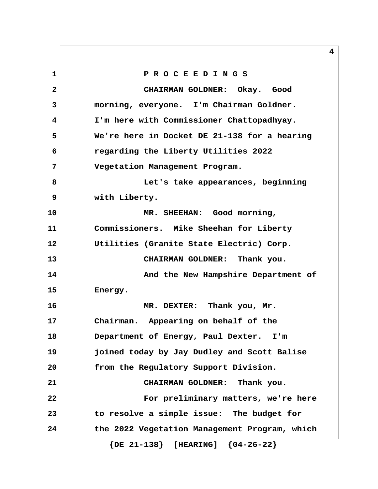**1 P R O C E E D I N G S 2 CHAIRMAN GOLDNER: Okay. Good 3 morning, everyone. I'm Chairman Goldner. 4 I'm here with Commissioner Chattopadhyay. 5 We're here in Docket DE 21-138 for a hearing 6 regarding the Liberty Utilities 2022 7 Vegetation Management Program. 8 Let's take appearances, beginning 9 with Liberty. 10 MR. SHEEHAN: Good morning, 11 Commissioners. Mike Sheehan for Liberty 12 Utilities (Granite State Electric) Corp. 13 CHAIRMAN GOLDNER: Thank you. 14 And the New Hampshire Department of 15 Energy. 16 MR. DEXTER: Thank you, Mr. 17 Chairman. Appearing on behalf of the 18 Department of Energy, Paul Dexter. I'm 19 joined today by Jay Dudley and Scott Balise 20 from the Regulatory Support Division. 21 CHAIRMAN GOLDNER: Thank you. 22 For preliminary matters, we're here 23 to resolve a simple issue: The budget for 24 the 2022 Vegetation Management Program, which**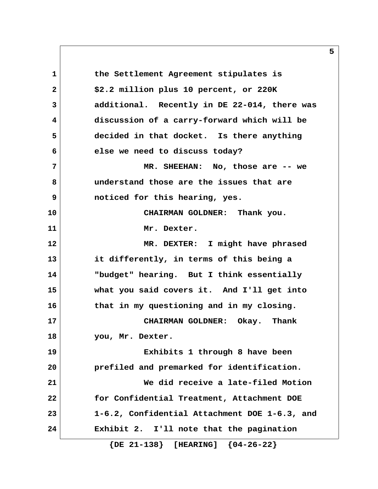**1 the Settlement Agreement stipulates is 2 \$2.2 million plus 10 percent, or 220K 3 additional. Recently in DE 22-014, there was 4 discussion of a carry-forward which will be 5 decided in that docket. Is there anything 6 else we need to discuss today? 7 MR. SHEEHAN: No, those are -- we 8 understand those are the issues that are 9 noticed for this hearing, yes. 10 CHAIRMAN GOLDNER: Thank you. 11 Mr. Dexter. 12 MR. DEXTER: I might have phrased 13 it differently, in terms of this being a 14 "budget" hearing. But I think essentially 15 what you said covers it. And I'll get into 16 that in my questioning and in my closing. 17 CHAIRMAN GOLDNER: Okay. Thank 18 you, Mr. Dexter. 19 Exhibits 1 through 8 have been 20 prefiled and premarked for identification. 21 We did receive a late-filed Motion 22 for Confidential Treatment, Attachment DOE 23 1-6.2, Confidential Attachment DOE 1-6.3, and 24 Exhibit 2. I'll note that the pagination**

 **{DE 21-138} [HEARING] {04-26-22}**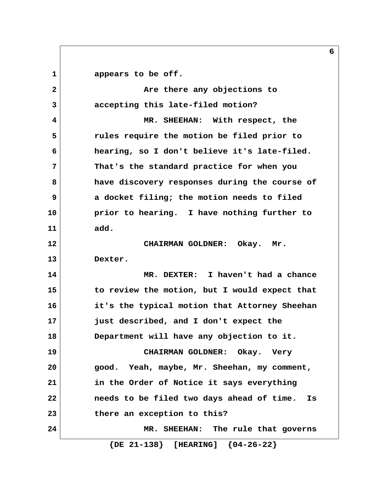1 appears to be off. **2 1 2 1 Are there any objections to 3 accepting this late-filed motion? 4 MR. SHEEHAN: With respect, the 5 rules require the motion be filed prior to 6 hearing, so I don't believe it's late-filed. 7 That's the standard practice for when you 8 have discovery responses during the course of 9 a docket filing; the motion needs to filed 10 prior to hearing. I have nothing further to 11 add. 12 CHAIRMAN GOLDNER: Okay. Mr. 13 Dexter. 14 MR. DEXTER: I haven't had a chance 15 to review the motion, but I would expect that 16 it's the typical motion that Attorney Sheehan 17 just described, and I don't expect the 18 Department will have any objection to it. 19 CHAIRMAN GOLDNER: Okay. Very 20 good. Yeah, maybe, Mr. Sheehan, my comment, 21 in the Order of Notice it says everything 22 needs to be filed two days ahead of time. Is 23 there an exception to this? 24 MR. SHEEHAN: The rule that governs {DE 21-138} [HEARING] {04-26-22}**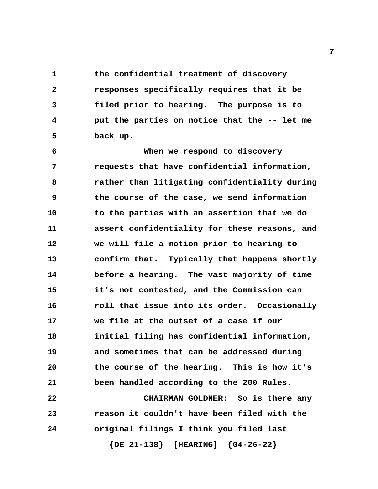**1 the confidential treatment of discovery 2 responses specifically requires that it be 3 filed prior to hearing. The purpose is to 4 put the parties on notice that the -- let me 5 back up.**

 **6 When we respond to discovery 7 requests that have confidential information, 8 rather than litigating confidentiality during 9 the course of the case, we send information 10 to the parties with an assertion that we do 11 assert confidentiality for these reasons, and 12 we will file a motion prior to hearing to 13 confirm that. Typically that happens shortly 14 before a hearing. The vast majority of time 15 it's not contested, and the Commission can 16 roll that issue into its order. Occasionally 17 we file at the outset of a case if our 18 initial filing has confidential information, 19 and sometimes that can be addressed during 20 the course of the hearing. This is how it's 21 been handled according to the 200 Rules. 22 CHAIRMAN GOLDNER: So is there any 23 reason it couldn't have been filed with the 24 original filings I think you filed last**

 **{DE 21-138} [HEARING] {04-26-22}**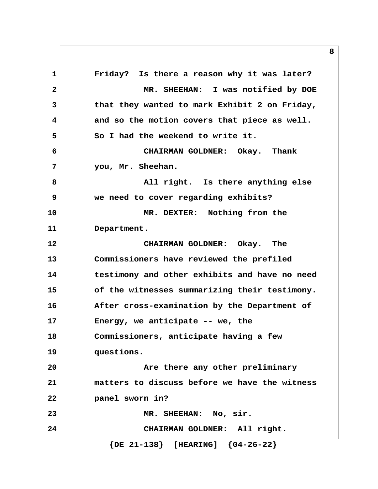**1 Friday? Is there a reason why it was later? 2 MR. SHEEHAN: I was notified by DOE 3 that they wanted to mark Exhibit 2 on Friday, 4 and so the motion covers that piece as well.** 5 So I had the weekend to write it.  **6 CHAIRMAN GOLDNER: Okay. Thank 7 you, Mr. Sheehan. 8 All right.** Is there anything else  **9 we need to cover regarding exhibits? 10 MR. DEXTER: Nothing from the 11 Department. 12 CHAIRMAN GOLDNER: Okay. The 13 Commissioners have reviewed the prefiled 14 testimony and other exhibits and have no need 15 of the witnesses summarizing their testimony. 16 After cross-examination by the Department of 17 Energy, we anticipate -- we, the 18 Commissioners, anticipate having a few 19 questions. 20 Are there any other preliminary 21 matters to discuss before we have the witness 22 panel sworn in? 23 MR. SHEEHAN: No, sir. 24 CHAIRMAN GOLDNER: All right. {DE 21-138} [HEARING] {04-26-22}**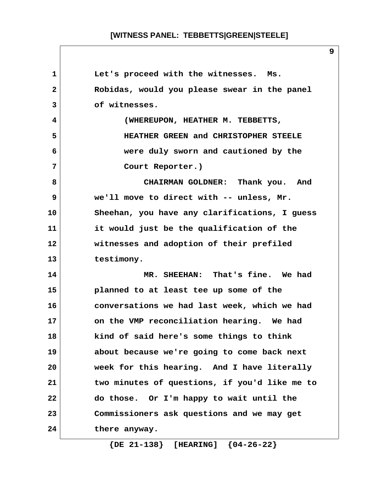| 1            | Let's proceed with the witnesses. Ms.         |
|--------------|-----------------------------------------------|
| $\mathbf{2}$ | Robidas, would you please swear in the panel  |
| 3            | of witnesses.                                 |
| 4            | (WHEREUPON, HEATHER M. TEBBETTS,              |
| 5            | HEATHER GREEN and CHRISTOPHER STEELE          |
| 6            | were duly sworn and cautioned by the          |
| 7            | Court Reporter.)                              |
| 8            | CHAIRMAN GOLDNER: Thank you. And              |
| 9            | we'll move to direct with -- unless, Mr.      |
| 10           | Sheehan, you have any clarifications, I guess |
| 11           | it would just be the qualification of the     |
| 12           | witnesses and adoption of their prefiled      |
| 13           | testimony.                                    |
| 14           | MR. SHEEHAN: That's fine. We had              |
| 15           | planned to at least tee up some of the        |
| 16           | conversations we had last week, which we had  |
| 17           | on the VMP reconciliation hearing. We had     |
| 18           | kind of said here's some things to think      |
| 19           | about because we're going to come back next   |
| 20           | week for this hearing. And I have literally   |
| 21           | two minutes of questions, if you'd like me to |
| 22           | do those. Or I'm happy to wait until the      |
| 23           | Commissioners ask questions and we may get    |
| 24           | there anyway.                                 |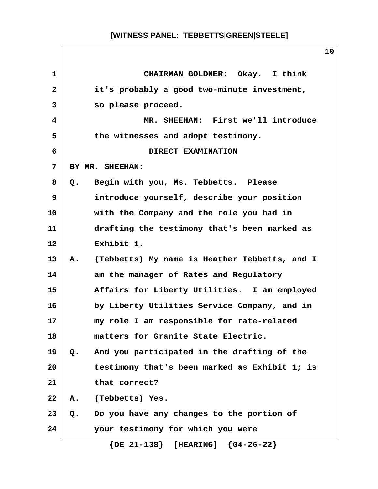| $\mathbf{1}$   | CHAIRMAN GOLDNER: Okay. I think                     |
|----------------|-----------------------------------------------------|
| $\overline{a}$ | it's probably a good two-minute investment,         |
| 3              | so please proceed.                                  |
| 4              | MR. SHEEHAN: First we'll introduce                  |
| 5              | the witnesses and adopt testimony.                  |
| 6              | DIRECT EXAMINATION                                  |
| 7              | BY MR. SHEEHAN:                                     |
| 8              | Begin with you, Ms. Tebbetts. Please<br>Q.          |
| 9              | introduce yourself, describe your position          |
| 10             | with the Company and the role you had in            |
| 11             | drafting the testimony that's been marked as        |
| 12             | Exhibit 1.                                          |
| 13             | (Tebbetts) My name is Heather Tebbetts, and I<br>Α. |
| 14             | am the manager of Rates and Regulatory              |
| 15             | Affairs for Liberty Utilities. I am employed        |
| 16             | by Liberty Utilities Service Company, and in        |
| 17             | my role I am responsible for rate-related           |
| 18             | matters for Granite State Electric.                 |
| 19             | And you participated in the drafting of the<br>Q.   |
| 20             | testimony that's been marked as Exhibit 1; is       |
| 21             | that correct?                                       |
| 22             | (Tebbetts) Yes.<br>Α.                               |
| 23             | Do you have any changes to the portion of<br>Q.     |
| 24             | your testimony for which you were                   |
|                | $\{DE 21-138\}$ [HEARING] $\{04-26-22\}$            |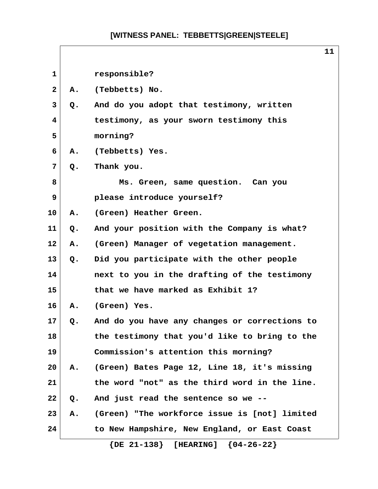|              |    |                                               | 11 |
|--------------|----|-----------------------------------------------|----|
| $\mathbf{1}$ |    | responsible?                                  |    |
| $\mathbf{2}$ | Α. | (Tebbetts) No.                                |    |
| 3            | Q. | And do you adopt that testimony, written      |    |
| 4            |    | testimony, as your sworn testimony this       |    |
| 5            |    | morning?                                      |    |
| 6            | Α. | (Tebbetts) Yes.                               |    |
| 7            | Q. | Thank you.                                    |    |
| 8            |    | Ms. Green, same question. Can you             |    |
| 9            |    | please introduce yourself?                    |    |
| 10           | Α. | (Green) Heather Green.                        |    |
| 11           | Q. | And your position with the Company is what?   |    |
| 12           | Α. | (Green) Manager of vegetation management.     |    |
| 13           | Q. | Did you participate with the other people     |    |
| 14           |    | next to you in the drafting of the testimony  |    |
| 15           |    | that we have marked as Exhibit 1?             |    |
| 16           | Α. | (Green) Yes.                                  |    |
| 17           | Q. | And do you have any changes or corrections to |    |
| 18           |    | the testimony that you'd like to bring to the |    |
| 19           |    | Commission's attention this morning?          |    |
| 20           | Α. | (Green) Bates Page 12, Line 18, it's missing  |    |
| 21           |    | the word "not" as the third word in the line. |    |
| 22           | Q. | And just read the sentence so we --           |    |
| 23           | Α. | (Green) "The workforce issue is [not] limited |    |
| 24           |    | to New Hampshire, New England, or East Coast  |    |
|              |    | $\{DE 21-138\}$ [HEARING] $\{04-26-22\}$      |    |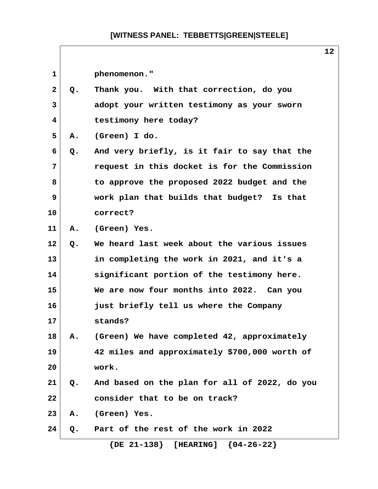$\sqrt{ }$ 

|              |    | ᅩᄼ                                            |  |
|--------------|----|-----------------------------------------------|--|
| 1            |    | phenomenon."                                  |  |
| $\mathbf{2}$ | Q. | Thank you. With that correction, do you       |  |
| 3            |    | adopt your written testimony as your sworn    |  |
| 4            |    | testimony here today?                         |  |
| 5            | Α. | (Green) I do.                                 |  |
| 6            | Q. | And very briefly, is it fair to say that the  |  |
| 7            |    | request in this docket is for the Commission  |  |
| 8            |    | to approve the proposed 2022 budget and the   |  |
| 9            |    | work plan that builds that budget? Is that    |  |
| 10           |    | correct?                                      |  |
| 11           | Α. | (Green) Yes.                                  |  |
| 12           | Q. | We heard last week about the various issues   |  |
| 13           |    | in completing the work in 2021, and it's a    |  |
| 14           |    | significant portion of the testimony here.    |  |
| 15           |    | We are now four months into 2022. Can you     |  |
| 16           |    | just briefly tell us where the Company        |  |
| 17           |    | stands?                                       |  |
| 18           | Α. | (Green) We have completed 42, approximately   |  |
| 19           |    | 42 miles and approximately \$700,000 worth of |  |
| 20           |    | work.                                         |  |
| 21           | Q. | And based on the plan for all of 2022, do you |  |
| 22           |    | consider that to be on track?                 |  |
| 23           | Α. | (Green) Yes.                                  |  |
| 24           | Q. | Part of the rest of the work in 2022          |  |
|              |    | $\{DE 21-138\}$ [HEARING] $\{04-26-22\}$      |  |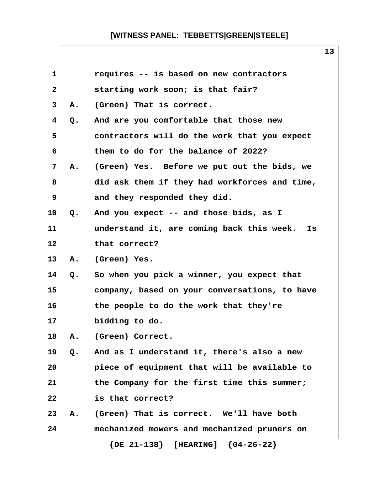| $\mathbf{1}$   |               | requires -- is based on new contractors         |
|----------------|---------------|-------------------------------------------------|
| $\overline{2}$ |               | starting work soon; is that fair?               |
| 3              | Α.            | (Green) That is correct.                        |
| 4              | Q.            | And are you comfortable that those new          |
| 5              |               | contractors will do the work that you expect    |
| 6              |               | them to do for the balance of 2022?             |
| 7              | Α.            | (Green) Yes. Before we put out the bids, we     |
| 8              |               | did ask them if they had workforces and time,   |
| 9              |               | and they responded they did.                    |
| 10             | $Q_{\bullet}$ | And you expect -- and those bids, as I          |
| 11             |               | understand it, are coming back this week.<br>Is |
| 12             |               | that correct?                                   |
| 13             | Α.            | (Green) Yes.                                    |
| 14             | Q.            | So when you pick a winner, you expect that      |
| 15             |               | company, based on your conversations, to have   |
| 16             |               | the people to do the work that they're          |
| 17             |               | bidding to do.                                  |
| 18             | Α.            | (Green) Correct.                                |
| 19             | $Q$ .         | And as I understand it, there's also a new      |
| 20             |               | piece of equipment that will be available to    |
| 21             |               | the Company for the first time this summer;     |
| 22             |               | is that correct?                                |
| 23             | Α.            | (Green) That is correct. We'll have both        |
| 24             |               | mechanized mowers and mechanized pruners on     |
|                |               | $\{DE 21-138\}$ [HEARING] $\{04-26-22\}$        |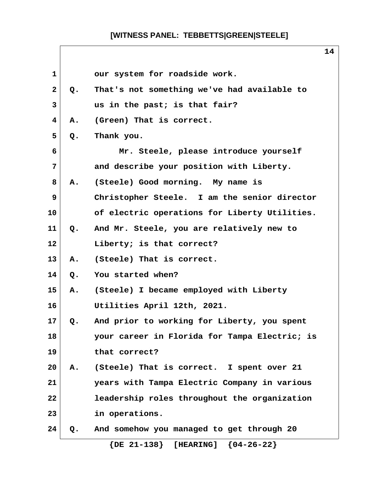| $\mathbf{1}$ |    | our system for roadside work.                 |
|--------------|----|-----------------------------------------------|
| $\mathbf{2}$ | Q. | That's not something we've had available to   |
| 3            |    | us in the past; is that fair?                 |
| 4            | Α. | (Green) That is correct.                      |
| 5            | Q. | Thank you.                                    |
| 6            |    | Mr. Steele, please introduce yourself         |
| 7            |    | and describe your position with Liberty.      |
| 8            | Α. | (Steele) Good morning. My name is             |
| 9            |    | Christopher Steele. I am the senior director  |
| 10           |    | of electric operations for Liberty Utilities. |
| 11           | Q. | And Mr. Steele, you are relatively new to     |
| 12           |    | Liberty; is that correct?                     |
| 13           | Α. | (Steele) That is correct.                     |
| 14           | Q. | You started when?                             |
| 15           | Α. | (Steele) I became employed with Liberty       |
| 16           |    | Utilities April 12th, 2021.                   |
| 17           | Q. | And prior to working for Liberty, you spent   |
| 18           |    | your career in Florida for Tampa Electric; is |
| 19           |    | that correct?                                 |
| 20           | Α. | (Steele) That is correct. I spent over 21     |
| 21           |    | years with Tampa Electric Company in various  |
| 22           |    | leadership roles throughout the organization  |
| 23           |    | in operations.                                |
| 24           | Q. | And somehow you managed to get through 20     |
|              |    | $\{DE 21-138\}$ [HEARING] $\{04-26-22\}$      |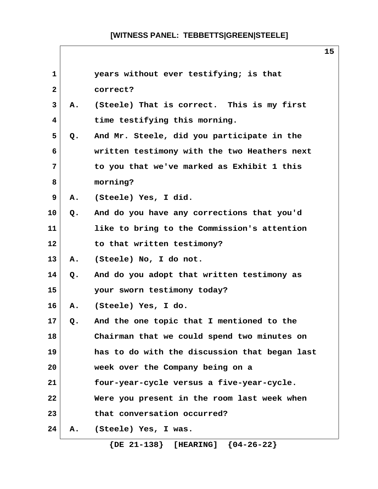| $\mathbf{1}$ |       | years without ever testifying; is that        |
|--------------|-------|-----------------------------------------------|
| $\mathbf{2}$ |       | correct?                                      |
| 3            | Α.    | (Steele) That is correct. This is my first    |
| 4            |       | time testifying this morning.                 |
| 5            | Q.    | And Mr. Steele, did you participate in the    |
| 6            |       | written testimony with the two Heathers next  |
| 7            |       | to you that we've marked as Exhibit 1 this    |
| 8            |       | morning?                                      |
| 9            | Α.    | (Steele) Yes, I did.                          |
| 10           | $Q$ . | And do you have any corrections that you'd    |
| 11           |       | like to bring to the Commission's attention   |
| 12           |       | to that written testimony?                    |
| 13           | Α.    | (Steele) No, I do not.                        |
| 14           | Q.    | And do you adopt that written testimony as    |
| 15           |       | your sworn testimony today?                   |
| 16           | Α.    | (Steele) Yes, I do.                           |
| 17           | Q.    | And the one topic that I mentioned to the     |
| 18           |       | Chairman that we could spend two minutes on   |
| 19           |       | has to do with the discussion that began last |
| 20           |       | week over the Company being on a              |
| 21           |       | four-year-cycle versus a five-year-cycle.     |
| 22           |       | Were you present in the room last week when   |
| 23           |       | that conversation occurred?                   |
| 24           | Α.    | (Steele) Yes, I was.                          |
|              |       | $\{DE 21-138\}$ [HEARING] $\{04-26-22\}$      |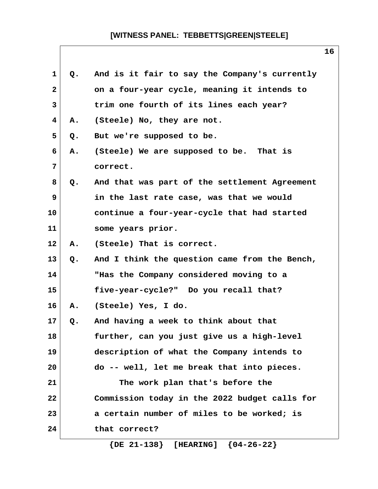| $\mathbf{1}$ | Q. | And is it fair to say the Company's currently |
|--------------|----|-----------------------------------------------|
| $\mathbf{2}$ |    | on a four-year cycle, meaning it intends to   |
| 3            |    | trim one fourth of its lines each year?       |
| 4            | Α. | (Steele) No, they are not.                    |
| 5            | Q. | But we're supposed to be.                     |
| 6            | Α. | (Steele) We are supposed to be. That is       |
| 7            |    | correct.                                      |
| 8            | Q. | And that was part of the settlement Agreement |
| 9            |    | in the last rate case, was that we would      |
| 10           |    | continue a four-year-cycle that had started   |
| 11           |    | some years prior.                             |
| $12 \,$      | Α. | (Steele) That is correct.                     |
| 13           | Q. | And I think the question came from the Bench, |
| 14           |    | "Has the Company considered moving to a       |
| 15           |    | five-year-cycle?" Do you recall that?         |
| 16           | Α. | (Steele) Yes, I do.                           |
| 17           | Q. | And having a week to think about that         |
| 18           |    | further, can you just give us a high-level    |
| 19           |    | description of what the Company intends to    |
| 20           |    | do -- well, let me break that into pieces.    |
| 21           |    | The work plan that's before the               |
| 22           |    | Commission today in the 2022 budget calls for |
| 23           |    | a certain number of miles to be worked; is    |
| 24           |    | that correct?                                 |
|              |    |                                               |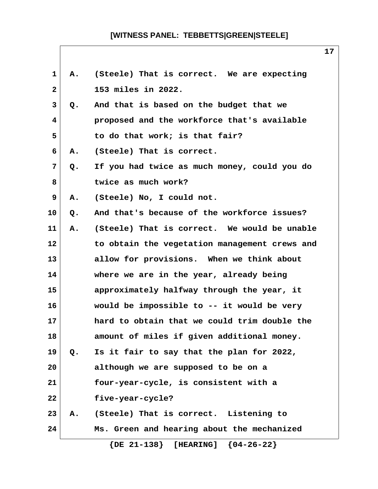| 1            | Α. | (Steele) That is correct. We are expecting    |
|--------------|----|-----------------------------------------------|
| $\mathbf{2}$ |    | 153 miles in 2022.                            |
| 3            | Q. | And that is based on the budget that we       |
| 4            |    | proposed and the workforce that's available   |
| 5            |    | to do that work; is that fair?                |
| 6            | Α. | (Steele) That is correct.                     |
| 7            | Q. | If you had twice as much money, could you do  |
| 8            |    | twice as much work?                           |
| 9            | Α. | (Steele) No, I could not.                     |
| 10           | Q. | And that's because of the workforce issues?   |
| 11           | Α. | (Steele) That is correct. We would be unable  |
| 12           |    | to obtain the vegetation management crews and |
| 13           |    | allow for provisions. When we think about     |
| 14           |    | where we are in the year, already being       |
| 15           |    | approximately halfway through the year, it    |
| 16           |    | would be impossible to -- it would be very    |
| 17           |    | hard to obtain that we could trim double the  |
| 18           |    | amount of miles if given additional money.    |
| 19           | Q. | Is it fair to say that the plan for 2022,     |
| 20           |    | although we are supposed to be on a           |
| 21           |    | four-year-cycle, is consistent with a         |
| 22           |    | five-year-cycle?                              |
| 23           | Α. | (Steele) That is correct. Listening to        |
| 24           |    | Ms. Green and hearing about the mechanized    |
|              |    | $\{DE 21-138\}$ [HEARING] $\{04-26-22\}$      |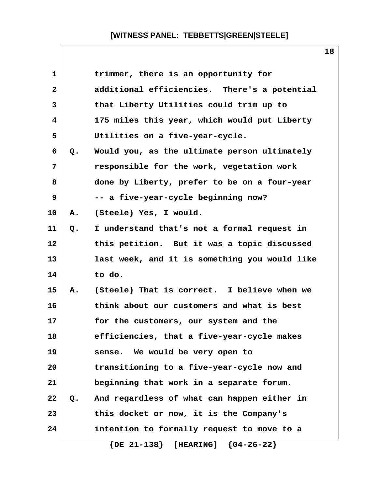| $\mathbf{1}$ |    | trimmer, there is an opportunity for          |
|--------------|----|-----------------------------------------------|
| $\mathbf{2}$ |    | additional efficiencies. There's a potential  |
| 3            |    | that Liberty Utilities could trim up to       |
| 4            |    | 175 miles this year, which would put Liberty  |
| 5            |    | Utilities on a five-year-cycle.               |
| 6            | Q. | Would you, as the ultimate person ultimately  |
| 7            |    | responsible for the work, vegetation work     |
| 8            |    | done by Liberty, prefer to be on a four-year  |
| 9            |    | -- a five-year-cycle beginning now?           |
| 10           | Α. | (Steele) Yes, I would.                        |
| 11           | Q. | I understand that's not a formal request in   |
| 12           |    | this petition. But it was a topic discussed   |
| 13           |    | last week, and it is something you would like |
| 14           |    | to do.                                        |
| 15           | Α. | (Steele) That is correct. I believe when we   |
| 16           |    | think about our customers and what is best    |
| 17           |    | for the customers, our system and the         |
| 18           |    | efficiencies, that a five-year-cycle makes    |
| 19           |    | sense. We would be very open to               |
| 20           |    | transitioning to a five-year-cycle now and    |
| 21           |    | beginning that work in a separate forum.      |
| 22           | Q. | And regardless of what can happen either in   |
| 23           |    | this docket or now, it is the Company's       |
| 24           |    | intention to formally request to move to a    |
|              |    |                                               |

 **{DE 21-138} [HEARING] {04-26-22}**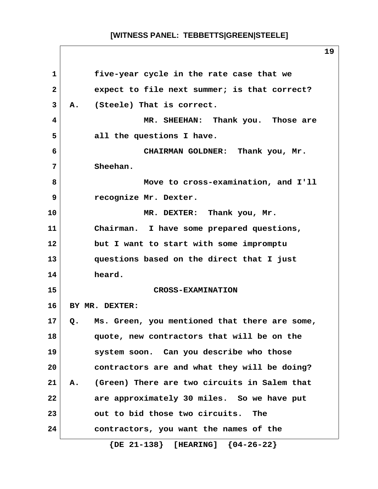| $\mathbf{1}$ | five-year cycle in the rate case that we           |
|--------------|----------------------------------------------------|
| $\mathbf{2}$ | expect to file next summer; is that correct?       |
| 3            | A. (Steele) That is correct.                       |
| 4            | MR. SHEEHAN: Thank you. Those are                  |
| 5            | all the questions I have.                          |
| 6            | CHAIRMAN GOLDNER: Thank you, Mr.                   |
| 7            | Sheehan.                                           |
| 8            | Move to cross-examination, and I'll                |
| 9            | recognize Mr. Dexter.                              |
| 10           | MR. DEXTER: Thank you, Mr.                         |
| 11           | Chairman. I have some prepared questions,          |
| 12           | but I want to start with some impromptu            |
| 13           | questions based on the direct that I just          |
| 14           | heard.                                             |
| 15           | <b>CROSS-EXAMINATION</b>                           |
| 16           | BY MR. DEXTER:                                     |
| 17           | Q. Ms. Green, you mentioned that there are some,   |
| 18           | quote, new contractors that will be on the         |
| 19           | system soon. Can you describe who those            |
| 20           | contractors are and what they will be doing?       |
| 21           | (Green) There are two circuits in Salem that<br>А. |
| 22           | are approximately 30 miles. So we have put         |
| 23           | out to bid those two circuits.<br>The              |
| 24           | contractors, you want the names of the             |
|              | $\{DE 21-138\}$ [HEARING] $\{04-26-22\}$           |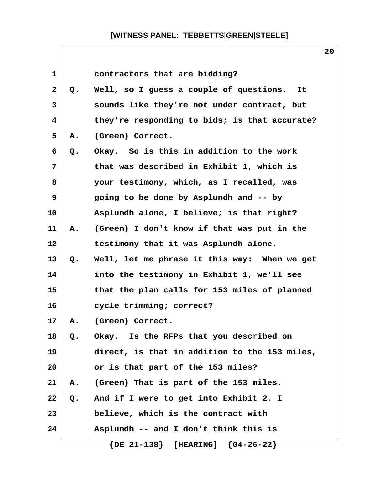| 1            |    | contractors that are bidding?                 |
|--------------|----|-----------------------------------------------|
| $\mathbf{2}$ | Q. | Well, so I guess a couple of questions.<br>It |
| 3            |    | sounds like they're not under contract, but   |
| 4            |    | they're responding to bids; is that accurate? |
| 5            | Α. | (Green) Correct.                              |
| 6            | Q. | Okay. So is this in addition to the work      |
| 7            |    | that was described in Exhibit 1, which is     |
| 8            |    | your testimony, which, as I recalled, was     |
| 9            |    | going to be done by Asplundh and -- by        |
| 10           |    | Asplundh alone, I believe; is that right?     |
| 11           | Α. | (Green) I don't know if that was put in the   |
| 12           |    | testimony that it was Asplundh alone.         |
| 13           | Q. | Well, let me phrase it this way: When we get  |
| 14           |    | into the testimony in Exhibit 1, we'll see    |
| 15           |    | that the plan calls for 153 miles of planned  |
| 16           |    | cycle trimming; correct?                      |
| 17           | Α. | (Green) Correct.                              |
| 18           | Q. | Okay. Is the RFPs that you described on       |
| 19           |    | direct, is that in addition to the 153 miles, |
| 20           |    | or is that part of the 153 miles?             |
| 21           | Α. | (Green) That is part of the 153 miles.        |
| 22           | Q. | And if I were to get into Exhibit 2, I        |
| 23           |    | believe, which is the contract with           |
| 24           |    | Asplundh -- and I don't think this is         |
|              |    | $\{DE 21-138\}$ [HEARING] $\{04-26-22\}$      |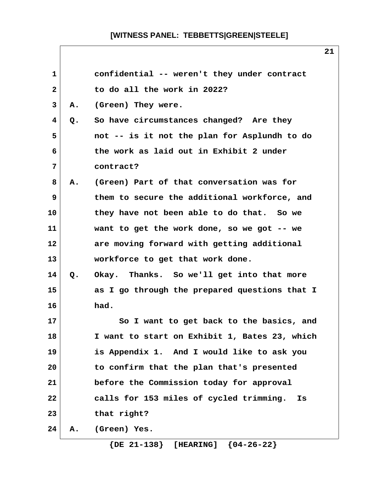| $\mathbf{1}$ |       | confidential -- weren't they under contract   |
|--------------|-------|-----------------------------------------------|
| $\mathbf{2}$ |       | to do all the work in 2022?                   |
| 3            | Α.    | (Green) They were.                            |
| 4            | $Q$ . | So have circumstances changed? Are they       |
| 5            |       | not -- is it not the plan for Asplundh to do  |
| 6            |       | the work as laid out in Exhibit 2 under       |
| 7            |       | contract?                                     |
| 8            | Α.    | (Green) Part of that conversation was for     |
| 9            |       | them to secure the additional workforce, and  |
| 10           |       | they have not been able to do that. So we     |
| 11           |       | want to get the work done, so we got $-$ - we |
| 12           |       | are moving forward with getting additional    |
| 13           |       | workforce to get that work done.              |
| 14           | Q.    | Okay. Thanks. So we'll get into that more     |
| 15           |       | as I go through the prepared questions that I |
| 16           |       | had.                                          |
| 17           |       | So I want to get back to the basics, and      |
| 18           |       | I want to start on Exhibit 1, Bates 23, which |
| 19           |       | is Appendix 1. And I would like to ask you    |
| 20           |       | to confirm that the plan that's presented     |
| 21           |       | before the Commission today for approval      |
| 22           |       | calls for 153 miles of cycled trimming.<br>Is |
| 23           |       | that right?                                   |
| 24           | Α.    | (Green) Yes.                                  |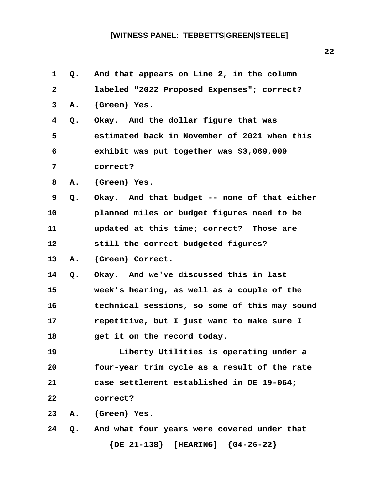| $\mathbf 1$    | Q. | And that appears on Line 2, in the column     |
|----------------|----|-----------------------------------------------|
| $\mathbf{2}$   |    | labeled "2022 Proposed Expenses"; correct?    |
| 3              | Α. | (Green) Yes.                                  |
| 4              | Q. | Okay. And the dollar figure that was          |
| 5              |    | estimated back in November of 2021 when this  |
| 6              |    | exhibit was put together was \$3,069,000      |
| $\overline{7}$ |    | correct?                                      |
| 8              | Α. | (Green) Yes.                                  |
| 9              | Q. | Okay. And that budget -- none of that either  |
| 10             |    | planned miles or budget figures need to be    |
| 11             |    | updated at this time; correct? Those are      |
| 12             |    | still the correct budgeted figures?           |
| 13             | Α. | (Green) Correct.                              |
| 14             | Q. | Okay. And we've discussed this in last        |
| 15             |    | week's hearing, as well as a couple of the    |
| 16             |    | technical sessions, so some of this may sound |
| 17             |    | repetitive, but I just want to make sure I    |
| 18             |    | get it on the record today.                   |
| 19             |    | Liberty Utilities is operating under a        |
| 20             |    | four-year trim cycle as a result of the rate  |
| 21             |    | case settlement established in DE 19-064;     |
| 22             |    | correct?                                      |
| 23             | Α. | (Green) Yes.                                  |
| 24             | Q. | And what four years were covered under that   |
|                |    |                                               |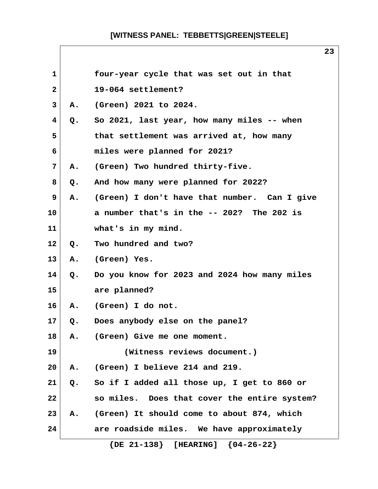| 1            |    | four-year cycle that was set out in that     |
|--------------|----|----------------------------------------------|
| $\mathbf{2}$ |    | 19-064 settlement?                           |
| 3            | Α. | (Green) 2021 to 2024.                        |
| 4            | Q. | So 2021, last year, how many miles -- when   |
| 5            |    | that settlement was arrived at, how many     |
| 6            |    | miles were planned for 2021?                 |
| 7            | Α. | (Green) Two hundred thirty-five.             |
| 8            | Q. | And how many were planned for 2022?          |
| 9            | Α. | (Green) I don't have that number. Can I give |
| 10           |    | a number that's in the -- 202? The 202 is    |
| 11           |    | what's in my mind.                           |
| 12           | Q. | Two hundred and two?                         |
| 13           | Α. | (Green) Yes.                                 |
| 14           | Q. | Do you know for 2023 and 2024 how many miles |
| 15           |    | are planned?                                 |
| 16           | Α. | (Green) I do not.                            |
| 17           | Q. | Does anybody else on the panel?              |
| 18           | Α. | (Green) Give me one moment.                  |
| 19           |    | (Witness reviews document.)                  |
| 20           | Α. | (Green) I believe 214 and 219.               |
| 21           | Q. | So if I added all those up, I get to 860 or  |
| 22           |    | so miles. Does that cover the entire system? |
| 23           | Α. | (Green) It should come to about 874, which   |
| 24           |    | are roadside miles. We have approximately    |
|              |    | $\{DE 21-138\}$ [HEARING]<br>${04-26-22}$    |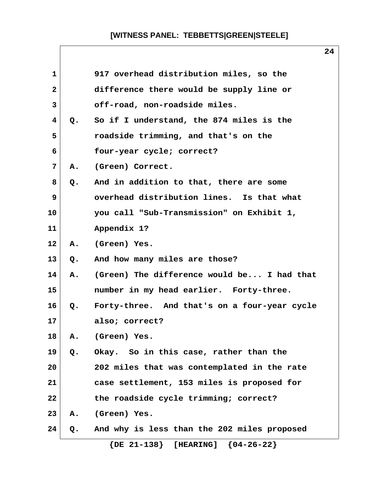| $\mathbf{1}$ |               | 917 overhead distribution miles, so the      |
|--------------|---------------|----------------------------------------------|
| $\mathbf{2}$ |               | difference there would be supply line or     |
| 3            |               | off-road, non-roadside miles.                |
| 4            | $Q_{\bullet}$ | So if I understand, the 874 miles is the     |
| 5            |               | roadside trimming, and that's on the         |
| 6            |               | four-year cycle; correct?                    |
| 7            | Α.            | (Green) Correct.                             |
| 8            | Q.            | And in addition to that, there are some      |
| 9            |               | overhead distribution lines. Is that what    |
| 10           |               | you call "Sub-Transmission" on Exhibit 1,    |
| 11           |               | Appendix 1?                                  |
| 12           | Α.            | (Green) Yes.                                 |
| 13           | Q.            | And how many miles are those?                |
| 14           | Α.            | (Green) The difference would be I had that   |
| 15           |               | number in my head earlier. Forty-three.      |
| 16           | $Q_{\bullet}$ | Forty-three. And that's on a four-year cycle |
| 17           |               | also; correct?                               |
| 18           | Α.            | (Green) Yes.                                 |
| 19           | Q.            | Okay. So in this case, rather than the       |
| 20           |               | 202 miles that was contemplated in the rate  |
| 21           |               | case settlement, 153 miles is proposed for   |
| 22           |               | the roadside cycle trimming; correct?        |
| 23           | Α.            | (Green) Yes.                                 |
| 24           | Q.            | And why is less than the 202 miles proposed  |
|              |               | $\{DE 21-138\}$ [HEARING]<br>${04-26-22}$    |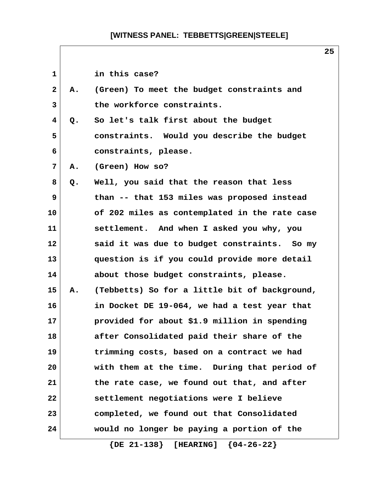| 1              |    | in this case?                                 |
|----------------|----|-----------------------------------------------|
| $\mathbf{2}$   | Α. | (Green) To meet the budget constraints and    |
| 3              |    | the workforce constraints.                    |
| 4              | Q. | So let's talk first about the budget          |
| 5              |    | constraints. Would you describe the budget    |
| 6              |    | constraints, please.                          |
| $\overline{7}$ | Α. | (Green) How so?                               |
| 8              | Q. | Well, you said that the reason that less      |
| 9              |    | than -- that 153 miles was proposed instead   |
| 10             |    | of 202 miles as contemplated in the rate case |
| 11             |    | settlement. And when I asked you why, you     |
| 12             |    | said it was due to budget constraints. So my  |
| 13             |    | question is if you could provide more detail  |
| 14             |    | about those budget constraints, please.       |
| 15             | Α. | (Tebbetts) So for a little bit of background, |
| 16             |    | in Docket DE 19-064, we had a test year that  |
| 17             |    | provided for about \$1.9 million in spending  |
| 18             |    | after Consolidated paid their share of the    |
| 19             |    | trimming costs, based on a contract we had    |
| 20             |    | with them at the time. During that period of  |
| 21             |    | the rate case, we found out that, and after   |
| 22             |    | settlement negotiations were I believe        |
| 23             |    | completed, we found out that Consolidated     |
| 24             |    | would no longer be paying a portion of the    |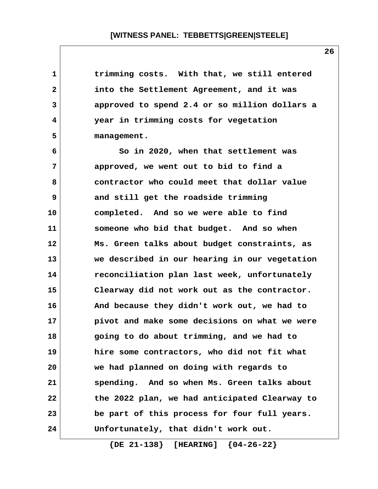| 1  | trimming costs. With that, we still entered   |
|----|-----------------------------------------------|
| 2  | into the Settlement Agreement, and it was     |
| 3  | approved to spend 2.4 or so million dollars a |
| 4  | year in trimming costs for vegetation         |
| 5  | management.                                   |
| 6  | So in 2020, when that settlement was          |
| 7  | approved, we went out to bid to find a        |
| 8  | contractor who could meet that dollar value   |
| 9  | and still get the roadside trimming           |
| 10 | completed. And so we were able to find        |
| 11 | someone who bid that budget. And so when      |
| 12 | Ms. Green talks about budget constraints, as  |
| 13 | we described in our hearing in our vegetation |
| 14 | reconciliation plan last week, unfortunately  |
| 15 | Clearway did not work out as the contractor.  |
| 16 | And because they didn't work out, we had to   |
| 17 | pivot and make some decisions on what we were |
| 18 | going to do about trimming, and we had to     |
| 19 | hire some contractors, who did not fit what   |
| 20 | we had planned on doing with regards to       |
| 21 | spending. And so when Ms. Green talks about   |
| 22 | the 2022 plan, we had anticipated Clearway to |
| 23 | be part of this process for four full years.  |
| 24 | Unfortunately, that didn't work out.          |

 **{DE 21-138} [HEARING] {04-26-22}**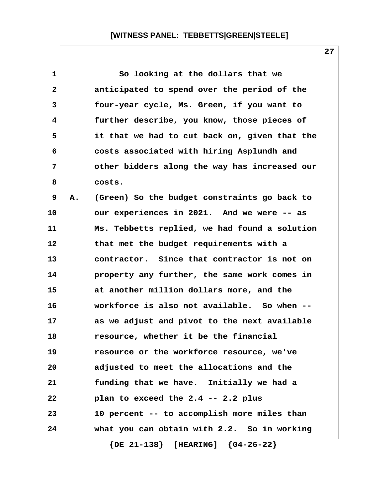| $\mathbf 1$  |    | So looking at the dollars that we             |
|--------------|----|-----------------------------------------------|
| $\mathbf{2}$ |    | anticipated to spend over the period of the   |
| 3            |    | four-year cycle, Ms. Green, if you want to    |
| 4            |    | further describe, you know, those pieces of   |
| 5            |    | it that we had to cut back on, given that the |
| 6            |    | costs associated with hiring Asplundh and     |
| 7            |    | other bidders along the way has increased our |
| 8            |    | costs.                                        |
| 9            | Α. | (Green) So the budget constraints go back to  |
| 10           |    | our experiences in 2021. And we were -- as    |
| 11           |    | Ms. Tebbetts replied, we had found a solution |
| 12           |    | that met the budget requirements with a       |
| 13           |    | contractor. Since that contractor is not on   |
| 14           |    | property any further, the same work comes in  |
| 15           |    | at another million dollars more, and the      |
| 16           |    | workforce is also not available. So when --   |
| 17           |    | as we adjust and pivot to the next available  |
| 18           |    | resource, whether it be the financial         |
| 19           |    | resource or the workforce resource, we've     |
| 20           |    | adjusted to meet the allocations and the      |
| 21           |    | funding that we have. Initially we had a      |
| 22           |    | plan to exceed the 2.4 -- 2.2 plus            |
| 23           |    | 10 percent -- to accomplish more miles than   |
| 24           |    | what you can obtain with 2.2. So in working   |
|              |    |                                               |

 **{DE 21-138} [HEARING] {04-26-22}**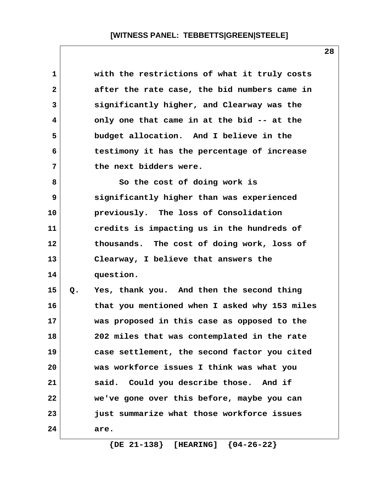| 1            |    | with the restrictions of what it truly costs  |
|--------------|----|-----------------------------------------------|
| $\mathbf{2}$ |    | after the rate case, the bid numbers came in  |
| 3            |    | significantly higher, and Clearway was the    |
| 4            |    | only one that came in at the bid -- at the    |
| 5            |    | budget allocation. And I believe in the       |
| 6            |    | testimony it has the percentage of increase   |
| 7            |    | the next bidders were.                        |
| 8            |    | So the cost of doing work is                  |
| 9            |    | significantly higher than was experienced     |
| 10           |    | previously. The loss of Consolidation         |
| 11           |    | credits is impacting us in the hundreds of    |
| 12           |    | thousands. The cost of doing work, loss of    |
| 13           |    | Clearway, I believe that answers the          |
| 14           |    | question.                                     |
| 15           | Q. | Yes, thank you. And then the second thing     |
| 16           |    | that you mentioned when I asked why 153 miles |
| 17           |    | was proposed in this case as opposed to the   |
| 18           |    | 202 miles that was contemplated in the rate   |
| 19           |    | case settlement, the second factor you cited  |
| 20           |    | was workforce issues I think was what you     |
| 21           |    | said. Could you describe those. And if        |
| 22           |    | we've gone over this before, maybe you can    |
| 23           |    | just summarize what those workforce issues    |
| 24           |    | are.                                          |

 **{DE 21-138} [HEARING] {04-26-22}**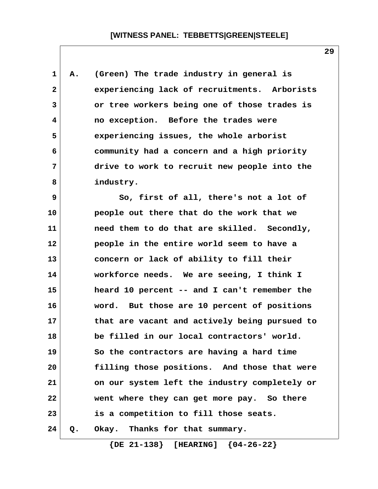**1 A. (Green) The trade industry in general is 2 experiencing lack of recruitments. Arborists 3 or tree workers being one of those trades is 4 no exception. Before the trades were 5 experiencing issues, the whole arborist 6 community had a concern and a high priority 7 drive to work to recruit new people into the 8 industry.**

 **9 So, first of all, there's not a lot of 10 people out there that do the work that we 11 need them to do that are skilled. Secondly, 12 people in the entire world seem to have a 13 concern or lack of ability to fill their 14 workforce needs. We are seeing, I think I 15 heard 10 percent -- and I can't remember the 16 word. But those are 10 percent of positions 17 that are vacant and actively being pursued to 18 be filled in our local contractors' world. 19 So the contractors are having a hard time 20 filling those positions. And those that were 21 on our system left the industry completely or 22 went where they can get more pay. So there 23 is a competition to fill those seats. 24 Q. Okay. Thanks for that summary.**

 **{DE 21-138} [HEARING] {04-26-22}**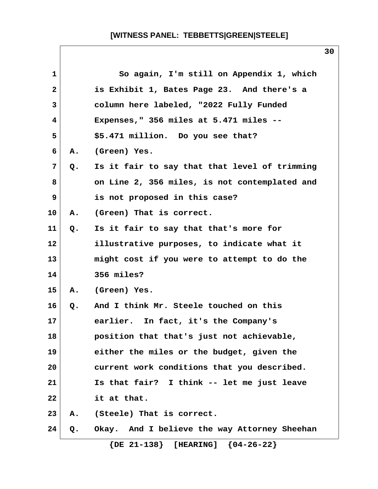|                 |    |                                               | 30 |
|-----------------|----|-----------------------------------------------|----|
| 1               |    | So again, I'm still on Appendix 1, which      |    |
| $\mathbf{2}$    |    | is Exhibit 1, Bates Page 23. And there's a    |    |
| $\mathbf{3}$    |    | column here labeled, "2022 Fully Funded       |    |
| 4               |    | Expenses," 356 miles at $5.471$ miles --      |    |
| 5               |    | \$5.471 million. Do you see that?             |    |
| 6               | A. | (Green) Yes.                                  |    |
| 7               | Q. | Is it fair to say that that level of trimming |    |
| 8               |    | on Line 2, 356 miles, is not contemplated and |    |
| 9               |    | is not proposed in this case?                 |    |
| 10              | Α. | (Green) That is correct.                      |    |
| 11              | Q. | Is it fair to say that that's more for        |    |
| 12 <sup>2</sup> |    | illustrative purposes, to indicate what it    |    |
| 13              |    | might cost if you were to attempt to do the   |    |
| 14              |    | 356 miles?                                    |    |
| 15              | А. | (Green) Yes.                                  |    |
| 16              | Q. | And I think Mr. Steele touched on this        |    |
| 17              |    | earlier. In fact, it's the Company's          |    |
| 18              |    | position that that's just not achievable,     |    |
| 19              |    | either the miles or the budget, given the     |    |
| 20              |    | current work conditions that you described.   |    |
| 21              |    | Is that fair? I think -- let me just leave    |    |
| 22              |    | it at that.                                   |    |
| 23              | Α. | (Steele) That is correct.                     |    |
| 24              | Q. | Okay. And I believe the way Attorney Sheehan  |    |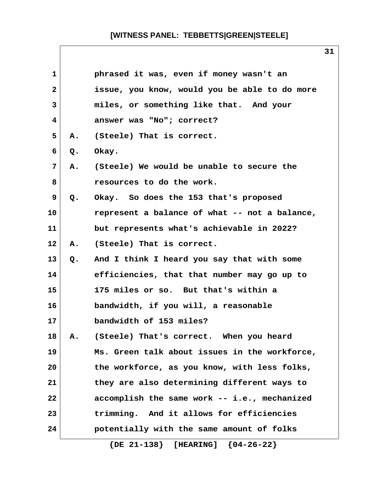| $\mathbf{1}$   |               | phrased it was, even if money wasn't an       |
|----------------|---------------|-----------------------------------------------|
| $\overline{2}$ |               | issue, you know, would you be able to do more |
| 3              |               | miles, or something like that. And your       |
| 4              |               | answer was "No"; correct?                     |
| 5              | Α.            | (Steele) That is correct.                     |
| 6              | $Q_{\bullet}$ | Okay.                                         |
| 7              | Α.            | (Steele) We would be unable to secure the     |
| 8              |               | resources to do the work.                     |
| 9              | $Q_{\bullet}$ | Okay. So does the 153 that's proposed         |
| 10             |               | represent a balance of what -- not a balance, |
| 11             |               | but represents what's achievable in 2022?     |
| 12             | Α.            | (Steele) That is correct.                     |
| 13             | Q.            | And I think I heard you say that with some    |
| 14             |               | efficiencies, that that number may go up to   |
| 15             |               | 175 miles or so. But that's within a          |
| 16             |               | bandwidth, if you will, a reasonable          |
| 17             |               | bandwidth of 153 miles?                       |
| 18             | Α.            | (Steele) That's correct. When you heard       |
| 19             |               | Ms. Green talk about issues in the workforce, |
| 20             |               | the workforce, as you know, with less folks,  |
| 21             |               | they are also determining different ways to   |
| 22             |               | accomplish the same work -- i.e., mechanized  |
| 23             |               | trimming. And it allows for efficiencies      |
| 24             |               | potentially with the same amount of folks     |
|                |               | $\{DE 21-138\}$ [HEARING] $\{04-26-22\}$      |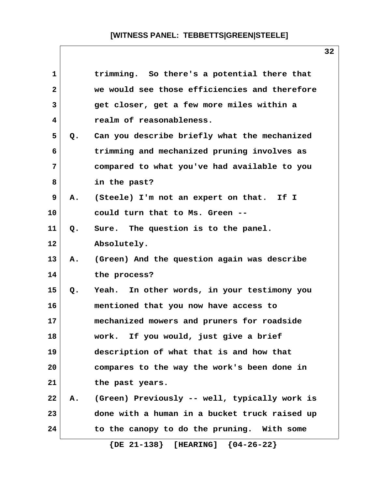| 1              |    | trimming. So there's a potential there that   |
|----------------|----|-----------------------------------------------|
| $\mathbf{2}$   |    | we would see those efficiencies and therefore |
| 3              |    | get closer, get a few more miles within a     |
| 4              |    | realm of reasonableness.                      |
| 5              | Q. | Can you describe briefly what the mechanized  |
| 6              |    | trimming and mechanized pruning involves as   |
| $\overline{7}$ |    | compared to what you've had available to you  |
| 8              |    | in the past?                                  |
| 9              | Α. | (Steele) I'm not an expert on that. If I      |
| 10             |    | could turn that to Ms. Green --               |
| 11             | Q. | Sure. The question is to the panel.           |
| 12             |    | Absolutely.                                   |
| 13             | Α. | (Green) And the question again was describe   |
| 14             |    | the process?                                  |
| 15             | Q. | Yeah. In other words, in your testimony you   |
| 16             |    | mentioned that you now have access to         |
| 17             |    | mechanized mowers and pruners for roadside    |
| 18             |    | work. If you would, just give a brief         |
| 19             |    | description of what that is and how that      |
| 20             |    | compares to the way the work's been done in   |
| 21             |    | the past years.                               |
| 22             | Α. | (Green) Previously -- well, typically work is |
| 23             |    | done with a human in a bucket truck raised up |
| 24             |    | to the canopy to do the pruning. With some    |
|                |    | $\{DE 21-138\}$ [HEARING] $\{04-26-22\}$      |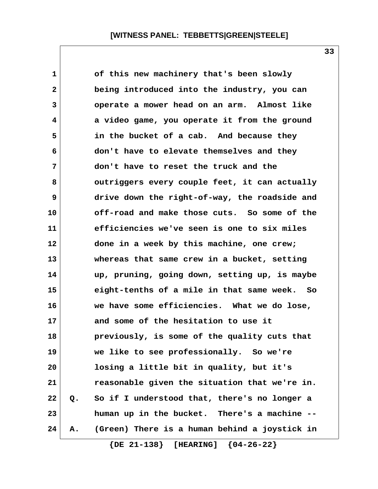| $\mathbf 1$  |       | of this new machinery that's been slowly      |  |
|--------------|-------|-----------------------------------------------|--|
| $\mathbf{2}$ |       | being introduced into the industry, you can   |  |
| 3            |       | operate a mower head on an arm. Almost like   |  |
| 4            |       | a video game, you operate it from the ground  |  |
| 5            |       | in the bucket of a cab. And because they      |  |
| 6            |       | don't have to elevate themselves and they     |  |
| 7            |       | don't have to reset the truck and the         |  |
| 8            |       | outriggers every couple feet, it can actually |  |
| 9            |       | drive down the right-of-way, the roadside and |  |
| 10           |       | off-road and make those cuts. So some of the  |  |
| 11           |       | efficiencies we've seen is one to six miles   |  |
| 12           |       | done in a week by this machine, one crew;     |  |
| 13           |       | whereas that same crew in a bucket, setting   |  |
| 14           |       | up, pruning, going down, setting up, is maybe |  |
| 15           |       | eight-tenths of a mile in that same week. So  |  |
| 16           |       | we have some efficiencies. What we do lose,   |  |
| 17           |       | and some of the hesitation to use it          |  |
| 18           |       | previously, is some of the quality cuts that  |  |
| 19           |       | we like to see professionally. So we're       |  |
| 20           |       | losing a little bit in quality, but it's      |  |
| 21           |       | reasonable given the situation that we're in. |  |
| 22           | $Q$ . | So if I understood that, there's no longer a  |  |
| 23           |       | human up in the bucket. There's a machine --  |  |
| 24           | Α.    | (Green) There is a human behind a joystick in |  |
|              |       |                                               |  |

 **{DE 21-138} [HEARING] {04-26-22}**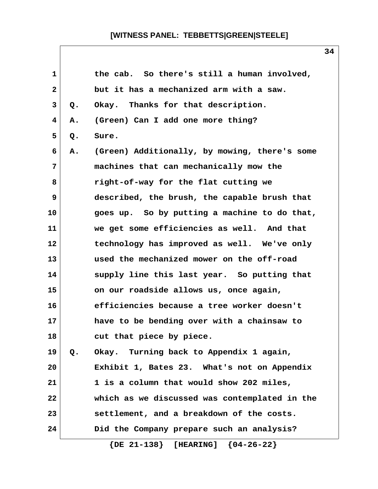| 1            |    | the cab. So there's still a human involved,   |
|--------------|----|-----------------------------------------------|
| $\mathbf{2}$ |    | but it has a mechanized arm with a saw.       |
| 3            | Q. | Okay. Thanks for that description.            |
| 4            | Α. | (Green) Can I add one more thing?             |
| 5            | Q. | Sure.                                         |
| 6            | Α. | (Green) Additionally, by mowing, there's some |
| 7            |    | machines that can mechanically mow the        |
| 8            |    | right-of-way for the flat cutting we          |
| 9            |    | described, the brush, the capable brush that  |
| 10           |    | goes up. So by putting a machine to do that,  |
| 11           |    | we get some efficiencies as well. And that    |
| 12           |    | technology has improved as well. We've only   |
| 13           |    | used the mechanized mower on the off-road     |
| 14           |    | supply line this last year. So putting that   |
| 15           |    | on our roadside allows us, once again,        |
| 16           |    | efficiencies because a tree worker doesn't    |
| 17           |    | have to be bending over with a chainsaw to    |
| 18           |    | cut that piece by piece.                      |
| 19           | Q. | Okay. Turning back to Appendix 1 again,       |
| 20           |    | Exhibit 1, Bates 23. What's not on Appendix   |
| 21           |    | 1 is a column that would show 202 miles,      |
| 22           |    | which as we discussed was contemplated in the |
| 23           |    | settlement, and a breakdown of the costs.     |
| 24           |    | Did the Company prepare such an analysis?     |
|              |    |                                               |

 **{DE 21-138} [HEARING] {04-26-22}**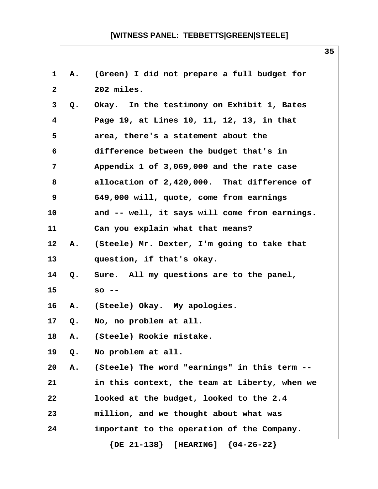| 1                       | А. | (Green) I did not prepare a full budget for   |
|-------------------------|----|-----------------------------------------------|
| $\mathbf{2}$            |    | 202 miles.                                    |
| 3                       | Q. | Okay. In the testimony on Exhibit 1, Bates    |
| $\overline{\mathbf{4}}$ |    | Page 19, at Lines 10, 11, 12, 13, in that     |
| 5                       |    | area, there's a statement about the           |
| 6                       |    | difference between the budget that's in       |
| 7                       |    | Appendix 1 of 3,069,000 and the rate case     |
| 8                       |    | allocation of 2,420,000. That difference of   |
| 9                       |    | 649,000 will, quote, come from earnings       |
| 10                      |    | and -- well, it says will come from earnings. |
| 11                      |    | Can you explain what that means?              |
| $12 \,$                 | Α. | (Steele) Mr. Dexter, I'm going to take that   |
| 13                      |    | question, if that's okay.                     |
| 14                      | Q. | Sure. All my questions are to the panel,      |
| 15                      |    | $SO - -$                                      |
| 16                      | Α. | (Steele) Okay. My apologies.                  |
| 17 <sub>2</sub>         | Q. | No, no problem at all.                        |
| 18                      | A. | (Steele) Rookie mistake.                      |
| 19                      | Q. | No problem at all.                            |
| 20                      | Α. | (Steele) The word "earnings" in this term --  |
| 21                      |    | in this context, the team at Liberty, when we |
| 22                      |    | looked at the budget, looked to the 2.4       |
| 23                      |    | million, and we thought about what was        |
| 24                      |    | important to the operation of the Company.    |
|                         |    | $\{DE 21-138\}$ [HEARING]<br>${04-26-22}$     |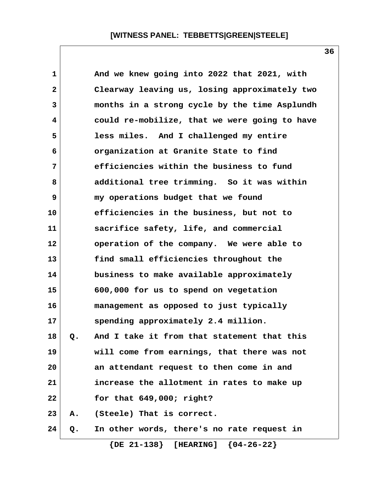| $\mathbf 1$  |    | And we knew going into 2022 that 2021, with   |
|--------------|----|-----------------------------------------------|
| $\mathbf{2}$ |    | Clearway leaving us, losing approximately two |
| 3            |    | months in a strong cycle by the time Asplundh |
| 4            |    | could re-mobilize, that we were going to have |
| 5            |    | less miles. And I challenged my entire        |
| 6            |    | organization at Granite State to find         |
| 7            |    | efficiencies within the business to fund      |
| 8            |    | additional tree trimming. So it was within    |
| 9            |    | my operations budget that we found            |
| 10           |    | efficiencies in the business, but not to      |
| 11           |    | sacrifice safety, life, and commercial        |
| 12           |    | operation of the company. We were able to     |
| 13           |    | find small efficiencies throughout the        |
| 14           |    | business to make available approximately      |
| 15           |    | 600,000 for us to spend on vegetation         |
| 16           |    | management as opposed to just typically       |
| 17           |    | spending approximately 2.4 million.           |
| 18           | Q. | And I take it from that statement that this   |
| 19           |    | will come from earnings, that there was not   |
| 20           |    | an attendant request to then come in and      |
| 21           |    | increase the allotment in rates to make up    |
| 22           |    | for that $649,000$ ; right?                   |
| 23           | Α. | (Steele) That is correct.                     |
| 24           | Q. | In other words, there's no rate request in    |
|              |    |                                               |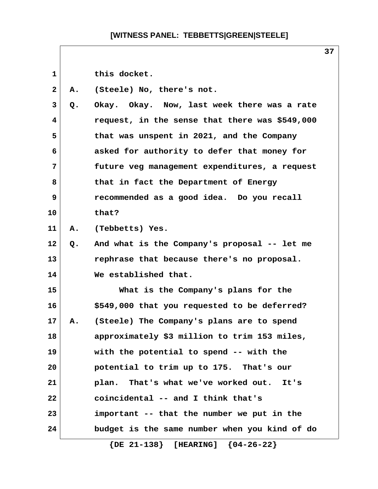1 this docket.  **2 A. (Steele) No, there's not. 3 Q. Okay. Okay. Now, last week there was a rate 4 request, in the sense that there was \$549,000 5 that was unspent in 2021, and the Company 6 asked for authority to defer that money for 7 future veg management expenditures, a request 8 that in fact the Department of Energy 9 recommended as a good idea. Do you recall 10 that? 11 A. (Tebbetts) Yes. 12 Q. And what is the Company's proposal -- let me 13 rephrase that because there's no proposal. 14 We established that. 15 What is the Company's plans for the 16 \$549,000 that you requested to be deferred? 17 A. (Steele) The Company's plans are to spend 18 approximately \$3 million to trim 153 miles, 19 with the potential to spend -- with the 20 potential to trim up to 175. That's our 21 plan. That's what we've worked out. It's 22 coincidental -- and I think that's 23 important -- that the number we put in the 24 budget is the same number when you kind of do {DE 21-138} [HEARING] {04-26-22}**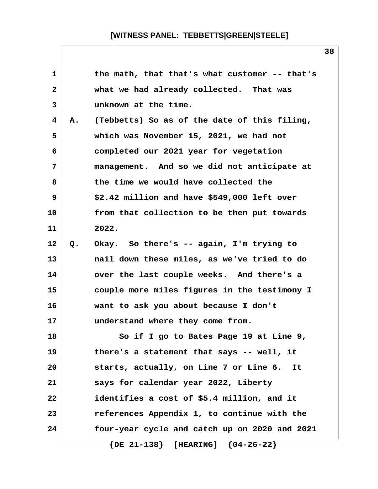| 1            |    | the math, that that's what customer -- that's |
|--------------|----|-----------------------------------------------|
| $\mathbf{2}$ |    | what we had already collected. That was       |
| 3            |    | unknown at the time.                          |
| 4            | Α. | (Tebbetts) So as of the date of this filing,  |
| 5            |    | which was November 15, 2021, we had not       |
| 6            |    | completed our 2021 year for vegetation        |
| 7            |    | management. And so we did not anticipate at   |
| 8            |    | the time we would have collected the          |
| 9            |    | \$2.42 million and have \$549,000 left over   |
| 10           |    | from that collection to be then put towards   |
| 11           |    | 2022.                                         |
| 12           | Q. | Okay. So there's -- again, I'm trying to      |
| 13           |    | nail down these miles, as we've tried to do   |
| 14           |    | over the last couple weeks. And there's a     |
| 15           |    | couple more miles figures in the testimony I  |
| 16           |    | want to ask you about because I don't         |
| 17           |    | understand where they come from.              |
| 18           |    | So if I go to Bates Page 19 at Line 9,        |
| 19           |    | there's a statement that says -- well, it     |
| 20           |    | starts, actually, on Line 7 or Line 6.<br>It  |
| 21           |    | says for calendar year 2022, Liberty          |
| 22           |    | identifies a cost of \$5.4 million, and it    |
| 23           |    | references Appendix 1, to continue with the   |
| 24           |    | four-year cycle and catch up on 2020 and 2021 |
|              |    | $\{DE 21-138\}$ [HEARING] $\{04-26-22\}$      |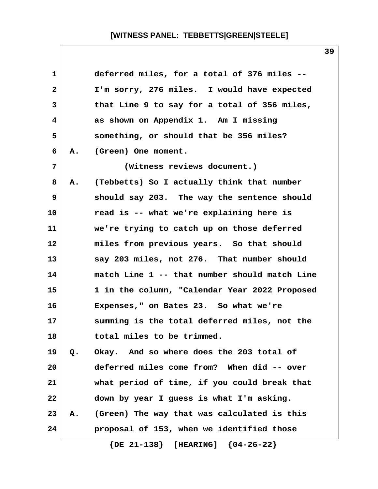| 1            |    | deferred miles, for a total of 376 miles --   |
|--------------|----|-----------------------------------------------|
| $\mathbf{2}$ |    | I'm sorry, 276 miles. I would have expected   |
| 3            |    | that Line 9 to say for a total of 356 miles,  |
| 4            |    | as shown on Appendix 1. Am I missing          |
| 5            |    | something, or should that be 356 miles?       |
| 6            | Α. | (Green) One moment.                           |
| 7            |    | (Witness reviews document.)                   |
| 8            | Α. | (Tebbetts) So I actually think that number    |
| 9            |    | should say 203. The way the sentence should   |
| 10           |    | read is -- what we're explaining here is      |
| 11           |    | we're trying to catch up on those deferred    |
| 12           |    | miles from previous years. So that should     |
| 13           |    | say 203 miles, not 276. That number should    |
| 14           |    | match Line 1 -- that number should match Line |
| 15           |    | 1 in the column, "Calendar Year 2022 Proposed |
| 16           |    | Expenses," on Bates 23. So what we're         |
| 17           |    | summing is the total deferred miles, not the  |
| 18           |    | total miles to be trimmed.                    |
| 19           | Q. | Okay. And so where does the 203 total of      |
| 20           |    | deferred miles come from? When did -- over    |
| 21           |    | what period of time, if you could break that  |
| 22           |    | down by year I guess is what I'm asking.      |
| 23           | Α. | (Green) The way that was calculated is this   |
| 24           |    | proposal of 153, when we identified those     |
|              |    |                                               |

 **{DE 21-138} [HEARING] {04-26-22}**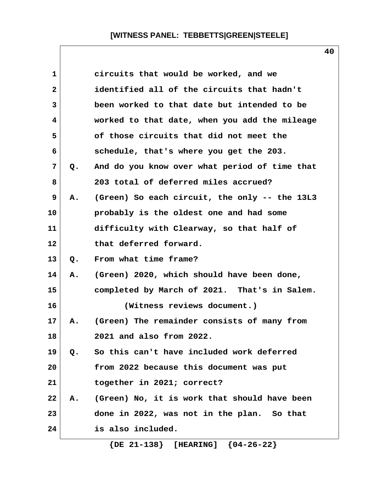| 1            |    | circuits that would be worked, and we         |  |
|--------------|----|-----------------------------------------------|--|
| $\mathbf{2}$ |    | identified all of the circuits that hadn't    |  |
| 3            |    | been worked to that date but intended to be   |  |
| 4            |    | worked to that date, when you add the mileage |  |
| 5            |    | of those circuits that did not meet the       |  |
| 6            |    | schedule, that's where you get the 203.       |  |
| 7            | Q. | And do you know over what period of time that |  |
| 8            |    | 203 total of deferred miles accrued?          |  |
| 9            | Α. | (Green) So each circuit, the only -- the 13L3 |  |
| 10           |    | probably is the oldest one and had some       |  |
| 11           |    | difficulty with Clearway, so that half of     |  |
| 12           |    | that deferred forward.                        |  |
| 13           | Q. | From what time frame?                         |  |
| 14           | Α. | (Green) 2020, which should have been done,    |  |
| 15           |    | completed by March of 2021. That's in Salem.  |  |
| 16           |    | (Witness reviews document.)                   |  |
| 17           | Α. | (Green) The remainder consists of many from   |  |
| 18           |    | 2021 and also from 2022.                      |  |
| 19           | Q. | So this can't have included work deferred     |  |
| 20           |    | from 2022 because this document was put       |  |
| 21           |    | together in 2021; correct?                    |  |
| 22           | Α. | (Green) No, it is work that should have been  |  |
| 23           |    | done in 2022, was not in the plan. So that    |  |
| 24           |    | is also included.                             |  |
|              |    |                                               |  |

 **{DE 21-138} [HEARING] {04-26-22}**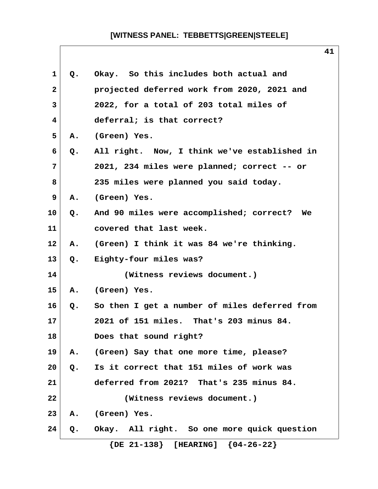| 1              | Q.            | Okay. So this includes both actual and        |
|----------------|---------------|-----------------------------------------------|
| $\mathbf{2}$   |               | projected deferred work from 2020, 2021 and   |
| 3              |               | 2022, for a total of 203 total miles of       |
| $\overline{4}$ |               | deferral; is that correct?                    |
| 5              | Α.            | (Green) Yes.                                  |
| 6              | Q.            | All right. Now, I think we've established in  |
| 7              |               | 2021, 234 miles were planned; correct -- or   |
| 8              |               | 235 miles were planned you said today.        |
| 9              | Α.            | (Green) Yes.                                  |
| 10             | $Q_{\bullet}$ | And 90 miles were accomplished; correct? We   |
| 11             |               | covered that last week.                       |
| $12 \,$        | Α.            | (Green) I think it was 84 we're thinking.     |
| 13             | Q.            | Eighty-four miles was?                        |
| 14             |               | (Witness reviews document.)                   |
| 15             | Α.            | (Green) Yes.                                  |
| 16             | $Q_{\bullet}$ | So then I get a number of miles deferred from |
| 17             |               | 2021 of 151 miles. That's 203 minus 84.       |
| 18             |               | Does that sound right?                        |
| 19             | Α.            | (Green) Say that one more time, please?       |
| 20             | Q.            | Is it correct that 151 miles of work was      |
| 21             |               | deferred from 2021? That's 235 minus 84.      |
| 22             |               | (Witness reviews document.)                   |
| 23             | Α.            | (Green) Yes.                                  |
| 24             | Q.            | Okay. All right. So one more quick question   |
|                |               | $\{DE 21-138\}$ [HEARING] $\{04-26-22\}$      |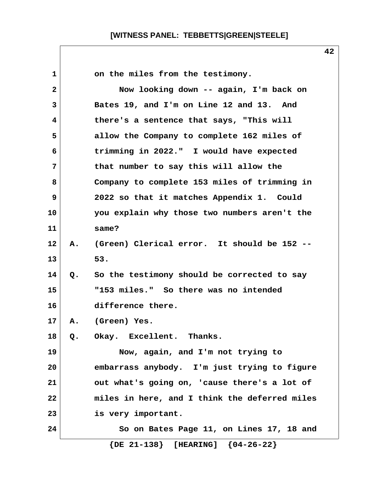| 1              |    | on the miles from the testimony.              |
|----------------|----|-----------------------------------------------|
| $\overline{2}$ |    | Now looking down -- again, I'm back on        |
| 3              |    | Bates 19, and I'm on Line 12 and 13. And      |
| 4              |    | there's a sentence that says, "This will      |
| 5              |    | allow the Company to complete 162 miles of    |
| 6              |    | trimming in 2022." I would have expected      |
| $\overline{7}$ |    | that number to say this will allow the        |
| 8              |    | Company to complete 153 miles of trimming in  |
| 9              |    | 2022 so that it matches Appendix 1. Could     |
| 10             |    | you explain why those two numbers aren't the  |
| 11             |    | same?                                         |
| 12             | А. | (Green) Clerical error. It should be 152 --   |
| 13             |    | 53.                                           |
| 14             | Q. | So the testimony should be corrected to say   |
| 15             |    | "153 miles." So there was no intended         |
| 16             |    | difference there.                             |
| 17             | Α. | (Green) Yes.                                  |
| 18             | Q. | Okay. Excellent. Thanks.                      |
| 19             |    | Now, again, and I'm not trying to             |
| 20             |    | embarrass anybody. I'm just trying to figure  |
| 21             |    | out what's going on, 'cause there's a lot of  |
| 22             |    | miles in here, and I think the deferred miles |
| 23             |    | is very important.                            |
| 24             |    | So on Bates Page 11, on Lines 17, 18 and      |
|                |    | $\{DE 21-138\}$ [HEARING] $\{04-26-22\}$      |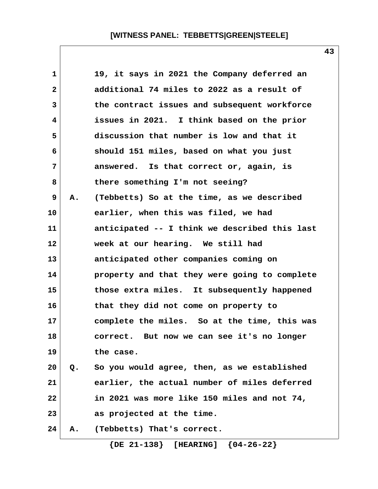| $\mathbf 1$  |       | 19, it says in 2021 the Company deferred an   |
|--------------|-------|-----------------------------------------------|
| $\mathbf{2}$ |       | additional 74 miles to 2022 as a result of    |
| 3            |       | the contract issues and subsequent workforce  |
| 4            |       | issues in 2021. I think based on the prior    |
| 5            |       | discussion that number is low and that it     |
| 6            |       | should 151 miles, based on what you just      |
| 7            |       | answered. Is that correct or, again, is       |
| 8            |       | there something I'm not seeing?               |
| 9            | Α.    | (Tebbetts) So at the time, as we described    |
| 10           |       | earlier, when this was filed, we had          |
| 11           |       | anticipated -- I think we described this last |
| 12           |       | week at our hearing. We still had             |
| 13           |       | anticipated other companies coming on         |
| 14           |       | property and that they were going to complete |
| 15           |       | those extra miles. It subsequently happened   |
| 16           |       | that they did not come on property to         |
| 17           |       | complete the miles. So at the time, this was  |
| 18           |       | correct. But now we can see it's no longer    |
| 19           |       | the case.                                     |
| 20           | $Q$ . | So you would agree, then, as we established   |
| 21           |       | earlier, the actual number of miles deferred  |
| 22           |       | in 2021 was more like 150 miles and not 74,   |
| 23           |       | as projected at the time.                     |
| 24           | Α.    | (Tebbetts) That's correct.                    |
|              |       | $\{DE 21-138\}$ [HEARING] $\{04-26-22\}$      |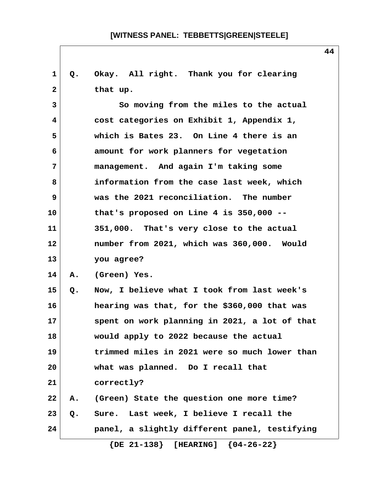| 1            | Q. | Okay. All right. Thank you for clearing       |
|--------------|----|-----------------------------------------------|
| $\mathbf{2}$ |    | that up.                                      |
| 3            |    | So moving from the miles to the actual        |
| 4            |    | cost categories on Exhibit 1, Appendix 1,     |
| 5            |    | which is Bates 23. On Line 4 there is an      |
| 6            |    | amount for work planners for vegetation       |
| 7            |    | management. And again I'm taking some         |
| 8            |    | information from the case last week, which    |
| 9            |    | was the 2021 reconciliation. The number       |
| 10           |    | that's proposed on Line 4 is $350,000$ --     |
| 11           |    | 351,000. That's very close to the actual      |
| 12           |    | number from 2021, which was 360,000. Would    |
| 13           |    | you agree?                                    |
| 14           | Α. | (Green) Yes.                                  |
| 15           | Q. | Now, I believe what I took from last week's   |
| 16           |    | hearing was that, for the \$360,000 that was  |
| 17           |    | spent on work planning in 2021, a lot of that |
| 18           |    | would apply to 2022 because the actual        |
| 19           |    | trimmed miles in 2021 were so much lower than |
| 20           |    | what was planned. Do I recall that            |
| 21           |    | correctly?                                    |
| 22           | Α. | (Green) State the question one more time?     |
| 23           | Q. | Sure. Last week, I believe I recall the       |
| 24           |    | panel, a slightly different panel, testifying |
|              |    | $\{DE 21-138\}$ [HEARING] $\{04-26-22\}$      |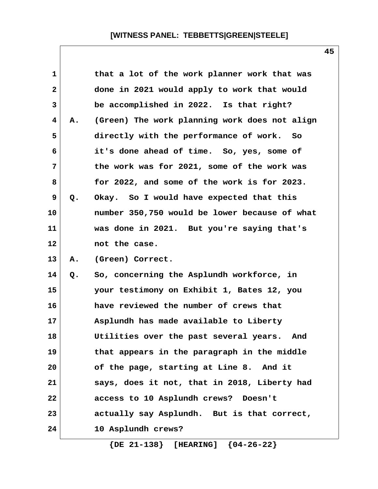| $\mathbf 1$  |    | that a lot of the work planner work that was   |  |
|--------------|----|------------------------------------------------|--|
| $\mathbf{2}$ |    | done in 2021 would apply to work that would    |  |
| 3            |    | be accomplished in 2022. Is that right?        |  |
| 4            | Α. | (Green) The work planning work does not align  |  |
| 5            |    | directly with the performance of work.<br>- So |  |
| 6            |    | it's done ahead of time. So, yes, some of      |  |
| 7            |    | the work was for 2021, some of the work was    |  |
| 8            |    | for 2022, and some of the work is for 2023.    |  |
| 9            | Q. | Okay. So I would have expected that this       |  |
| 10           |    | number 350,750 would be lower because of what  |  |
| 11           |    | was done in 2021. But you're saying that's     |  |
| 12           |    | not the case.                                  |  |
| 13           | Α. | (Green) Correct.                               |  |
| 14           | Q. | So, concerning the Asplundh workforce, in      |  |
| 15           |    | your testimony on Exhibit 1, Bates 12, you     |  |
| 16           |    | have reviewed the number of crews that         |  |
| 17           |    | Asplundh has made available to Liberty         |  |
| 18           |    | Utilities over the past several years. And     |  |
| 19           |    | that appears in the paragraph in the middle    |  |
| 20           |    | of the page, starting at Line 8. And it        |  |
| 21           |    | says, does it not, that in 2018, Liberty had   |  |
| 22           |    | access to 10 Asplundh crews? Doesn't           |  |
| 23           |    | actually say Asplundh. But is that correct,    |  |
| 24           |    | 10 Asplundh crews?                             |  |

 **{DE 21-138} [HEARING] {04-26-22}**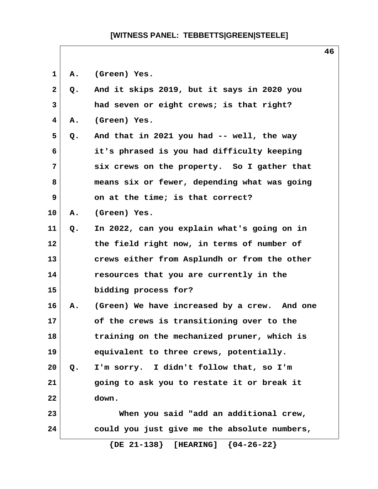1 A. (Green) Yes.

| $\mathbf{2}$ | Q. | And it skips 2019, but it says in 2020 you   |
|--------------|----|----------------------------------------------|
| 3            |    | had seven or eight crews; is that right?     |
| 4            | Α. | (Green) Yes.                                 |
| 5            | Q. | And that in 2021 you had -- well, the way    |
| 6            |    | it's phrased is you had difficulty keeping   |
| 7            |    | six crews on the property. So I gather that  |
| 8            |    | means six or fewer, depending what was going |
| 9            |    | on at the time; is that correct?             |
| 10           | Α. | (Green) Yes.                                 |
| 11           | Q. | In 2022, can you explain what's going on in  |
| 12           |    | the field right now, in terms of number of   |
| 13           |    | crews either from Asplundh or from the other |
| 14           |    | resources that you are currently in the      |
| 15           |    | bidding process for?                         |
| 16           | Α. | (Green) We have increased by a crew. And one |
| 17           |    | of the crews is transitioning over to the    |
| 18           |    | training on the mechanized pruner, which is  |
| 19           |    | equivalent to three crews, potentially.      |
| 20           | Q. | I'm sorry. I didn't follow that, so I'm      |
| 21           |    | going to ask you to restate it or break it   |
| 22           |    | down.                                        |
| 23           |    | When you said "add an additional crew,       |
| 24           |    | could you just give me the absolute numbers, |
|              |    | $\{DE 21-138\}$ [HEARING] $\{04-26-22\}$     |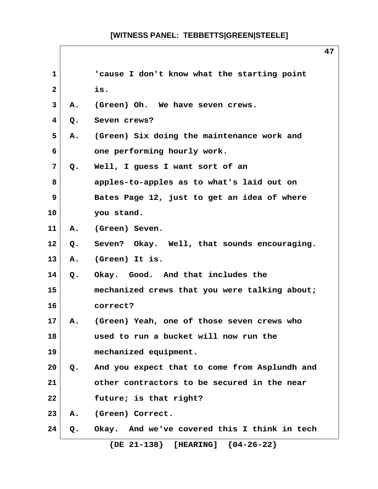$\overline{\phantom{a}}$ 

| 1                       |               | 'cause I don't know what the starting point   |
|-------------------------|---------------|-----------------------------------------------|
| $\mathbf{2}$            |               | is.                                           |
| 3                       | Α.            | (Green) Oh. We have seven crews.              |
| $\overline{\mathbf{4}}$ | Q.            | Seven crews?                                  |
| 5                       | Α.            | (Green) Six doing the maintenance work and    |
| 6                       |               | one performing hourly work.                   |
| 7                       | Q.            | Well, I guess I want sort of an               |
| 8                       |               | apples-to-apples as to what's laid out on     |
| 9                       |               | Bates Page 12, just to get an idea of where   |
| 10                      |               | you stand.                                    |
| 11                      | Α.            | (Green) Seven.                                |
| 12 <sub>2</sub>         | $Q_{\bullet}$ | Seven? Okay. Well, that sounds encouraging.   |
| 13                      | Α.            | (Green) It is.                                |
| 14                      | Q.            | Okay. Good. And that includes the             |
| 15                      |               | mechanized crews that you were talking about; |
| 16                      |               | correct?                                      |
| 17 <sub>2</sub>         | A.            | (Green) Yeah, one of those seven crews who    |
| 18                      |               | used to run a bucket will now run the         |
| 19                      |               | mechanized equipment.                         |
| 20                      | Q.            | And you expect that to come from Asplundh and |
| 21                      |               | other contractors to be secured in the near   |
| 22                      |               | future; is that right?                        |
| 23                      | Α.            | (Green) Correct.                              |
| 24                      | Q.            | Okay. And we've covered this I think in tech  |
|                         |               | $\{DE 21-138\}$ [HEARING]<br>${04-26-22}$     |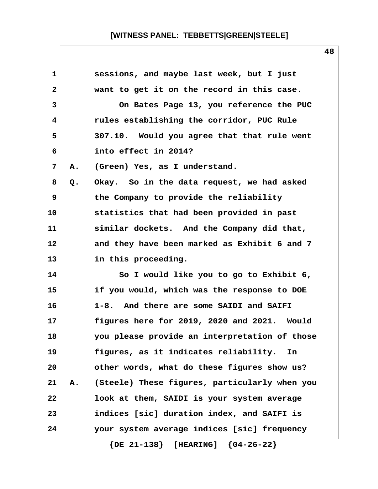| 1            |    | sessions, and maybe last week, but I just     |
|--------------|----|-----------------------------------------------|
| $\mathbf{2}$ |    | want to get it on the record in this case.    |
| 3            |    | On Bates Page 13, you reference the PUC       |
| 4            |    | rules establishing the corridor, PUC Rule     |
| 5            |    | 307.10. Would you agree that that rule went   |
| 6            |    | into effect in 2014?                          |
| 7            | Α. | (Green) Yes, as I understand.                 |
| 8            | Q. | Okay. So in the data request, we had asked    |
| 9            |    | the Company to provide the reliability        |
| 10           |    | statistics that had been provided in past     |
| 11           |    | similar dockets. And the Company did that,    |
| 12           |    | and they have been marked as Exhibit 6 and 7  |
| 13           |    | in this proceeding.                           |
| 14           |    | So I would like you to go to Exhibit 6,       |
| 15           |    | if you would, which was the response to DOE   |
| 16           |    | 1-8. And there are some SAIDI and SAIFI       |
| 17           |    | figures here for 2019, 2020 and 2021. Would   |
| 18           |    | you please provide an interpretation of those |
| 19           |    | figures, as it indicates reliability.<br>In   |
| 20           |    | other words, what do these figures show us?   |
| 21           | Α. | (Steele) These figures, particularly when you |
| 22           |    | look at them, SAIDI is your system average    |
| 23           |    | indices [sic] duration index, and SAIFI is    |
| 24           |    | your system average indices [sic] frequency   |
|              |    |                                               |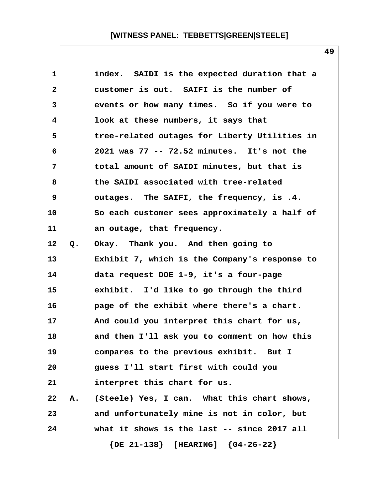| 1            |       | index. SAIDI is the expected duration that a  |
|--------------|-------|-----------------------------------------------|
| $\mathbf{2}$ |       | customer is out. SAIFI is the number of       |
| 3            |       | events or how many times. So if you were to   |
| 4            |       | look at these numbers, it says that           |
| 5            |       | tree-related outages for Liberty Utilities in |
| 6            |       | 2021 was 77 -- 72.52 minutes. It's not the    |
| 7            |       | total amount of SAIDI minutes, but that is    |
| 8            |       | the SAIDI associated with tree-related        |
| 9            |       | outages. The SAIFI, the frequency, is .4.     |
| 10           |       | So each customer sees approximately a half of |
| 11           |       | an outage, that frequency.                    |
| 12           | $Q$ . | Okay. Thank you. And then going to            |
| 13           |       | Exhibit 7, which is the Company's response to |
| 14           |       | data request DOE 1-9, it's a four-page        |
| 15           |       | exhibit. I'd like to go through the third     |
| 16           |       | page of the exhibit where there's a chart.    |
| 17           |       | And could you interpret this chart for us,    |
| 18           |       | and then I'll ask you to comment on how this  |
| 19           |       | compares to the previous exhibit. But I       |
| 20           |       | guess I'll start first with could you         |
| 21           |       | interpret this chart for us.                  |
| 22           | Α.    | (Steele) Yes, I can. What this chart shows,   |
| 23           |       | and unfortunately mine is not in color, but   |
| 24           |       | what it shows is the last -- since 2017 all   |
|              |       | $\{DE 21-138\}$ [HEARING] $\{04-26-22\}$      |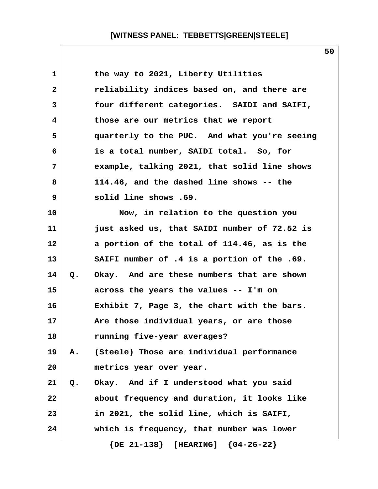| $\mathbf 1$    |       | the way to 2021, Liberty Utilities           |
|----------------|-------|----------------------------------------------|
| $\mathbf{2}$   |       | reliability indices based on, and there are  |
| 3              |       | four different categories. SAIDI and SAIFI,  |
| 4              |       | those are our metrics that we report         |
| 5              |       | quarterly to the PUC. And what you're seeing |
| 6              |       | is a total number, SAIDI total. So, for      |
| $\overline{7}$ |       | example, talking 2021, that solid line shows |
| 8              |       | 114.46, and the dashed line shows -- the     |
| 9              |       | solid line shows .69.                        |
| 10             |       | Now, in relation to the question you         |
| 11             |       | just asked us, that SAIDI number of 72.52 is |
| 12             |       | a portion of the total of 114.46, as is the  |
| 13             |       | SAIFI number of .4 is a portion of the .69.  |
| 14             | Q.    | Okay. And are these numbers that are shown   |
| 15             |       | across the years the values -- I'm on        |
| 16             |       | Exhibit 7, Page 3, the chart with the bars.  |
| 17             |       | Are those individual years, or are those     |
| 18             |       | running five-year averages?                  |
| 19             | Α.    | (Steele) Those are individual performance    |
| 20             |       | metrics year over year.                      |
| 21             | $Q$ . | Okay. And if I understood what you said      |
| 22             |       | about frequency and duration, it looks like  |
| 23             |       | in 2021, the solid line, which is SAIFI,     |
| 24             |       | which is frequency, that number was lower    |
|                |       |                                              |

 **{DE 21-138} [HEARING] {04-26-22}**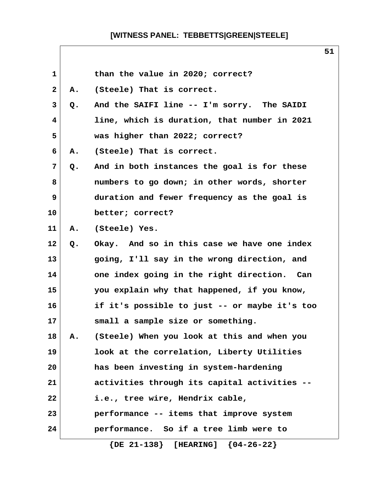| 1            |    | than the value in 2020; correct?              |  |
|--------------|----|-----------------------------------------------|--|
| $\mathbf{2}$ | Α. | (Steele) That is correct.                     |  |
| 3            | Q. | And the SAIFI line -- I'm sorry. The SAIDI    |  |
| 4            |    | line, which is duration, that number in 2021  |  |
| 5            |    | was higher than 2022; correct?                |  |
| 6            | Α. | (Steele) That is correct.                     |  |
| 7            | Q. | And in both instances the goal is for these   |  |
| 8            |    | numbers to go down; in other words, shorter   |  |
| 9            |    | duration and fewer frequency as the goal is   |  |
| 10           |    | better; correct?                              |  |
| 11           | Α. | (Steele) Yes.                                 |  |
| 12           | Q. | Okay. And so in this case we have one index   |  |
| 13           |    | going, I'll say in the wrong direction, and   |  |
| 14           |    | one index going in the right direction. Can   |  |
| 15           |    | you explain why that happened, if you know,   |  |
| 16           |    | if it's possible to just -- or maybe it's too |  |
| 17           |    | small a sample size or something.             |  |
| 18           | Α. | (Steele) When you look at this and when you   |  |
| 19           |    | look at the correlation, Liberty Utilities    |  |
| 20           |    | has been investing in system-hardening        |  |
| 21           |    | activities through its capital activities --  |  |
| 22           |    | i.e., tree wire, Hendrix cable,               |  |
| 23           |    | performance -- items that improve system      |  |
| 24           |    | performance. So if a tree limb were to        |  |
|              |    | $\{DE 21-138\}$ [HEARING] $\{04-26-22\}$      |  |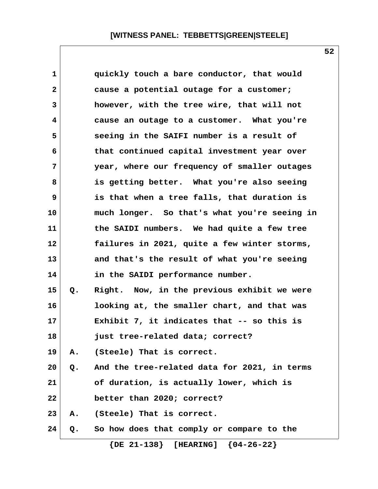| $\mathbf 1$  |    | quickly touch a bare conductor, that would      |
|--------------|----|-------------------------------------------------|
| $\mathbf{2}$ |    | cause a potential outage for a customer;        |
| 3            |    | however, with the tree wire, that will not      |
| 4            |    | cause an outage to a customer. What you're      |
| 5            |    | seeing in the SAIFI number is a result of       |
| 6            |    | that continued capital investment year over     |
| 7            |    | year, where our frequency of smaller outages    |
| 8            |    | is getting better. What you're also seeing      |
| 9            |    | is that when a tree falls, that duration is     |
| 10           |    | much longer. So that's what you're seeing in    |
| 11           |    | the SAIDI numbers. We had quite a few tree      |
| 12           |    | failures in 2021, quite a few winter storms,    |
| 13           |    | and that's the result of what you're seeing     |
| 14           |    | in the SAIDI performance number.                |
| 15           | Q. | Right. Now, in the previous exhibit we were     |
| 16           |    | looking at, the smaller chart, and that was     |
| 17           |    | Exhibit 7, it indicates that -- so this is      |
| 18           |    | just tree-related data; correct?                |
| 19           | А. | (Steele) That is correct.                       |
| 20           |    | Q. And the tree-related data for 2021, in terms |
| 21           |    | of duration, is actually lower, which is        |
| 22           |    | better than 2020; correct?                      |
| 23           | Α. | (Steele) That is correct.                       |
| 24           | Q. | So how does that comply or compare to the       |
|              |    | $\{DE 21-138\}$ [HEARING] $\{04-26-22\}$        |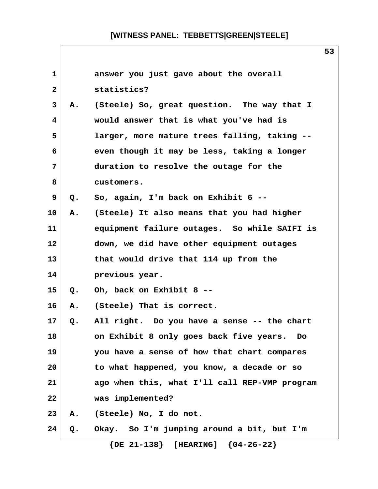| $\mathbf{1}$ |    | answer you just gave about the overall        |
|--------------|----|-----------------------------------------------|
| $\mathbf{2}$ |    | statistics?                                   |
| 3            | Α. | (Steele) So, great question. The way that I   |
| 4            |    | would answer that is what you've had is       |
| 5            |    | larger, more mature trees falling, taking --  |
| 6            |    | even though it may be less, taking a longer   |
| 7            |    | duration to resolve the outage for the        |
| 8            |    | customers.                                    |
| 9            | Q. | So, again, I'm back on Exhibit 6 --           |
| 10           | Α. | (Steele) It also means that you had higher    |
| 11           |    | equipment failure outages. So while SAIFI is  |
| 12           |    | down, we did have other equipment outages     |
| 13           |    | that would drive that 114 up from the         |
| 14           |    | previous year.                                |
| 15           | Q. | Oh, back on Exhibit 8 --                      |
| 16           | Α. | (Steele) That is correct.                     |
| 17           | Q. | All right. Do you have a sense -- the chart   |
| 18           |    | on Exhibit 8 only goes back five years.<br>DO |
| 19           |    | you have a sense of how that chart compares   |
| 20           |    | to what happened, you know, a decade or so    |
| 21           |    | ago when this, what I'll call REP-VMP program |
| 22           |    | was implemented?                              |
| 23           | А. | (Steele) No, I do not.                        |
| 24           | Q. | Okay. So I'm jumping around a bit, but I'm    |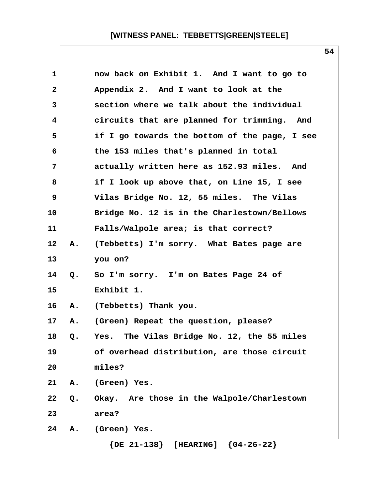| 1            |    | now back on Exhibit 1. And I want to go to              |
|--------------|----|---------------------------------------------------------|
| $\mathbf{2}$ |    | Appendix 2. And I want to look at the                   |
| 3            |    | section where we talk about the individual              |
| 4            |    | circuits that are planned for trimming. And             |
| 5            |    | if I go towards the bottom of the page, I see           |
| 6            |    | the 153 miles that's planned in total                   |
| 7            |    | actually written here as 152.93 miles. And              |
| 8            |    | if I look up above that, on Line 15, I see              |
| 9            |    | Vilas Bridge No. 12, 55 miles. The Vilas                |
| 10           |    | Bridge No. 12 is in the Charlestown/Bellows             |
| 11           |    | Falls/Walpole area; is that correct?                    |
| 12           | А. | (Tebbetts) I'm sorry. What Bates page are               |
| 13           |    | you on?                                                 |
| 14           | Q. | So I'm sorry. I'm on Bates Page 24 of                   |
| 15           |    | Exhibit 1.                                              |
| 16           | Α. | (Tebbetts) Thank you.                                   |
| 17           | Α. | (Green) Repeat the question, please?                    |
| 18           | Q. | The Vilas Bridge No. 12, the 55 miles<br>Yes.           |
| 19           |    | of overhead distribution, are those circuit             |
| 20           |    | miles?                                                  |
| 21           | Α. | (Green) Yes.                                            |
| 22           | Q. | Okay. Are those in the Walpole/Charlestown              |
| 23           |    | area?                                                   |
| 24           | Α. | (Green) Yes.                                            |
|              |    | ${04-26-22}$<br>$\{DE \ 21 - 138\}$<br><b>[HEARING]</b> |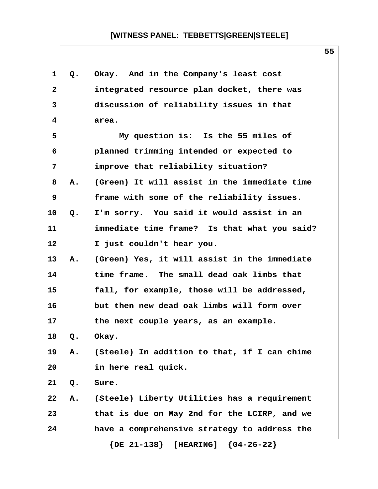| $\mathbf 1$  | Q. | Okay. And in the Company's least cost        |
|--------------|----|----------------------------------------------|
| $\mathbf{2}$ |    | integrated resource plan docket, there was   |
| 3            |    | discussion of reliability issues in that     |
| 4            |    | area.                                        |
| 5            |    | My question is: Is the 55 miles of           |
| 6            |    | planned trimming intended or expected to     |
| 7            |    | improve that reliability situation?          |
| 8            | Α. | (Green) It will assist in the immediate time |
| 9            |    | frame with some of the reliability issues.   |
| 10           | Q. | I'm sorry. You said it would assist in an    |
| 11           |    | immediate time frame? Is that what you said? |
| 12           |    | I just couldn't hear you.                    |
| 13           | Α. | (Green) Yes, it will assist in the immediate |
| 14           |    | time frame. The small dead oak limbs that    |
| 15           |    | fall, for example, those will be addressed,  |
| 16           |    | but then new dead oak limbs will form over   |
| 17           |    | the next couple years, as an example.        |
| 18           | Q. | Okay.                                        |
| 19           | А. | (Steele) In addition to that, if I can chime |
| 20           |    | in here real quick.                          |
| 21           | Q. | Sure.                                        |
| 22           | А. | (Steele) Liberty Utilities has a requirement |
| 23           |    | that is due on May 2nd for the LCIRP, and we |
| 24           |    | have a comprehensive strategy to address the |
|              |    | $\{DE 21-138\}$ [HEARING] $\{04-26-22\}$     |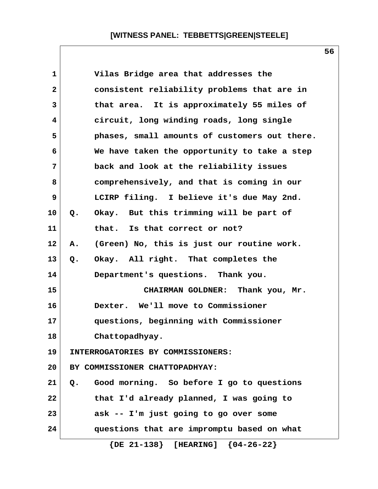| 1            | Vilas Bridge area that addresses the             |
|--------------|--------------------------------------------------|
| $\mathbf{2}$ | consistent reliability problems that are in      |
| 3            | that area. It is approximately 55 miles of       |
| 4            | circuit, long winding roads, long single         |
| 5            | phases, small amounts of customers out there.    |
| 6            | We have taken the opportunity to take a step     |
| 7            | back and look at the reliability issues          |
| 8            | comprehensively, and that is coming in our       |
| 9            | LCIRP filing. I believe it's due May 2nd.        |
| 10           | Okay. But this trimming will be part of<br>Q.    |
| 11           | that. Is that correct or not?                    |
| 12           | (Green) No, this is just our routine work.<br>Α. |
| 13           | Okay. All right. That completes the<br>Q.        |
| 14           | Department's questions. Thank you.               |
| 15           | CHAIRMAN GOLDNER: Thank you, Mr.                 |
| 16           | Dexter. We'll move to Commissioner               |
| 17           | questions, beginning with Commissioner           |
| 18           | Chattopadhyay.                                   |
| 19           | INTERROGATORIES BY COMMISSIONERS:                |
| 20           | BY COMMISSIONER CHATTOPADHYAY:                   |
| 21           | Good morning. So before I go to questions<br>Q.  |
| 22           | that I'd already planned, I was going to         |
| 23           | ask -- I'm just going to go over some            |
| 24           | questions that are impromptu based on what       |
|              | $\{DE 21-138\}$ [HEARING] $\{04-26-22\}$         |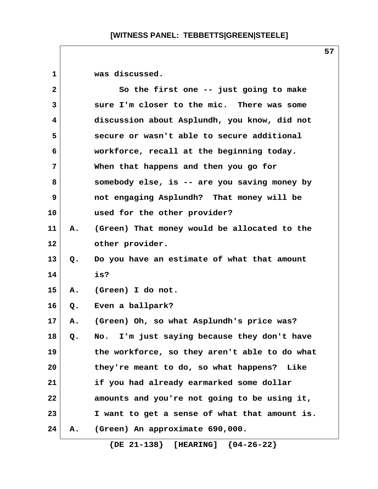1 **was discussed.** 

| $\overline{\mathbf{2}}$ |    | So the first one -- just going to make        |  |
|-------------------------|----|-----------------------------------------------|--|
| 3                       |    | sure I'm closer to the mic. There was some    |  |
| 4                       |    | discussion about Asplundh, you know, did not  |  |
| 5                       |    | secure or wasn't able to secure additional    |  |
| 6                       |    | workforce, recall at the beginning today.     |  |
| 7                       |    | When that happens and then you go for         |  |
| 8                       |    | somebody else, is -- are you saving money by  |  |
| 9                       |    | not engaging Asplundh? That money will be     |  |
| 10                      |    | used for the other provider?                  |  |
| 11                      | Α. | (Green) That money would be allocated to the  |  |
| 12                      |    | other provider.                               |  |
| 13                      | Q. | Do you have an estimate of what that amount   |  |
| 14                      |    | is?                                           |  |
| 15                      | Α. | (Green) I do not.                             |  |
| 16                      | Q. | Even a ballpark?                              |  |
| 17                      | Α. | (Green) Oh, so what Asplundh's price was?     |  |
| 18                      | Q. | No. I'm just saying because they don't have   |  |
| 19                      |    | the workforce, so they aren't able to do what |  |
| 20                      |    | they're meant to do, so what happens? Like    |  |
| 21                      |    | if you had already earmarked some dollar      |  |
| 22                      |    | amounts and you're not going to be using it,  |  |
| 23                      |    | I want to get a sense of what that amount is. |  |
| 24                      | А. | (Green) An approximate 690,000.               |  |

 **{DE 21-138} [HEARING] {04-26-22}**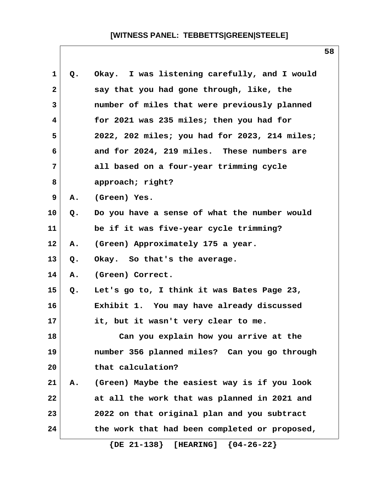| $\mathbf 1$  | Q. | Okay. I was listening carefully, and I would  |
|--------------|----|-----------------------------------------------|
| $\mathbf{2}$ |    | say that you had gone through, like, the      |
| 3            |    | number of miles that were previously planned  |
| 4            |    | for 2021 was 235 miles; then you had for      |
| 5            |    | 2022, 202 miles; you had for 2023, 214 miles; |
| 6            |    | and for 2024, 219 miles. These numbers are    |
| 7            |    | all based on a four-year trimming cycle       |
| 8            |    | approach; right?                              |
| 9            | Α. | (Green) Yes.                                  |
| 10           | Q. | Do you have a sense of what the number would  |
| 11           |    | be if it was five-year cycle trimming?        |
| 12           | Α. | (Green) Approximately 175 a year.             |
| 13           | Q. | Okay. So that's the average.                  |
| 14           | Α. | (Green) Correct.                              |
| 15           | Q. | Let's go to, I think it was Bates Page 23,    |
| 16           |    | Exhibit 1. You may have already discussed     |
| $17 \,$      |    | it, but it wasn't very clear to me.           |
| 18           |    | Can you explain how you arrive at the         |
| 19           |    | number 356 planned miles? Can you go through  |
| 20           |    | that calculation?                             |
| 21           | Α. | (Green) Maybe the easiest way is if you look  |
| 22           |    | at all the work that was planned in 2021 and  |
| 23           |    | 2022 on that original plan and you subtract   |
| 24           |    | the work that had been completed or proposed, |
|              |    |                                               |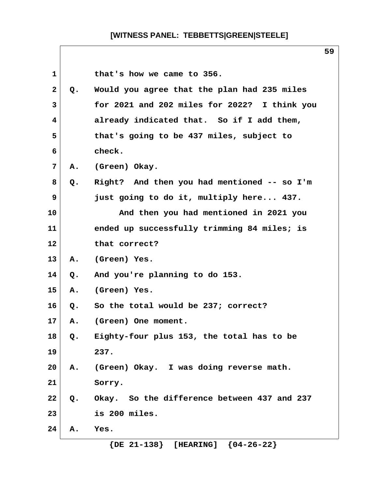|              |                |                                              | 59 |
|--------------|----------------|----------------------------------------------|----|
| 1            |                | that's how we came to 356.                   |    |
| $\mathbf{2}$ | Q.             | Would you agree that the plan had 235 miles  |    |
| 3            |                | for 2021 and 202 miles for 2022? I think you |    |
| 4            |                | already indicated that. So if I add them,    |    |
| 5            |                | that's going to be 437 miles, subject to     |    |
| 6            |                | check.                                       |    |
| 7            | Α.             | (Green) Okay.                                |    |
| 8            | Q.             | Right? And then you had mentioned -- so I'm  |    |
| 9            |                | just going to do it, multiply here 437.      |    |
| 10           |                | And then you had mentioned in 2021 you       |    |
| 11           |                | ended up successfully trimming 84 miles; is  |    |
| 12           |                | that correct?                                |    |
| 13           | Α.             | (Green) Yes.                                 |    |
| 14           | Q.             | And you're planning to do 153.               |    |
| 15           | Α.             | (Green) Yes.                                 |    |
| 16           | Q.             | So the total would be 237; correct?          |    |
| 17           | Α.             | (Green) One moment.                          |    |
| 18           | Q.             | Eighty-four plus 153, the total has to be    |    |
| 19           |                | 237.                                         |    |
| 20           | $\mathbf{A}$ . | (Green) Okay. I was doing reverse math.      |    |
| 21           |                | Sorry.                                       |    |
| 22           | Q.             | Okay. So the difference between 437 and 237  |    |
| 23           |                | is 200 miles.                                |    |
| 24           | Α.             | Yes.                                         |    |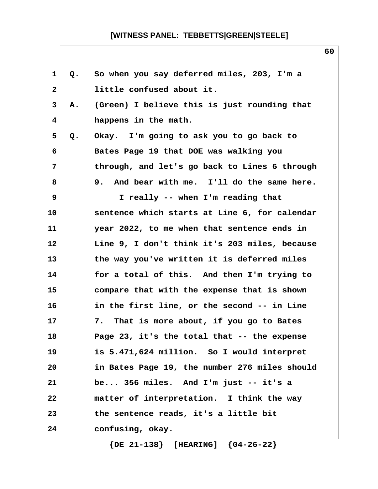| $\mathbf 1$    | Q. | So when you say deferred miles, 203, I'm a    |  |
|----------------|----|-----------------------------------------------|--|
| $\mathbf{2}$   |    | little confused about it.                     |  |
| 3              | Α. | (Green) I believe this is just rounding that  |  |
| 4              |    | happens in the math.                          |  |
| 5              | Q. | Okay. I'm going to ask you to go back to      |  |
| 6              |    | Bates Page 19 that DOE was walking you        |  |
| $\overline{7}$ |    | through, and let's go back to Lines 6 through |  |
| 8              |    | 9. And bear with me. I'll do the same here.   |  |
| 9              |    | I really -- when I'm reading that             |  |
| 10             |    | sentence which starts at Line 6, for calendar |  |
| 11             |    | year 2022, to me when that sentence ends in   |  |
| 12             |    | Line 9, I don't think it's 203 miles, because |  |
| 13             |    | the way you've written it is deferred miles   |  |
| 14             |    | for a total of this. And then I'm trying to   |  |
| 15             |    | compare that with the expense that is shown   |  |
| 16             |    | in the first line, or the second -- in Line   |  |
| 17             |    | That is more about, if you go to Bates<br>7.  |  |
| 18             |    | Page 23, it's the total that -- the expense   |  |
| 19             |    | is 5.471,624 million. So I would interpret    |  |
| 20             |    | in Bates Page 19, the number 276 miles should |  |
| 21             |    | be 356 miles. And I'm just -- it's a          |  |
| 22             |    | matter of interpretation. I think the way     |  |
| 23             |    | the sentence reads, it's a little bit         |  |
| 24             |    | confusing, okay.                              |  |
|                |    |                                               |  |

 **{DE 21-138} [HEARING] {04-26-22}**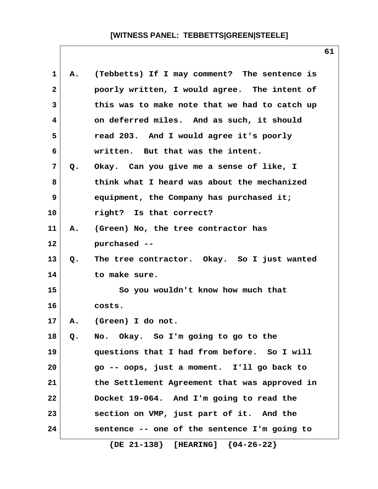| 1            | А.    | (Tebbetts) If I may comment? The sentence is  |
|--------------|-------|-----------------------------------------------|
| $\mathbf{2}$ |       | poorly written, I would agree. The intent of  |
| 3            |       | this was to make note that we had to catch up |
| 4            |       | on deferred miles. And as such, it should     |
| 5            |       | read 203. And I would agree it's poorly       |
| 6            |       | written. But that was the intent.             |
| 7            | Q.    | Okay. Can you give me a sense of like, I      |
| 8            |       | think what I heard was about the mechanized   |
| 9            |       | equipment, the Company has purchased it;      |
| 10           |       | right? Is that correct?                       |
| 11           | Α.    | (Green) No, the tree contractor has           |
| 12           |       | purchased --                                  |
| 13           | $Q$ . | The tree contractor. Okay. So I just wanted   |
| 14           |       | to make sure.                                 |
| 15           |       | So you wouldn't know how much that            |
| 16           |       | costs.                                        |
| 17           | Α.    | (Green) I do not.                             |
| 18           | Q.    | No. Okay. So I'm going to go to the           |
| 19           |       | questions that I had from before. So I will   |
| 20           |       | go -- oops, just a moment. I'll go back to    |
| 21           |       | the Settlement Agreement that was approved in |
| 22           |       | Docket 19-064. And I'm going to read the      |
| 23           |       | section on VMP, just part of it. And the      |
| 24           |       | sentence -- one of the sentence I'm going to  |
|              |       | $\{DE 21-138\}$ [HEARING] $\{04-26-22\}$      |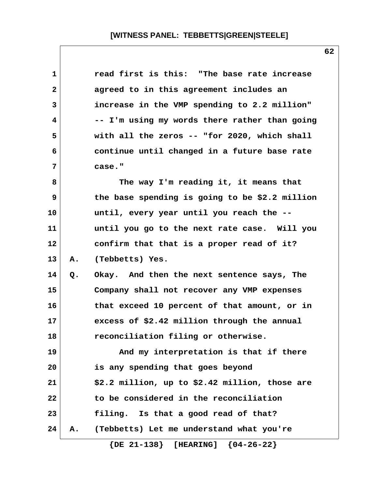| $\mathbf 1$  |    | read first is this: "The base rate increase    |
|--------------|----|------------------------------------------------|
| $\mathbf{2}$ |    | agreed to in this agreement includes an        |
| 3            |    | increase in the VMP spending to 2.2 million"   |
| 4            |    | -- I'm using my words there rather than going  |
| 5            |    | with all the zeros -- "for 2020, which shall   |
| 6            |    | continue until changed in a future base rate   |
| 7            |    | case."                                         |
| 8            |    | The way I'm reading it, it means that          |
| 9            |    | the base spending is going to be \$2.2 million |
| 10           |    | until, every year until you reach the --       |
| 11           |    | until you go to the next rate case. Will you   |
| 12           |    | confirm that that is a proper read of it?      |
| 13           | Α. | (Tebbetts) Yes.                                |
| 14           | Q. | Okay. And then the next sentence says, The     |
| 15           |    | Company shall not recover any VMP expenses     |
| 16           |    | that exceed 10 percent of that amount, or in   |
| 17           |    | excess of \$2.42 million through the annual    |
| 18           |    | reconciliation filing or otherwise.            |
| 19           |    | And my interpretation is that if there         |
| 20           |    | is any spending that goes beyond               |
| 21           |    | \$2.2 million, up to \$2.42 million, those are |
| 22           |    | to be considered in the reconciliation         |
| 23           |    | filing. Is that a good read of that?           |
| 24           | А. | (Tebbetts) Let me understand what you're       |
|              |    | $\{DE 21-138\}$ [HEARING] $\{04-26-22\}$       |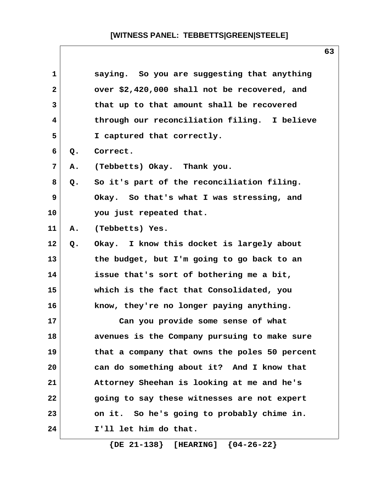| $\mathbf{1}$ |       | saying. So you are suggesting that anything   |  |
|--------------|-------|-----------------------------------------------|--|
| $\mathbf{2}$ |       | over \$2,420,000 shall not be recovered, and  |  |
| 3            |       | that up to that amount shall be recovered     |  |
| 4            |       | through our reconciliation filing. I believe  |  |
| 5            |       | I captured that correctly.                    |  |
| 6            | Q.    | Correct.                                      |  |
| 7            | Α.    | (Tebbetts) Okay. Thank you.                   |  |
| 8            | $Q$ . | So it's part of the reconciliation filing.    |  |
| 9            |       | Okay. So that's what I was stressing, and     |  |
| 10           |       | you just repeated that.                       |  |
| 11           | Α.    | (Tebbetts) Yes.                               |  |
| 12           | Q.    | Okay. I know this docket is largely about     |  |
| 13           |       | the budget, but I'm going to go back to an    |  |
| 14           |       | issue that's sort of bothering me a bit,      |  |
| 15           |       | which is the fact that Consolidated, you      |  |
| 16           |       | know, they're no longer paying anything.      |  |
| 17           |       | Can you provide some sense of what            |  |
| 18           |       | avenues is the Company pursuing to make sure  |  |
| 19           |       | that a company that owns the poles 50 percent |  |
| 20           |       | can do something about it? And I know that    |  |
| 21           |       | Attorney Sheehan is looking at me and he's    |  |
| 22           |       | going to say these witnesses are not expert   |  |
| 23           |       | on it. So he's going to probably chime in.    |  |
| 24           |       | I'll let him do that.                         |  |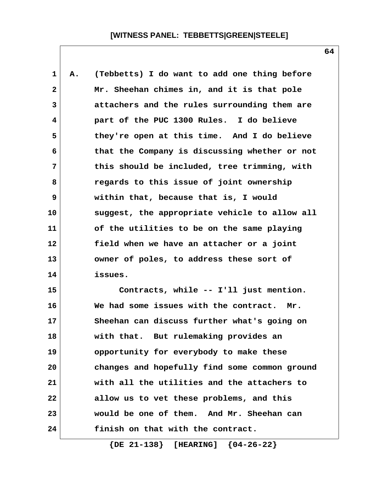**1 A. (Tebbetts) I do want to add one thing before 2 Mr. Sheehan chimes in, and it is that pole 3 attachers and the rules surrounding them are 4 part of the PUC 1300 Rules. I do believe 5 they're open at this time. And I do believe 6 that the Company is discussing whether or not 7 this should be included, tree trimming, with 8 regards to this issue of joint ownership 9 within that, because that is, I would 10 suggest, the appropriate vehicle to allow all 11 of the utilities to be on the same playing 12 field when we have an attacher or a joint 13 owner of poles, to address these sort of 14 issues.**

**15 Contracts, while -- I'll just mention. 16 We had some issues with the contract. Mr. 17 Sheehan can discuss further what's going on 18 with that. But rulemaking provides an 19 opportunity for everybody to make these 20 changes and hopefully find some common ground 21 with all the utilities and the attachers to 22 allow us to vet these problems, and this 23 would be one of them. And Mr. Sheehan can 24 finish on that with the contract.**

 **{DE 21-138} [HEARING] {04-26-22}**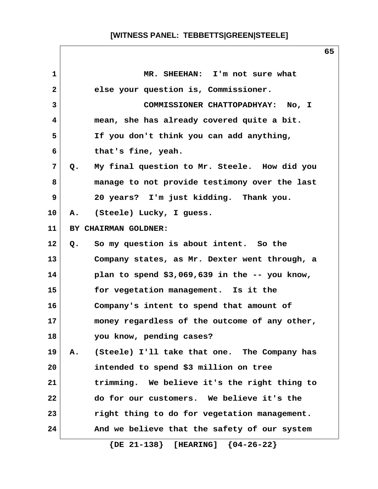| $\mathbf{1}$    | MR. SHEEHAN: I'm not sure what                                |
|-----------------|---------------------------------------------------------------|
| $\mathbf{2}$    | else your question is, Commissioner.                          |
| $\mathbf{3}$    | COMMISSIONER CHATTOPADHYAY: No, I                             |
| 4               | mean, she has already covered quite a bit.                    |
| 5               | If you don't think you can add anything,                      |
| 6               | that's fine, yeah.                                            |
| 7               | My final question to Mr. Steele. How did you<br>$Q_{\bullet}$ |
| 8               | manage to not provide testimony over the last                 |
| 9               | 20 years? I'm just kidding. Thank you.                        |
| 10 <sub>1</sub> | (Steele) Lucky, I guess.<br><b>A.</b>                         |
| 11              | BY CHAIRMAN GOLDNER:                                          |
| $12 \,$         | So my question is about intent. So the<br>Q.                  |
| 13              | Company states, as Mr. Dexter went through, a                 |
| 14              | plan to spend $$3,069,639$ in the -- you know,                |
| 15              | for vegetation management. Is it the                          |
| 16              | Company's intent to spend that amount of                      |
| 17              | money regardless of the outcome of any other,                 |
| 18              | you know, pending cases?                                      |
| 19              | (Steele) I'll take that one. The Company has<br>A.            |
| 20              | intended to spend \$3 million on tree                         |
| 21              | trimming. We believe it's the right thing to                  |
| 22              | do for our customers. We believe it's the                     |
| 23              | right thing to do for vegetation management.                  |
| 24              | And we believe that the safety of our system                  |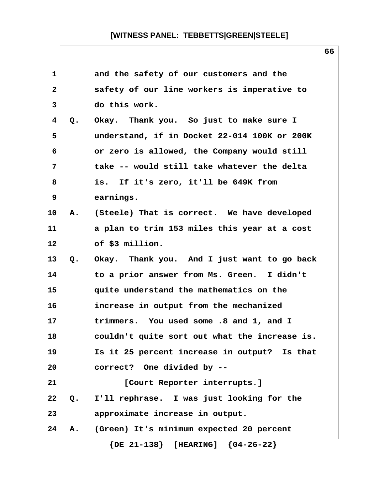| $\mathbf{1}$ |    | and the safety of our customers and the        |
|--------------|----|------------------------------------------------|
| $\mathbf{2}$ |    | safety of our line workers is imperative to    |
| 3            |    | do this work.                                  |
| 4            | Q. | Okay. Thank you. So just to make sure I        |
| 5            |    | understand, if in Docket 22-014 100K or 200K   |
| 6            |    | or zero is allowed, the Company would still    |
| 7            |    | take -- would still take whatever the delta    |
| 8            |    | is. If it's zero, it'll be 649K from           |
| 9            |    | earnings.                                      |
| 10           |    | A. (Steele) That is correct. We have developed |
| 11           |    | a plan to trim 153 miles this year at a cost   |
| 12           |    | of \$3 million.                                |
| 13           | Q. | Okay. Thank you. And I just want to go back    |
| 14           |    | to a prior answer from Ms. Green. I didn't     |
| 15           |    | quite understand the mathematics on the        |
| 16           |    | increase in output from the mechanized         |
| 17           |    | trimmers. You used some .8 and 1, and I        |
| 18           |    | couldn't quite sort out what the increase is.  |
| 19           |    | Is it 25 percent increase in output? Is that   |
| 20           |    | correct? One divided by --                     |
| 21           |    | [Court Reporter interrupts.]                   |
| 22           | Q. | I'll rephrase. I was just looking for the      |
| 23           |    | approximate increase in output.                |
| 24           | Α. | (Green) It's minimum expected 20 percent       |
|              |    | $\{DE 21-138\}$ [HEARING] $\{04-26-22\}$       |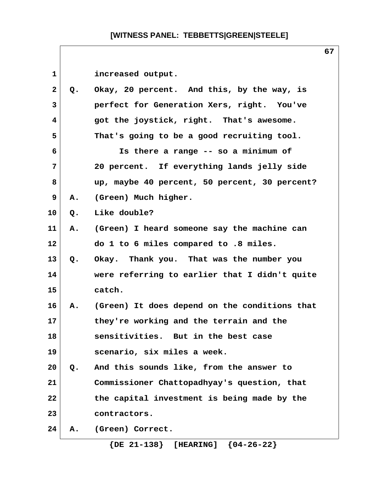| 1               |               | increased output.                             |
|-----------------|---------------|-----------------------------------------------|
| $\mathbf{2}$    | Q.            | Okay, 20 percent. And this, by the way, is    |
| $\mathbf{3}$    |               | perfect for Generation Xers, right. You've    |
| 4               |               | got the joystick, right. That's awesome.      |
| 5               |               | That's going to be a good recruiting tool.    |
| 6               |               | Is there a range -- so a minimum of           |
| 7               |               | 20 percent. If everything lands jelly side    |
| 8               |               | up, maybe 40 percent, 50 percent, 30 percent? |
| 9               | A.            | (Green) Much higher.                          |
| 10 <sup>°</sup> | Q.            | Like double?                                  |
| 11              | A.            | (Green) I heard someone say the machine can   |
| 12              |               | do 1 to 6 miles compared to .8 miles.         |
| 13              | $Q_{\bullet}$ | Okay. Thank you. That was the number you      |
| 14              |               | were referring to earlier that I didn't quite |
| 15              |               | catch.                                        |
| 16              | Α.            | (Green) It does depend on the conditions that |
| 17              |               | they're working and the terrain and the       |
| 18              |               | sensitivities. But in the best case           |
| 19              |               | scenario, six miles a week.                   |
| 20              | Q.            | And this sounds like, from the answer to      |
| 21              |               | Commissioner Chattopadhyay's question, that   |
| 22              |               | the capital investment is being made by the   |
| 23              |               | contractors.                                  |
| 24              | Α.            | (Green) Correct.                              |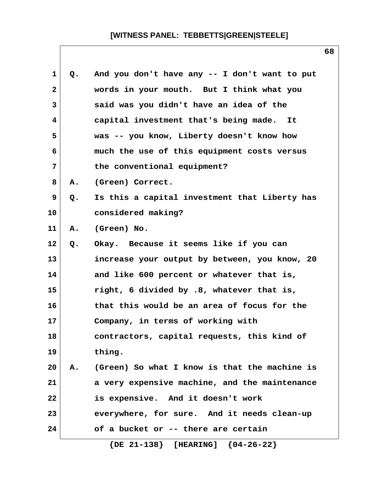| 1              | Q. | And you don't have any -- I don't want to put |
|----------------|----|-----------------------------------------------|
| $\mathbf{2}$   |    | words in your mouth. But I think what you     |
| 3              |    | said was you didn't have an idea of the       |
| $\overline{4}$ |    | capital investment that's being made. It      |
| 5              |    | was -- you know, Liberty doesn't know how     |
| 6              |    | much the use of this equipment costs versus   |
| 7              |    | the conventional equipment?                   |
| 8              | А. | (Green) Correct.                              |
| 9              | Q. | Is this a capital investment that Liberty has |
| 10             |    | considered making?                            |
| 11             | Α. | (Green) No.                                   |
| $12 \,$        | Q. | Okay. Because it seems like if you can        |
| 13             |    | increase your output by between, you know, 20 |
| 14             |    | and like 600 percent or whatever that is,     |
| 15             |    | right, 6 divided by .8, whatever that is,     |
| 16             |    | that this would be an area of focus for the   |
| 17             |    | Company, in terms of working with             |
| 18             |    | contractors, capital requests, this kind of   |
| 19             |    | thing.                                        |
| 20             | Α. | (Green) So what I know is that the machine is |
| 21             |    | a very expensive machine, and the maintenance |
| 22             |    | is expensive. And it doesn't work             |
| 23             |    | everywhere, for sure. And it needs clean-up   |
| 24             |    | of a bucket or -- there are certain           |
|                |    |                                               |

 **{DE 21-138} [HEARING] {04-26-22}**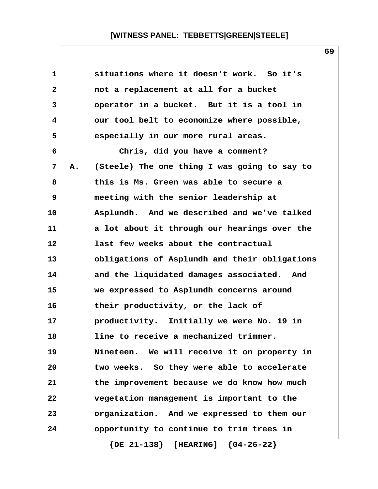| 1            |    | situations where it doesn't work. So it's     |
|--------------|----|-----------------------------------------------|
| $\mathbf{2}$ |    | not a replacement at all for a bucket         |
| 3            |    | operator in a bucket. But it is a tool in     |
| 4            |    | our tool belt to economize where possible,    |
| 5            |    | especially in our more rural areas.           |
| 6            |    | Chris, did you have a comment?                |
| 7            | Α. | (Steele) The one thing I was going to say to  |
| 8            |    | this is Ms. Green was able to secure a        |
| 9            |    | meeting with the senior leadership at         |
| 10           |    | Asplundh. And we described and we've talked   |
| 11           |    | a lot about it through our hearings over the  |
| 12           |    | last few weeks about the contractual          |
| 13           |    | obligations of Asplundh and their obligations |
| 14           |    | and the liquidated damages associated. And    |
| 15           |    | we expressed to Asplundh concerns around      |
| 16           |    | their productivity, or the lack of            |
| 17           |    | productivity. Initially we were No. 19 in     |
| 18           |    | line to receive a mechanized trimmer.         |
| 19           |    | Nineteen. We will receive it on property in   |
| 20           |    | two weeks. So they were able to accelerate    |
| 21           |    | the improvement because we do know how much   |
| 22           |    | vegetation management is important to the     |
| 23           |    | organization. And we expressed to them our    |
| 24           |    | opportunity to continue to trim trees in      |
|              |    |                                               |

 **{DE 21-138} [HEARING] {04-26-22}**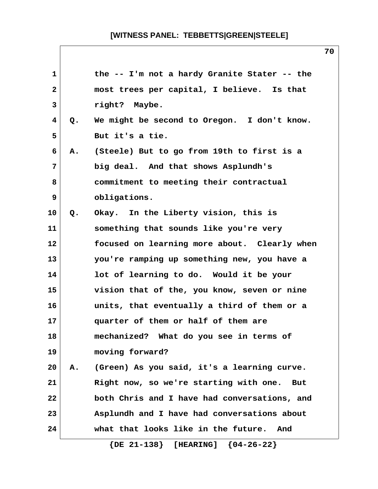| $\mathbf{1}$            |    | the -- I'm not a hardy Granite Stater -- the         |
|-------------------------|----|------------------------------------------------------|
| $\mathbf{2}$            |    | most trees per capital, I believe. Is that           |
| 3                       |    | right? Maybe.                                        |
| $\overline{\mathbf{4}}$ | Q. | We might be second to Oregon. I don't know.          |
| 5                       |    | But it's a tie.                                      |
| 6                       | Α. | (Steele) But to go from 19th to first is a           |
| 7                       |    | big deal. And that shows Asplundh's                  |
| 8                       |    | commitment to meeting their contractual              |
| 9                       |    | obligations.                                         |
| 10                      | Q. | Okay. In the Liberty vision, this is                 |
| 11                      |    | something that sounds like you're very               |
| 12                      |    | focused on learning more about. Clearly when         |
| 13                      |    | you're ramping up something new, you have a          |
| 14                      |    | lot of learning to do. Would it be your              |
| 15                      |    | vision that of the, you know, seven or nine          |
| 16                      |    | units, that eventually a third of them or a          |
| 17                      |    | quarter of them or half of them are                  |
| 18                      |    | mechanized? What do you see in terms of              |
| 19                      |    | moving forward?                                      |
| 20                      | Α. | (Green) As you said, it's a learning curve.          |
| 21                      |    | Right now, so we're starting with one.<br><b>But</b> |
| 22                      |    | both Chris and I have had conversations, and         |
| 23                      |    | Asplundh and I have had conversations about          |
| 24                      |    | what that looks like in the future.<br>And           |
|                         |    |                                                      |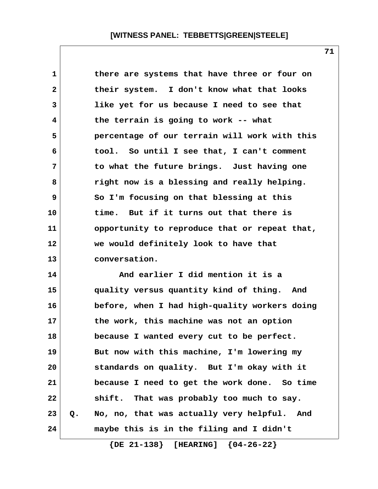| there are systems that have three or four on      |
|---------------------------------------------------|
| their system. I don't know what that looks        |
| like yet for us because I need to see that        |
| the terrain is going to work -- what              |
| percentage of our terrain will work with this     |
| tool. So until I see that, I can't comment        |
| to what the future brings. Just having one        |
| right now is a blessing and really helping.       |
| So I'm focusing on that blessing at this          |
| time. But if it turns out that there is           |
| opportunity to reproduce that or repeat that,     |
| we would definitely look to have that             |
| conversation.                                     |
| And earlier I did mention it is a                 |
| quality versus quantity kind of thing. And        |
| before, when I had high-quality workers doing     |
| the work, this machine was not an option          |
| because I wanted every cut to be perfect.         |
| But now with this machine, I'm lowering my        |
|                                                   |
| standards on quality. But I'm okay with it        |
| because I need to get the work done. So time      |
| shift. That was probably too much to say.         |
| No, no, that was actually very helpful. And<br>Q. |
|                                                   |

 **{DE 21-138} [HEARING] {04-26-22}**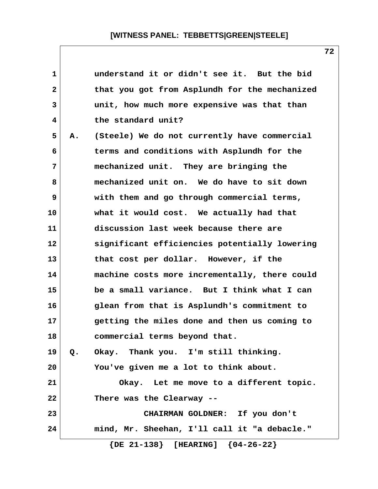| 1  |    | understand it or didn't see it. But the bid   |
|----|----|-----------------------------------------------|
| 2  |    | that you got from Asplundh for the mechanized |
| 3  |    | unit, how much more expensive was that than   |
| 4  |    | the standard unit?                            |
| 5  | Α. | (Steele) We do not currently have commercial  |
| 6  |    | terms and conditions with Asplundh for the    |
| 7  |    | mechanized unit. They are bringing the        |
| 8  |    | mechanized unit on. We do have to sit down    |
| 9  |    | with them and go through commercial terms,    |
| 10 |    | what it would cost. We actually had that      |
| 11 |    | discussion last week because there are        |
| 12 |    | significant efficiencies potentially lowering |
| 13 |    | that cost per dollar. However, if the         |
| 14 |    | machine costs more incrementally, there could |
| 15 |    | be a small variance. But I think what I can   |
| 16 |    | glean from that is Asplundh's commitment to   |
| 17 |    | getting the miles done and then us coming to  |
| 18 |    | commercial terms beyond that.                 |
| 19 | Q. | Okay. Thank you. I'm still thinking.          |
| 20 |    | You've given me a lot to think about.         |
| 21 |    | Okay. Let me move to a different topic.       |
| 22 |    | There was the Clearway --                     |
| 23 |    | CHAIRMAN GOLDNER: If you don't                |
| 24 |    | mind, Mr. Sheehan, I'll call it "a debacle."  |
|    |    | $\{DE 21-138\}$ [HEARING] $\{04-26-22\}$      |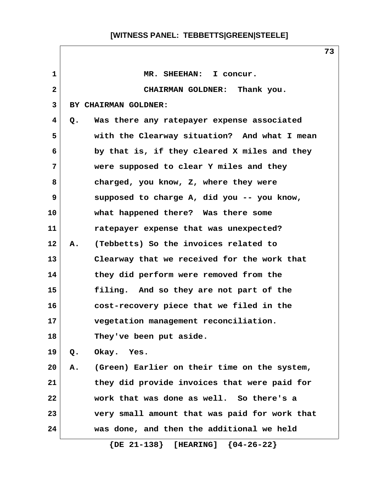| 1            |    | MR. SHEEHAN: I concur.                        |
|--------------|----|-----------------------------------------------|
| $\mathbf{2}$ |    | CHAIRMAN GOLDNER: Thank you.                  |
| 3            |    | BY CHAIRMAN GOLDNER:                          |
| 4            | Q. | Was there any ratepayer expense associated    |
| 5            |    | with the Clearway situation? And what I mean  |
| 6            |    | by that is, if they cleared X miles and they  |
| 7            |    | were supposed to clear Y miles and they       |
| 8            |    | charged, you know, Z, where they were         |
| 9            |    | supposed to charge A, did you -- you know,    |
| 10           |    | what happened there? Was there some           |
| 11           |    | ratepayer expense that was unexpected?        |
| 12           | Α. | (Tebbetts) So the invoices related to         |
| 13           |    | Clearway that we received for the work that   |
| 14           |    | they did perform were removed from the        |
| 15           |    | filing. And so they are not part of the       |
| 16           |    | cost-recovery piece that we filed in the      |
| 17           |    | vegetation management reconciliation.         |
| 18           |    | They've been put aside.                       |
| 19           | Q. | Okay. Yes.                                    |
| 20           | Α. | (Green) Earlier on their time on the system,  |
| 21           |    | they did provide invoices that were paid for  |
| 22           |    | work that was done as well. So there's a      |
| 23           |    | very small amount that was paid for work that |
| 24           |    | was done, and then the additional we held     |
|              |    | $\{DE 21-138\}$ [HEARING] $\{04-26-22\}$      |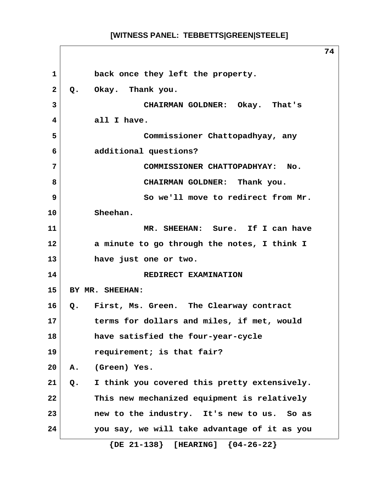1 **back once they left the property. 2 Q. Okay. Thank you. 3 CHAIRMAN GOLDNER: Okay. That's 4 all I have. 5 Commissioner Chattopadhyay, any 6 additional questions? 7 COMMISSIONER CHATTOPADHYAY: No. 8 CHAIRMAN GOLDNER: Thank you. 9 So we'll move to redirect from Mr. 10 Sheehan. 11 MR. SHEEHAN: Sure. If I can have 12 a minute to go through the notes, I think I 13 have just one or two. 14** REDIRECT EXAMINATION **15 BY MR. SHEEHAN: 16 Q. First, Ms. Green. The Clearway contract 17 terms for dollars and miles, if met, would 18 have satisfied the four-year-cycle 19 requirement; is that fair? 20 A. (Green) Yes. 21 Q. I think you covered this pretty extensively. 22 This new mechanized equipment is relatively 23 new to the industry. It's new to us. So as 24 you say, we will take advantage of it as you {DE 21-138} [HEARING] {04-26-22}**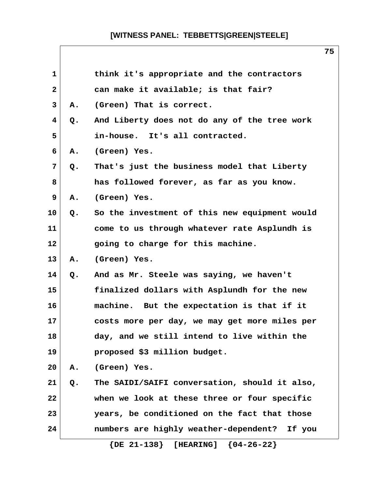| 1            |    | think it's appropriate and the contractors      |
|--------------|----|-------------------------------------------------|
| $\mathbf{2}$ |    | can make it available; is that fair?            |
| 3            | Α. | (Green) That is correct.                        |
| 4            | Q. | And Liberty does not do any of the tree work    |
| 5            |    | in-house. It's all contracted.                  |
| 6            | Α. | (Green) Yes.                                    |
| 7            | Q. | That's just the business model that Liberty     |
| 8            |    | has followed forever, as far as you know.       |
| 9            | Α. | (Green) Yes.                                    |
| 10           | Q. | So the investment of this new equipment would   |
| 11           |    | come to us through whatever rate Asplundh is    |
| 12           |    | going to charge for this machine.               |
| 13           | Α. | (Green) Yes.                                    |
| 14           | Q. | And as Mr. Steele was saying, we haven't        |
| 15           |    | finalized dollars with Asplundh for the new     |
| 16           |    | machine. But the expectation is that if it      |
| 17           |    | costs more per day, we may get more miles per   |
| 18           |    | day, and we still intend to live within the     |
| 19           |    | proposed \$3 million budget.                    |
| 20           | Α. | (Green) Yes.                                    |
| 21           | Q. | The SAIDI/SAIFI conversation, should it also,   |
| 22           |    | when we look at these three or four specific    |
| 23           |    | years, be conditioned on the fact that those    |
| 24           |    | numbers are highly weather-dependent?<br>If you |
|              |    | $\{DE 21-138\}$ [HEARING] $\{04-26-22\}$        |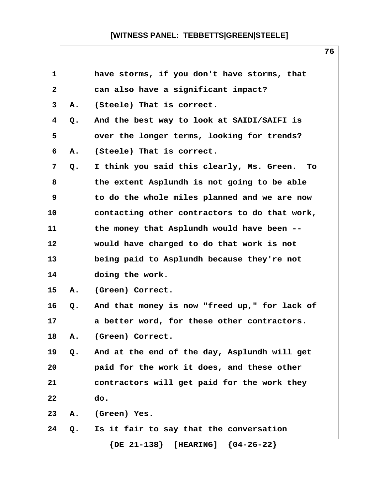| $\mathbf{1}$ |    | have storms, if you don't have storms, that     |  |
|--------------|----|-------------------------------------------------|--|
| $\mathbf{2}$ |    | can also have a significant impact?             |  |
| 3            | Α. | (Steele) That is correct.                       |  |
| 4            | Q. | And the best way to look at SAIDI/SAIFI is      |  |
| 5            |    | over the longer terms, looking for trends?      |  |
| 6            | Α. | (Steele) That is correct.                       |  |
| 7            | Q. | I think you said this clearly, Ms. Green.<br>To |  |
| 8            |    | the extent Asplundh is not going to be able     |  |
| 9            |    | to do the whole miles planned and we are now    |  |
| 10           |    | contacting other contractors to do that work,   |  |
| 11           |    | the money that Asplundh would have been --      |  |
| 12           |    | would have charged to do that work is not       |  |
| 13           |    | being paid to Asplundh because they're not      |  |
| 14           |    | doing the work.                                 |  |
| 15           | Α. | (Green) Correct.                                |  |
| 16           | Q. | And that money is now "freed up," for lack of   |  |
| 17           |    | a better word, for these other contractors.     |  |
| 18           | Α. | (Green) Correct.                                |  |
| 19           | Q. | And at the end of the day, Asplundh will get    |  |
| 20           |    | paid for the work it does, and these other      |  |
| 21           |    | contractors will get paid for the work they     |  |
| 22           |    | do.                                             |  |
| 23           | А. | (Green) Yes.                                    |  |
| 24           | Q. | Is it fair to say that the conversation         |  |

 **{DE 21-138} [HEARING] {04-26-22}**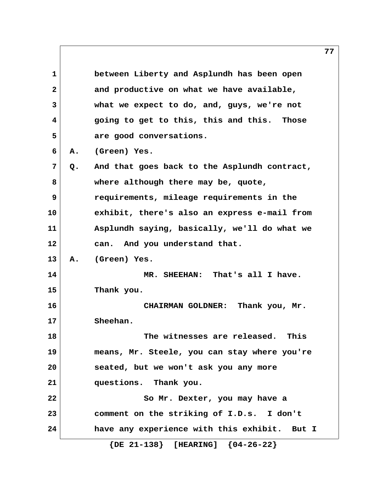**1 between Liberty and Asplundh has been open 2 and productive on what we have available, 3 what we expect to do, and, guys, we're not 4 going to get to this, this and this. Those 5 are good conversations. 6 A. (Green) Yes. 7 Q. And that goes back to the Asplundh contract, 8 where although there may be, quote, 9 requirements, mileage requirements in the 10 exhibit, there's also an express e-mail from 11 Asplundh saying, basically, we'll do what we 12 can. And you understand that. 13 A. (Green) Yes. 14 MR. SHEEHAN: That's all I have. 15 Thank you. 16 CHAIRMAN GOLDNER: Thank you, Mr. 17 Sheehan. 18 The witnesses are released. This 19 means, Mr. Steele, you can stay where you're 20 seated, but we won't ask you any more 21 questions. Thank you. 22 So Mr. Dexter, you may have a 23 comment on the striking of I.D.s. I don't 24 have any experience with this exhibit. But I {DE 21-138} [HEARING] {04-26-22}**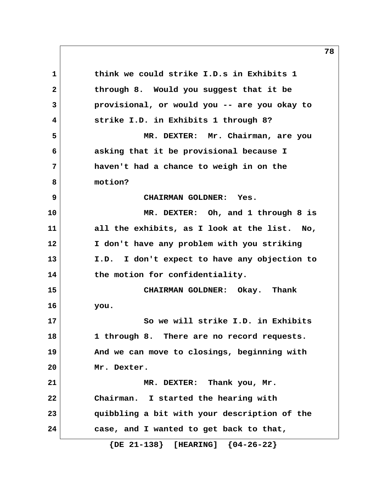**1 think we could strike I.D.s in Exhibits 1 2 through 8. Would you suggest that it be 3 provisional, or would you -- are you okay to 4 strike I.D. in Exhibits 1 through 8? 5 MR. DEXTER: Mr. Chairman, are you 6 asking that it be provisional because I 7 haven't had a chance to weigh in on the 8 motion? 9 CHAIRMAN GOLDNER: Yes. 10 MR. DEXTER: Oh, and 1 through 8 is 11 all the exhibits, as I look at the list. No, 12 I don't have any problem with you striking 13 I.D. I don't expect to have any objection to** 14 the motion for confidentiality. **15 CHAIRMAN GOLDNER: Okay. Thank 16 you. 17 So we will strike I.D. in Exhibits 18 1 through 8. There are no record requests. 19 And we can move to closings, beginning with 20 Mr. Dexter. 21 MR. DEXTER: Thank you, Mr. 22 Chairman. I started the hearing with 23 quibbling a bit with your description of the 24 case, and I wanted to get back to that,**

 **{DE 21-138} [HEARING] {04-26-22}**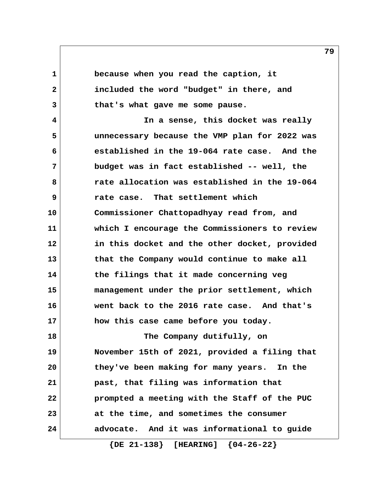**1 because when you read the caption, it 2 included the word "budget" in there, and 3 that's what gave me some pause.**

 **4 In a sense, this docket was really 5 unnecessary because the VMP plan for 2022 was 6 established in the 19-064 rate case. And the 7 budget was in fact established -- well, the 8 rate allocation was established in the 19-064 9 rate case. That settlement which 10 Commissioner Chattopadhyay read from, and 11 which I encourage the Commissioners to review 12 in this docket and the other docket, provided 13 that the Company would continue to make all 14 the filings that it made concerning veg 15 management under the prior settlement, which 16 went back to the 2016 rate case. And that's 17 how this case came before you today.**

**18 The Company dutifully, on 19 November 15th of 2021, provided a filing that 20 they've been making for many years. In the 21 past, that filing was information that 22 prompted a meeting with the Staff of the PUC 23 at the time, and sometimes the consumer 24 advocate. And it was informational to guide**

 **{DE 21-138} [HEARING] {04-26-22}**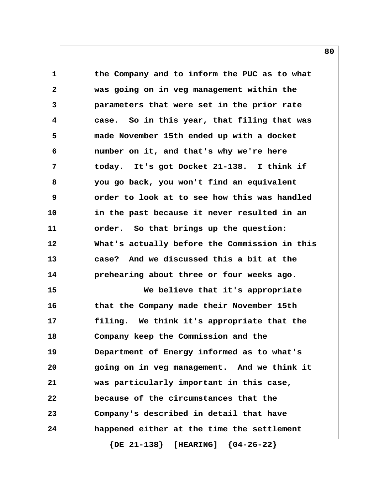**1 the Company and to inform the PUC as to what 2 was going on in veg management within the 3 parameters that were set in the prior rate 4 case. So in this year, that filing that was 5 made November 15th ended up with a docket 6 number on it, and that's why we're here 7 today. It's got Docket 21-138. I think if 8 you go back, you won't find an equivalent 9 order to look at to see how this was handled 10 in the past because it never resulted in an 11 order. So that brings up the question: 12 What's actually before the Commission in this 13 case? And we discussed this a bit at the 14 prehearing about three or four weeks ago. 15 We believe that it's appropriate 16 that the Company made their November 15th 17 filing. We think it's appropriate that the 18 Company keep the Commission and the 19 Department of Energy informed as to what's 20 going on in veg management. And we think it 21 was particularly important in this case, 22 because of the circumstances that the 23 Company's described in detail that have 24 happened either at the time the settlement**

 **{DE 21-138} [HEARING] {04-26-22}**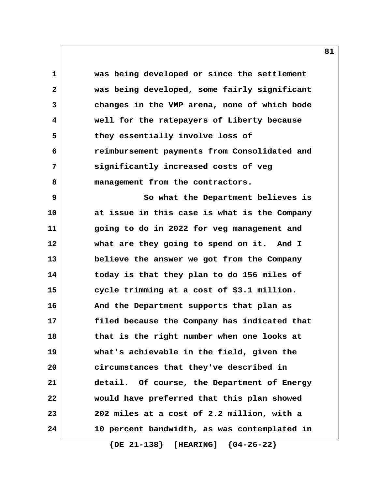**1 was being developed or since the settlement 2 was being developed, some fairly significant 3 changes in the VMP arena, none of which bode 4 well for the ratepayers of Liberty because 5 they essentially involve loss of 6 reimbursement payments from Consolidated and 7 significantly increased costs of veg** 8 management from the contractors.  **9 So what the Department believes is 10 at issue in this case is what is the Company 11 going to do in 2022 for veg management and 12 what are they going to spend on it. And I 13 believe the answer we got from the Company 14 today is that they plan to do 156 miles of 15 cycle trimming at a cost of \$3.1 million. 16 And the Department supports that plan as 17 filed because the Company has indicated that 18 that is the right number when one looks at 19 what's achievable in the field, given the 20 circumstances that they've described in 21 detail. Of course, the Department of Energy 22 would have preferred that this plan showed 23 202 miles at a cost of 2.2 million, with a 24 10 percent bandwidth, as was contemplated in**

 **{DE 21-138} [HEARING] {04-26-22}**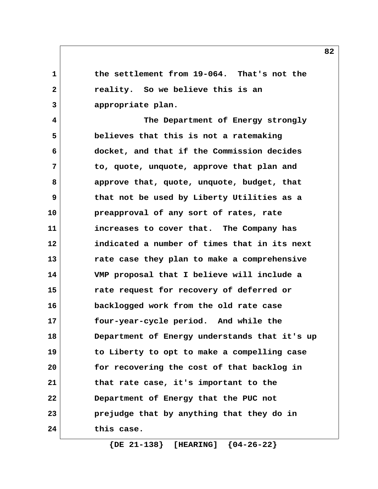**1 the settlement from 19-064. That's not the 2 reality. So we believe this is an 3 appropriate plan.**

 **4 The Department of Energy strongly 5 believes that this is not a ratemaking 6 docket, and that if the Commission decides 7 to, quote, unquote, approve that plan and 8 approve that, quote, unquote, budget, that 9 that not be used by Liberty Utilities as a 10 preapproval of any sort of rates, rate 11 increases to cover that. The Company has 12 indicated a number of times that in its next 13 rate case they plan to make a comprehensive 14 VMP proposal that I believe will include a 15 rate request for recovery of deferred or 16 backlogged work from the old rate case 17 four-year-cycle period. And while the 18 Department of Energy understands that it's up 19 to Liberty to opt to make a compelling case 20 for recovering the cost of that backlog in 21 that rate case, it's important to the 22 Department of Energy that the PUC not 23 prejudge that by anything that they do in 24 this case.**

 **{DE 21-138} [HEARING] {04-26-22}**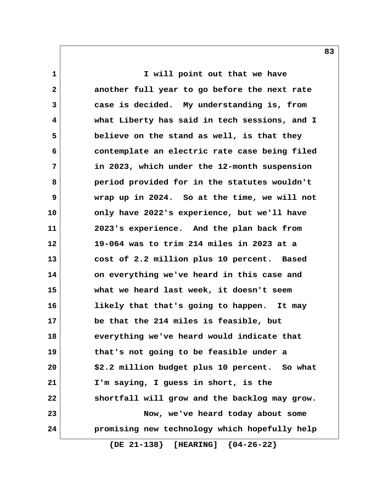**1** I will point out that we have  **2 another full year to go before the next rate 3 case is decided. My understanding is, from 4 what Liberty has said in tech sessions, and I 5 believe on the stand as well, is that they 6 contemplate an electric rate case being filed 7 in 2023, which under the 12-month suspension 8 period provided for in the statutes wouldn't 9 wrap up in 2024. So at the time, we will not 10 only have 2022's experience, but we'll have 11 2023's experience. And the plan back from 12 19-064 was to trim 214 miles in 2023 at a 13 cost of 2.2 million plus 10 percent. Based 14 on everything we've heard in this case and 15 what we heard last week, it doesn't seem 16 likely that that's going to happen. It may 17 be that the 214 miles is feasible, but 18 everything we've heard would indicate that 19 that's not going to be feasible under a 20 \$2.2 million budget plus 10 percent. So what 21 I'm saying, I guess in short, is the 22 shortfall will grow and the backlog may grow. 23 Now, we've heard today about some 24 promising new technology which hopefully help {DE 21-138} [HEARING] {04-26-22}**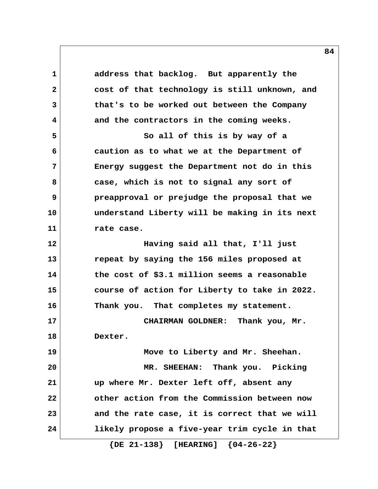1 address that backlog. But apparently the  **2 cost of that technology is still unknown, and 3 that's to be worked out between the Company 4 and the contractors in the coming weeks. 5 So all of this is by way of a 6 caution as to what we at the Department of 7 Energy suggest the Department not do in this 8 case, which is not to signal any sort of 9 preapproval or prejudge the proposal that we 10 understand Liberty will be making in its next 11 rate case. 12 Having said all that, I'll just 13 repeat by saying the 156 miles proposed at 14 the cost of \$3.1 million seems a reasonable 15 course of action for Liberty to take in 2022. 16 Thank you. That completes my statement. 17 CHAIRMAN GOLDNER: Thank you, Mr. 18 Dexter. 19 Move to Liberty and Mr. Sheehan. 20 MR. SHEEHAN: Thank you. Picking 21 up where Mr. Dexter left off, absent any 22 other action from the Commission between now 23 and the rate case, it is correct that we will 24 likely propose a five-year trim cycle in that**

 **{DE 21-138} [HEARING] {04-26-22}**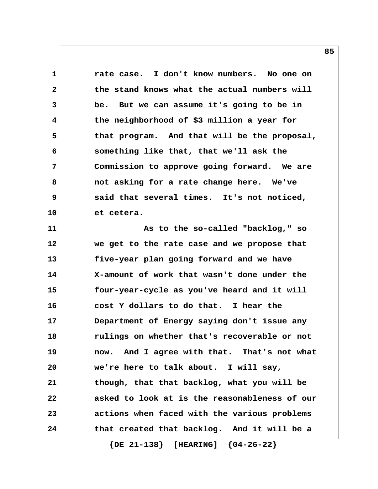**1 rate case. I don't know numbers. No one on 2 the stand knows what the actual numbers will 3 be. But we can assume it's going to be in 4 the neighborhood of \$3 million a year for 5 that program. And that will be the proposal, 6 something like that, that we'll ask the 7 Commission to approve going forward. We are 8 not asking for a rate change here. We've 9 said that several times. It's not noticed, 10 et cetera. 11 As to the so-called "backlog," so 12 we get to the rate case and we propose that 13 five-year plan going forward and we have 14 X-amount of work that wasn't done under the 15 four-year-cycle as you've heard and it will 16 cost Y dollars to do that. I hear the 17 Department of Energy saying don't issue any 18 rulings on whether that's recoverable or not 19 now. And I agree with that. That's not what 20 we're here to talk about. I will say, 21 though, that that backlog, what you will be 22 asked to look at is the reasonableness of our 23 actions when faced with the various problems 24 that created that backlog. And it will be a**

 **{DE 21-138} [HEARING] {04-26-22}**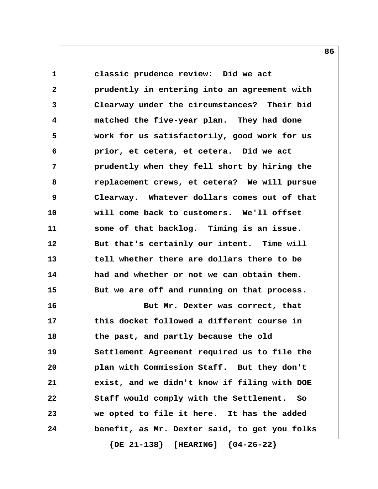**1 classic prudence review: Did we act 2 prudently in entering into an agreement with 3 Clearway under the circumstances? Their bid 4 matched the five-year plan. They had done 5 work for us satisfactorily, good work for us 6 prior, et cetera, et cetera. Did we act 7 prudently when they fell short by hiring the 8 replacement crews, et cetera? We will pursue 9 Clearway. Whatever dollars comes out of that 10 will come back to customers. We'll offset 11 some of that backlog. Timing is an issue.** 12 But that's certainly our intent. Time will **13 tell whether there are dollars there to be 14 had and whether or not we can obtain them. 15 But we are off and running on that process. 16 But Mr. Dexter was correct, that 17 this docket followed a different course in 18 the past, and partly because the old 19 Settlement Agreement required us to file the 20 plan with Commission Staff. But they don't 21 exist, and we didn't know if filing with DOE 22 Staff would comply with the Settlement. So 23 we opted to file it here. It has the added 24 benefit, as Mr. Dexter said, to get you folks**

 **{DE 21-138} [HEARING] {04-26-22}**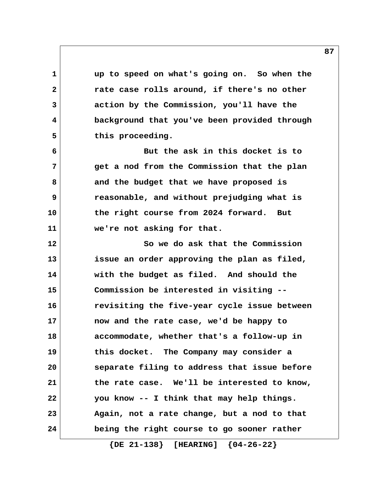**1 up to speed on what's going on. So when the 2 rate case rolls around, if there's no other 3 action by the Commission, you'll have the 4 background that you've been provided through** 5 this proceeding.  **6 But the ask in this docket is to**

 **7 get a nod from the Commission that the plan 8 and the budget that we have proposed is 9 reasonable, and without prejudging what is 10 the right course from 2024 forward. But 11 we're not asking for that.**

**12 So we do ask that the Commission 13 issue an order approving the plan as filed, 14 with the budget as filed. And should the 15 Commission be interested in visiting -- 16 revisiting the five-year cycle issue between 17 now and the rate case, we'd be happy to 18 accommodate, whether that's a follow-up in 19 this docket. The Company may consider a 20 separate filing to address that issue before 21 the rate case. We'll be interested to know, 22 you know -- I think that may help things. 23 Again, not a rate change, but a nod to that 24 being the right course to go sooner rather**

 **{DE 21-138} [HEARING] {04-26-22}**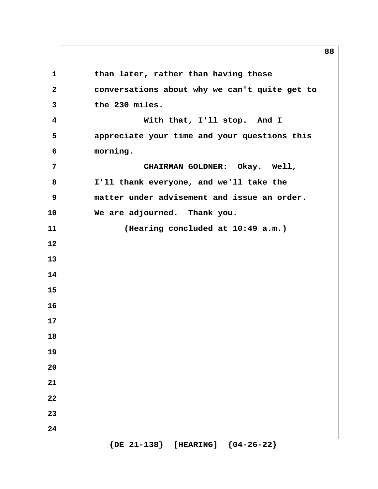1 than later, rather than having these  **2 conversations about why we can't quite get to 3 the 230 miles. 4 With that, I'll stop. And I 5 appreciate your time and your questions this 6 morning. 7 CHAIRMAN GOLDNER: Okay. Well, 8 I'll thank everyone, and we'll take the 9 matter under advisement and issue an order. 10 We are adjourned. Thank you. 11 (Hearing concluded at 10:49 a.m.) 12 13 14 15 16 17 18 19 20 21 22 23 24 {DE 21-138} [HEARING] {04-26-22}**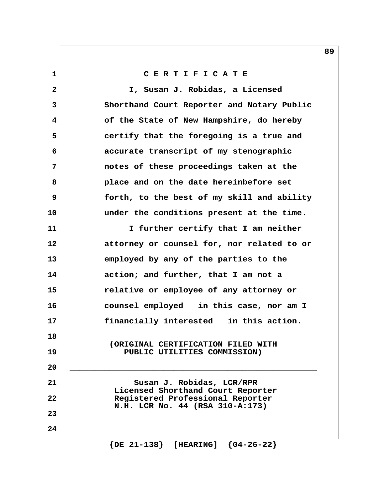**1 C E R T I F I C A T E**

 **2 I, Susan J. Robidas, a Licensed 3 Shorthand Court Reporter and Notary Public 4 of the State of New Hampshire, do hereby 5 certify that the foregoing is a true and 6 accurate transcript of my stenographic 7 notes of these proceedings taken at the 8 place and on the date hereinbefore set 9 forth, to the best of my skill and ability 10 under the conditions present at the time. 11 I further certify that I am neither 12 attorney or counsel for, nor related to or 13 employed by any of the parties to the 14 action; and further, that I am not a 15 relative or employee of any attorney or 16 counsel employed in this case, nor am I 17 financially interested in this action. 18 (ORIGINAL CERTIFICATION FILED WITH 19 PUBLIC UTILITIES COMMISSION) 20 \_\_\_\_\_\_\_\_\_\_\_\_\_\_\_\_\_\_\_\_\_\_\_\_\_\_\_\_\_\_\_\_\_\_\_\_\_\_\_\_\_\_\_\_\_\_\_\_\_\_** 21 Susan J. Robidas, LCR/RPR  **Licensed Shorthand Court Reporter 22 Registered Professional Reporter N.H. LCR No. 44 (RSA 310-A:173) 23 24**

 **{DE 21-138} [HEARING] {04-26-22}**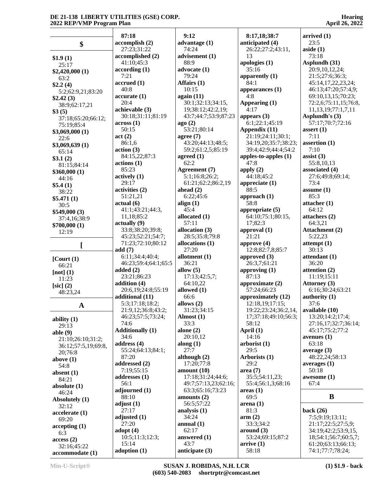|                     | 87:18                   | 9:12                     | 8:17,18;38:7                  | arrived $(1)$                          |
|---------------------|-------------------------|--------------------------|-------------------------------|----------------------------------------|
|                     | accomplish (2)          | advantage $(1)$          | anticipated (4)               | 23:5                                   |
| \$                  | 27:23:31:22             | 74:24                    | 26:22:27:2:43:11,             | aside(1)                               |
|                     |                         |                          |                               |                                        |
| \$1.9(1)            | accomplished (2)        | advisement (1)           | 13                            | 73:18                                  |
| 25:17               | 41:10:45:3              | 88:9                     | apologies (1)                 | Asplundh (31)                          |
| \$2,420,000 (1)     | according(1)            | advocate (1)             | 35:16                         | 20:9, 10, 12, 24;                      |
| 63:2                | 7:21                    | 79:24                    | apparently $(1)$              | 21:5;27:6;36:3;                        |
| \$2.2(4)            | accrued(1)              | Affairs (1)              | 84:1                          | 45:14,17,22,23,24;                     |
| 5:2;62:9,21;83:20   | 40:8                    | 10:15                    | appearances $(1)$             | 46:13;47:20;57:4,9;                    |
|                     | accurate(1)             | again (11)               | 4:8                           | 69:10,13,15;70:23;                     |
| \$2.42(3)           | 20:4                    | 30:1;32:13;34:15,        | Appearing (1)                 | 72:2,6;75:11,15;76:8,                  |
| 38:9;62:17,21       | achievable (3)          |                          | 4:17                          |                                        |
| \$3(5)              |                         | 19;38:12;42:2,19;        |                               | 11, 13, 19; 77: 1, 7, 11               |
| 37:18;65:20;66:12;  | 30:18;31:11;81:19       | 43:7:44:7:53:9:87:23     | appears $(3)$                 | Asplundh's (3)                         |
| 75:19;85:4          | across(1)               | ago(2)                   | 6:1;22:1;45:19                | 57:17;70:7;72:16                       |
| \$3,069,000(1)      | 50:15                   | 53:21;80:14              | Appendix (11)                 | assert $(1)$                           |
| 22:6                | act(2)                  | agree $(7)$              | 21:19;24:11;30:1;             | 7:11                                   |
| \$3,069,639 (1)     | 86:1,6                  | 43:20;44:13;48:5;        | 34:19,20;35:7;38:23;          | assertion $(1)$                        |
|                     | action(3)               | 59:2;61:2,5;85:19        | 39:4;42:9;44:4;54:2           | 7:10                                   |
| 65:14               | 84:15,22;87:3           | agreed $(1)$             | apples-to-apples $(1)$        | assist $(3)$                           |
| \$3.1(2)            |                         | 62:2                     | 47:8                          | 55:8,10,13                             |
| 81:15:84:14         | actions(1)              |                          |                               |                                        |
| \$360,000(1)        | 85:23                   | Agreement (7)            | apply $(2)$                   | associated (4)                         |
| 44:16               | actively(1)             | 5:1;16:8;26:2;           | 44:18:45:2                    | 27:6;49:8;69:14;                       |
| \$5.4(1)            | 29:17                   | 61:21;62:2;86:2,19       | appreciate (1)                | 73:4                                   |
| 38:22               | activities (2)          | ahead $(2)$              | 88:5                          | assume $(1)$                           |
|                     | 51:21,21                | 6:22;45:6                | approach $(1)$                | 85:3                                   |
| \$5.471(1)          | actual(6)               | align $(1)$              | 58:8                          | attacher(1)                            |
| 30:5                |                         | 45:4                     |                               | 64:12                                  |
| \$549,000(3)        | 41:1;43:21;44:3,        |                          | appropriate $(5)$             |                                        |
| 37:4,16;38:9        | 11,18;85:2              | allocated (1)            | 64:10;75:1;80:15,             | attachers (2)                          |
| \$700,000(1)        | $\text{actually } (9)$  | 57:11                    | 17;82:3                       | 64:3,21                                |
| 12:19               | 33:8;38:20;39:8;        | allocation (3)           | approval (1)                  | Attachment (2)                         |
|                     | 45:23;52:21;54:7;       | 28:5;35:8;79:8           | 21:21                         | 5:22,23                                |
|                     |                         |                          |                               |                                        |
|                     |                         |                          |                               |                                        |
|                     | 71:23;72:10;80:12       | allocations (1)          | approve $(4)$                 | attentionpt(1)                         |
|                     | add(7)                  | 27:20                    | 12:8;82:7,8;85:7              | 30:13                                  |
| $[$ Court $(1)$     | 6:11;34:4;40:4;         | allotment (1)            | approved $(3)$                | attendant (1)                          |
| 66:21               | 46:23;59:4;64:1;65:5    | 36:21                    | 26:3,7;61:21                  | 36:20                                  |
| [not] $(1)$         | added $(2)$             | allow $(5)$              | approving $(1)$               | attention (2)                          |
| 11:23               | 23:21;86:23             | 17:13;42:5,7;            | 87:13                         | 11:19;15:11                            |
|                     | addition (4)            | 64:10,22                 | approximate (2)               | Attorney (3)                           |
| $[sic]$ (2)         | 20:6,19;24:8;55:19      | allowed (1)              | 57:24;66:23                   | 6:16;30:24;63:21                       |
| 48:23,24            | additional (11)         | 66:6                     |                               |                                        |
|                     |                         |                          | approximately (12)            | authority $(1)$                        |
| $\mathbf A$         | 5:3;17:18;18:2;         | allows (2)               | $\left[12:18,19;17:15\right]$ | 37:6                                   |
|                     | 21:9,12;36:8;43:2;      | 31:23;34:15              | 19:22;23:24;36:2,14,          | available (10)                         |
| ability $(1)$       | 46:23;57:5;73:24;       | Almost $(1)$             | 17;37:18;49:10;56:3;          | 13:20;14:2;17:4;                       |
| 29:13               | 74:6                    | 33:3                     | 58:12                         | 27:16,17;32:7;36:14;                   |
|                     | <b>Additionally (1)</b> | alone $(2)$              | April (1)                     | 45:17;75:2;77:2                        |
| able $(9)$          | 34:6                    | 20:10,12                 | 14:16                         | avenues $(1)$                          |
| 21:10;26:10;31:2;   | address $(4)$           | along $(1)$              | arborist(1)                   | 63:18                                  |
| 36:12;57:5,19;69:8, | 55:24;64:13;84:1;       | 27:7                     | 29:5                          | average $(3)$                          |
| 20;76:8             |                         |                          |                               |                                        |
| above $(1)$         | 87:20                   | although $(2)$           | Arborists (1)                 | 48:22,24;58:13                         |
| 54:8                | addressed (2)           | 17:20;77:8               | 29:2                          | averages(1)                            |
| absent $(1)$        | 7:19;55:15              | amount(10)               | area(7)                       | 50:18                                  |
| 84:21               | addresses (1)           | 17:18;31:24;44:6;        | 35:5;54:11,23;                | awesome (1)                            |
| absolute $(1)$      | 56:1                    | 49:7;57:13,23;62:16;     | 55:4;56:1,3;68:16             | 67:4                                   |
|                     | adjourned (1)           | 63:3;65:16;73:23         | areas(1)                      |                                        |
| 46:24               | 88:10                   | amounts $(2)$            | 69:5                          | B                                      |
| Absolutely (1)      | adjust(1)               | 56:5;57:22               | area(1)                       |                                        |
| 32:12               | 27:17                   |                          | 81:3                          |                                        |
| accelerate (1)      |                         | analysis $(1)$           |                               | back (26)                              |
| 69:20               | adjusted $(1)$          | 34:24                    | arm(2)                        | 7:5;9:19;13:11;                        |
| accepting(1)        | 27:20                   | annual $(1)$             | 33:3;34:2                     | 21:17;22:5;27:5,9;                     |
| 6:3                 | adopt $(4)$             | 62:17                    | around (3)                    | 34:19;42:2;53:9,15,                    |
| access(2)           | 10:5;11:3;12:3;         | answered (1)             | 53:24;69:15;87:2              | 18;54:1;56:7;60:5,7;                   |
| 32:16;45:22         | 15:14<br>adoption $(1)$ | 43:7<br>anticipate $(3)$ | arrive(1)<br>58:18            | 61:20;63:13;66:13;<br>74:1;77:7;78:24; |

**accommodate (1)**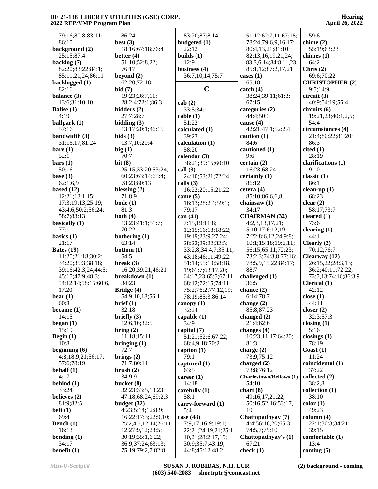| 79:16;80:8;83:11;                      | 86:24                              | 83:20;87:8,14                           | 51:12;62:7,11;67:18;                  | 59:6                                   |
|----------------------------------------|------------------------------------|-----------------------------------------|---------------------------------------|----------------------------------------|
| 86:10                                  | best $(3)$                         | budgeted (1)                            | 78:24;79:6,9,16,17;                   | chime $(2)$                            |
| background (2)                         | 18:16;67:18;76:4                   | 22:12                                   | 80:4,13,21;81:10;                     | 55:19;63:23                            |
| 25:15;87:4                             | better $(4)$                       | builds $(1)$                            | 82:13,16,19,21,24;                    | chimes $(1)$                           |
| backlog (7)                            | 51:10;52:8,22;                     | 12:9                                    | 83:3,6,14;84:8,11,23;                 | 64:2                                   |
| 82:20;83:22;84:1;                      | 76:17                              | business (4)                            | 85:1,12;87:2,17,21                    | Chris $(2)$                            |
| 85:11,21,24;86:11                      | beyond $(2)$                       | 36:7,10,14;75:7                         | cases $(1)$                           | 69:6;70:22                             |
| backlogged (1)                         | 62:20;72:18                        |                                         | 65:18                                 | <b>CHRISTOPHER (2)</b>                 |
| 82:16                                  | bid(7)                             | $\mathbf C$                             | $\text{catch} (4)$                    | 9:5;14:9                               |
| balance (3)                            | 19:23;26:7,11;                     |                                         | 38:24;39:11;61:3;                     | circuit (3)                            |
| 13:6;31:10,10                          | 28:2,4;72:1;86:3                   | cab(2)                                  | 67:15                                 | 40:9;54:19;56:4                        |
| Balise (1)                             | bidders $(2)$                      | 33:5;34:1                               | categories (2)                        | circuits (6)                           |
| 4:19                                   | 27:7;28:7                          | cable(1)                                | 44:4:50:3                             | 19:21,23;40:1,2,5;                     |
| ballpark $(1)$<br>57:16                | bidding $(3)$<br>13:17;20:1;46:15  | 51:22                                   | cause $(4)$<br>42:21;47:1;52:2,4      | 54:4<br>circumstances (4)              |
| bandwidth (3)                          | bids(3)                            | calculated (1)<br>39:23                 | caution $(1)$                         | 21:4;80:22;81:20;                      |
| 31:16,17;81:24                         | 13:7,10;20:4                       | calculation (1)                         | 84:6                                  | 86:3                                   |
| bare(1)                                | big(1)                             | 58:20                                   | cautioned (1)                         | cited(1)                               |
| 52:1                                   | 70:7                               | calendar $(3)$                          | 9:6                                   | 28:19                                  |
| bars(1)                                | bit(8)                             | 38:21;39:15;60:10                       | certain $(2)$                         | clarifications (1)                     |
| 50:16                                  | 25:15:33:20:53:24;                 | call $(3)$                              | 16:23;68:24                           | 9:10                                   |
| base $(3)$                             | 60:23;63:14;65:4;                  | 24:10;53:21;72:24                       | certainly (1)                         | classic $(1)$                          |
| 62:1,6,9                               | 78:23;80:13                        | calls $(3)$                             | 86:12                                 | 86:1                                   |
| based $(12)$                           | blessing $(2)$                     | 16:22;20:15;21:22                       | cetera $(4)$                          | clean-up $(1)$                         |
| 12:21;13:1,15;                         | 71:8,9                             | came $(5)$                              | 85:10;86:6,6,8                        | 68:23                                  |
| 17:3;19:13;25:19;                      | $\text{bode}(1)$                   | 16:13;28:2,4;59:1;                      | chainsaw $(1)$                        | clear $(2)$                            |
| 43:4,6;50:2;56:24;                     | 81:3                               | 79:17                                   | 34:17                                 | 58:17;73:7                             |
| 58:7;83:13                             | both $(4)$                         | can (41)                                | <b>CHAIRMAN (32)</b>                  | cleared $(1)$                          |
| basically $(1)$                        | 13:23;41:1;51:7;                   | 7:15,19;11:8;                           | 4:2,3,13,17,21;                       | 73:6                                   |
| 77:11                                  | 70:22                              | 12:15;16:18;18:22;                      | 5:10,17;6:12,19;                      | clearing $(1)$                         |
| basics $(1)$                           | bothering (1)                      | 19:19;23:9;27:24;                       | 7:22;8:6,12,24;9:8;                   | 44:1                                   |
| 21:17                                  | 63:14                              | 28:22;29:22;32:5;                       | 10:1;15:18;19:6,11;                   | Clearly $(2)$                          |
| Bates $(19)$                           | bottom $(1)$                       | 33:2,8;34:4,7;35:11;                    | 56:15;65:11;72:23;                    | 70:12;76:7                             |
| 11:20;21:18;30:2;<br>34:20;35:3;38:18; | 54:5<br>break $(3)$                | 43:18;46:11;49:22;                      | 73:2,3;74:3,8;77:16;                  | Clearway $(12)$                        |
| 39:16;42:3,24;44:5;                    | 16:20;39:21;46:21                  | 51:14;55:19;58:18,<br>19;61:7;63:17,20; | 78:5,9,15,22;84:17;<br>88:7           | 26:15,22;28:3,13;<br>36:2;40:11;72:22; |
| 45:15;47:9;48:3;                       | breakdown (1)                      | 64:17,23;65:5;67:11;                    | challenged (1)                        | 73:5,13;74:16;86:3,9                   |
| 54:12,14;58:15;60:6,                   | 34:23                              | 68:12;72:15;74:11;                      | 36:5                                  | Clerical (1)                           |
| 17,20                                  | Bridge (4)                         | 75:2;76:2;77:12,19;                     | chance $(2)$                          | 42:12                                  |
| $\mathbf{bear}\left(1\right)$          | 54:9,10,18;56:1                    | 78:19;85:3;86:14                        | 6:14;78:7                             | close $(1)$                            |
| 60:8                                   | brief(1)                           | canopy (1)                              | change (2)                            | 44:11                                  |
| became $(1)$                           | 32:18                              | 32:24                                   | 85:8;87:23                            | closer $(2)$                           |
| 14:15                                  | briefly $(3)$                      | capable $(1)$                           | changed $(2)$                         | 32:3;57:3                              |
| began $(1)$                            | 12:6, 16: 32: 5                    | 34:9                                    | 21:4;62:6                             | closing $(1)$                          |
| 15:19                                  | bring $(2)$                        | capital (7)                             | changes $(4)$                         | 5:16                                   |
| Begin $(1)$                            | 11:18;15:11                        | 51:21;52:6;67:22;                       | 10:23;11:17;64:20;                    | closings $(1)$                         |
| 10:8                                   | bringing $(1)$                     | 68:4,9,18;70:2                          | 81:3                                  | 78:19                                  |
| beginning $(6)$                        | 72:7                               | caption $(1)$                           | charge (2)                            | Coast $(1)$                            |
| 4:8;18:9,21;56:17;                     | brings $(2)$                       | 79:1                                    | 73:9;75:12                            | 11:24                                  |
| 57:6;78:19                             | 71:7;80:11                         | captured $(1)$                          | charged $(2)$                         | coincidental (1)                       |
| behalf $(1)$                           | brush $(2)$                        | 63:5                                    | 73:8;76:12                            | 37:22                                  |
| 4:17                                   | 34:9,9                             | career (1)                              | <b>Charlestown/Bellows (1)</b>        | collected $(2)$                        |
| behind $(1)$                           | bucket (8)                         | 14:18                                   | 54:10                                 | 38:2,8                                 |
| 33:24                                  | 32:23;33:5,13,23;                  | carefully $(1)$                         | chart(8)                              | collection (1)                         |
| believes (2)<br>81:9;82:5              | 47:18;68:24;69:2,3                 | 58:1<br>carry-forward (1)               | 49:16,17,21,22;<br>50:16;52:16;53:17, | 38:10<br>color(1)                      |
| belt $(1)$                             | budget $(32)$<br>4:23;5:14;12:8,9; | 5:4                                     | 19                                    | 49:23                                  |
| 69:4                                   | 16:22;17:3;22:9,10;                | case $(48)$                             | Chattopadhyay (7)                     | column (4)                             |
| Bench $(1)$                            | 25:2,4,5,12,14;26:11,              | 7:9,17;16:9;19:1;                       | 4:4;56:18,20;65:3;                    | 22:1;30:3;34:21;                       |
| 16:13                                  | 12;27:9,12;28:5;                   | 22:21;24:19,21;25:1,                    | 74:5,7;79:10                          | 39:15                                  |
| bending $(1)$                          | 30:19;35:1,6,22;                   | 10,21;28:2,17,19;                       | Chattopadhyay's (1)                   | comfortable (1)                        |
| 34:17                                  | 36:9;37:24;63:13;                  | 30:9;35:7;43:19;                        | 67:21                                 | 13:4                                   |
| benefit $(1)$                          | 75:19;79:2,7;82:8;                 | 44:8;45:12;48:2;                        | check $(1)$                           | coming $(5)$                           |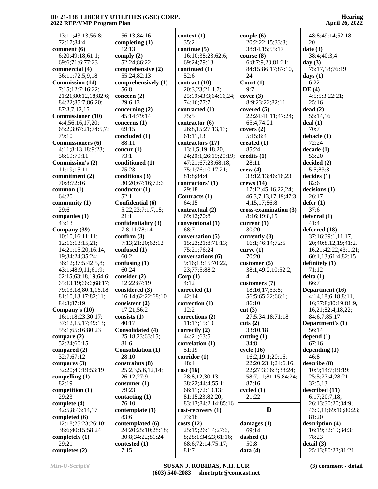13:11;43:13;56:8; 72:17;84:4 **comment (6)** 6:20;49:18;61:1; 69:6;71:6;77:23 **commercial (4)** 36:11;72:5,9,18 **Commission (14)** 7:15;12:7;16:22; 21:21;80:12,18;82:6; 84:22;85:7;86:20; 87:3,7,12,15 **Commissioner (10)** 4:4;56:16,17,20; 65:2,3;67:21;74:5,7; 79:10 **Commissioners (6)** 4:11;8:13,18;9:23; 56:19;79:11 **Commission's (2)** 11:19;15:11 **commitment (2)** 70:8;72:16 **common (1)** 64:20 **community (1)** 29:6 **companies (1)** 43:13 **Company (39)** 10:10,16;11:11; 12:16;13:15,21; 14:21;15:20;16:14, 19;34:24;35:24; 36:12;37:5;42:5,8; 43:1;48:9,11;61:9; 62:15;63:18,19;64:6; 65:13,19;66:6;68:17; 79:13,18;80:1,16,18; 81:10,13,17;82:11; 84:3;87:19 **Company's (10)** 16:1;18:23;30:17; 37:12,15,17;49:13; 55:1;65:16;80:23 **compare (2)** 52:24;60:15 **compared (2)** 32:7;67:12 **compares (3)** 32:20;49:19;53:19 **compelling (1)** 82:19 **competition (1)** 29:23 **complete (4)** 42:5,8;43:14,17 **completed (6)** 12:18;25:23;26:10; 38:6;40:15;58:24 **completely (1)** 29:21 **completes (2)**

 56:13;84:16 **completing (1)** 12:13 **comply (2)** 52:24;86:22 **comprehensive (2)** 55:24;82:13 **comprehensively (1)** 56:8 **concern (2)** 29:6,13 **concerning (2)** 45:14;79:14 **concerns (1)** 69:15 **concluded (1)** 88:11 **concur (1)** 73:1 **conditioned (1)** 75:23 **conditions (3)** 30:20;67:16;72:6 **conductor (1)** 52:1 **Confidential (6)** 5:22,23;7:1,7,18;  $21.1$ **confidentiality (3)** 7:8,11;78:14 **confirm (3)** 7:13;21:20;62:12 **confused (1)** 60:2 **confusing (1)** 60:24 **consider (2)** 12:22;87:19 **considered (3)** 16:14;62:22;68:10 **consistent (2)** 17:21;56:2 **consists (1)** 40:17 **Consolidated (4)** 25:18,23;63:15; 81:6 **Consolidation (1)** 28:10 **constraints (8)** 25:2,3,5,6,12,14; 26:12;27:9 **consumer (1)** 79:23 **contacting (1)** 76:10 **contemplate (1)** 83:6 **contemplated (6)** 24:20;25:10;28:18; 30:8;34:22;81:24 **contested (1)** 7:15

**context (1)** 35:21 **continue (5)** 16:10;38:23;62:6; 69:24;79:13 **continued (1)** 52:6 **contract (10)** 20:3,23;21:1,7; 25:19;43:3;64:16,24; 74:16;77:7 **contracted (1)** 75:5 **contractor (6)** 26:8,15;27:13,13; 61:11,13 **contractors (17)** 13:1,5;19:18,20, 24;20:1;26:19;29:19; 47:21;67:23;68:18; 75:1;76:10,17,21; 81:8;84:4 **contractors' (1)** 29:18 **Contracts (1)** 64:15 **contractual (2)** 69:12;70:8 **conventional (1)** 68:7 **conversation (5)** 15:23;21:8;71:13; 75:21;76:24 **conversations (6)** 9:16;13:15;70:22, 23;77:5;88:2 **Corp (1)** 4:12 **corrected (1)** 42:14 **correction (1)** 12:2 **corrections (2)** 11:17;15:10 **correctly (2)** 44:21;63:5 **correlation (1)** 51:19 **corridor (1)** 48:4 **cost (16)** 28:8,12;30:13; 38:22;44:4;55:1; 66:11;72:10,13; 81:15,23;82:20; 83:13;84:2,14;85:16 **cost-recovery (1)** 73:16 **costs (12)** 25:19;26:1,4;27:6, 8;28:1;34:23;61:16; 68:6;72:14;75:17; 81:7

**couple (6)** 20:2;22:15;33:8; 38:14,15;55:17 **course (8)** 6:8;7:9,20;81:21; 84:15;86:17;87:10, 24 **Court (1)** 9:7 **cover (3)** 8:9;23:22;82:11 **covered (5)** 22:24;41:11;47:24; 65:4;74:21 **covers (2)** 5:15;8:4 **created (1)** 85:24 **credits (1)** 28:11 **crew (4)** 33:12,13;46:16,23 **crews (14)** 17:12;45:16,22,24; 46:3,7,13,17,19;47:3, 4,15,17;86:8 **cross-examination (3)** 8:16;19:8,15 **current (1)** 30:20 **currently (3)** 16:1;46:14;72:5 **curve (1)** 70:20 **customer (5)** 38:1;49:2,10;52:2, 4 **customers (7)** 18:16,17;53:8; 56:5;65:22;66:1; 86:10 **cut (3)** 27:5;34:18;71:18 **cuts (2)** 33:10,18 **cutting (1)** 34:8 **cycle (16)** 16:2;19:1;20:16; 22:20;23:1;24:6,16, 22;27:3;36:3;38:24; 58:7,11;81:15;84:24; 87:16 **cycled (1)** 21:22 **D damages (1)** 69:14 **dashed (1)** 50:8 **data (4)**

**Hearing April 26, 2022**

 48:8;49:14;52:18, 20 **date (3)** 38:4;40:3,4 **day (3)** 75:17,18;76:19 **days (1)** 6:22 **DE (4)** 4:5;5:3;22:21; 25:16 **dead (2)** 55:14,16 **deal (1)** 70:7 **debacle (1)** 72:24 **decade (1)** 53:20 **decided (2)** 5:5;83:3 **decides (1)** 82:6 **decisions (1)** 26:17 **defer (1)** 37:6 **deferral (1)** 41:4 **deferred (18)** 37:16;39:1,11,17, 20;40:8,12,19;41:2, 16,21;42:22;43:1,21; 60:1,13;61:4;82:15 **definitely (1)** 71:12 **delta (1)** 66:7 **Department (16)** 4:14,18;6:18;8:11, 16;37:8;80:19;81:9, 16,21;82:4,18,22; 84:6,7;85:17 **Department's (1)** 56:14 **depend (1)** 67:16 **depending (1)** 46:8 **describe (8)** 10:9;14:7;19:19; 25:5;27:4;28:21; 32:5,13 **described (11)** 6:17;20:7,18; 26:13;30:20;34:9; 43:9,11;69:10;80:23; 81:20 **description (4)** 16:19;32:19;34:3; 78:23 **detail (3)** 25:13;80:23;81:21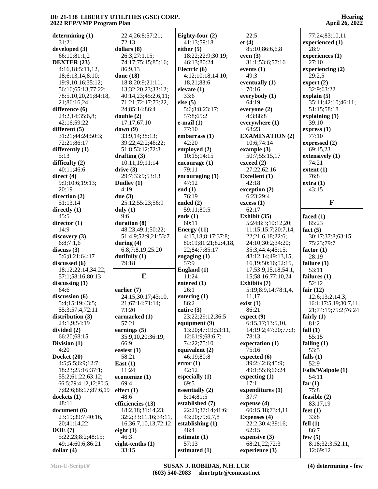| determining $(1)$                | 22:4;26:8;57:21;            | Eighty-four (2)        | 22:5                            | 77:24;83:10,11               |
|----------------------------------|-----------------------------|------------------------|---------------------------------|------------------------------|
| 31:21                            | 72:13                       | 41:13;59:18            | et(4)                           | experienced (1)              |
| developed (3)                    | dollars (8)                 | either $(5)$           | 85:10;86:6,6,8                  | 28:9                         |
| 66:10;81:1,2                     | 26:3;27:1,15;               | 18:22;22:9;30:19;      | even $(3)$                      | experiences (1)              |
| DEXTER (23)                      | 74:17;75:15;85:16;          | 46:13;80:24            | 31:1;53:6;57:16                 | 27:10                        |
| 4:16,18;5:11,12,                 | 86:9,13                     | Electric (6)           | events $(1)$                    | experiencing (2)             |
| 18;6:13,14;8:10;                 | done (18)                   | 4:12;10:18;14:10,      | 49:3                            | 29:2,5                       |
| 19:9, 10, 16: 35: 12;            | 18:8;20:9;21:11,            | 18,21;83:6             | eventually $(1)$                | expert $(2)$                 |
| 56:16;65:13;77:22;               | 13;32:20,23;33:12;          | elevate $(1)$          | 70:16                           | 32:9;63:22                   |
| 78:5,10,20,21;84:18,             | 40:14,23;45:2,6,11;         | 33:6                   | everybody (1)                   | explain $(5)$                |
| 21;86:16,24                      | 71:21;72:17;73:22,          | else $(5)$             | 64:19                           | 35:11;42:10;46:11;           |
| difference (6)                   | 24;85:14;86:4               | 5:6;8:8;23:17;         | everyone (2)                    | 51:15;58:18                  |
| 24:2,14;35:6,8;                  | double(2)                   | 57:8;65:2              | 4:3;88:8                        | explaining $(1)$             |
| 42:16;59:22                      | 17:17;67:10                 | $e$ -mail $(1)$        | everywhere (1)                  | 39:10                        |
| different $(5)$                  | down(9)                     | 77:10                  | 68:23                           | express $(1)$                |
| 31:21;44:24;50:3;                | 33:9,14;38:13;              | embarrass (1)          | <b>EXAMINATION (2)</b>          | 77:10                        |
| 72:21;86:17                      | 39:22;42:2;46:22;           | 42:20                  | 10:6;74:14                      | expressed (2)                |
| differently (1)                  | 51:8;53:12;72:8             | employed (2)           | example $(3)$                   | 69:15,23                     |
| 5:13                             | drafting $(3)$              | 10:15;14:15            | 50:7;55:15,17                   | extensively (1)              |
| difficulty $(2)$                 | 10:11,19;11:14              | encourage (1)          | exceed (2)                      | 74:21                        |
| 40:11:46:6                       | drive(3)                    | 79:11                  | 27:22;62:16                     | extent(1)                    |
| direct $(4)$                     | 29:7;33:9;53:13             | encouraging (1)        | <b>Excellent</b> (1)            | 76:8                         |
| 9:9;10:6;19:13;                  | Dudley (1)                  | 47:12                  | 42:18                           | extra(1)                     |
| 20:19                            | 4:19                        | end $(1)$              | exception (2)                   | 43:15                        |
| direction (2)                    | due $(3)$                   | 76:19                  | 6:23;29:4                       |                              |
| 51:13,14                         | 25:12;55:23;56:9            | ended $(2)$            | excess(1)                       | $\mathbf F$                  |
| directly $(1)$                   | duly $(1)$                  | 59:11;80:5             | 62:17                           |                              |
| 45:5                             | 9:6                         | ends $(1)$             | Exhibit (35)                    | faced $(1)$                  |
| director $(1)$                   | duration (8)                | 60:11                  | 5:24;8:3;10:12,20;              | 85:23                        |
| 14:9                             | 48:23;49:1;50:22;           | Energy $(11)$          | 11:15;15:7;20:7,14,             | fact $(5)$                   |
| discovery(3)                     | 51:4,9;52:9,21;53:7         | 4:15,18;8:17;37:8;     | 22;21:6,18;22:6;                | 30:17;37:8;63:15;            |
| 6:8;7:1,6                        | during $(4)$                | 80:19;81:21;82:4,18,   | 24:10;30:2;34:20;               | 75:23;79:7                   |
| discuss $(3)$                    | 6:8;7:8,19;25:20            | 22;84:7;85:17          | 35:3;44:4;45:15;                | factor $(1)$                 |
| 5:6;8:21;64:17                   | dutifully (1)               | engaging $(1)$         | 48:12,14;49:13,15,              | 28:19                        |
| discussed (6)                    | 79:18                       | 57:9                   | 16, 19; 50: 16; 52: 15,         | failure $(1)$                |
| 18:12;22:14;34:22;               |                             | England $(1)$          | 17;53:9,15,18;54:1,             | 53:11                        |
| 57:1;58:16;80:13                 | E                           | 11:24                  | 15;58:16;77:10,24               | failures $(1)$               |
| discussing $(1)$                 |                             | entered $(1)$          | Exhibits (7)                    | 52:12                        |
| 64:6                             | earlier (7)                 | 26:1                   | 5:19;8:9,14;78:1,4,             | fair $(12)$                  |
| discussion (6)                   | 24:15;30:17;43:10,          | entering $(1)$         | 11,17                           | 12:6;13:2;14:3;              |
| 5:4;15:19;43:5;                  | 21;67:14;71:14;             | 86:2                   | exist(1)                        | 16:1;17:5,19;30:7,11,        |
| 55:3;57:4;72:11                  | 73:20                       | entire $(3)$           | 86:21                           | 21;74:19;75:2;76:24          |
| distribution (3)                 | earmarked (1)               | 23:22;29:12;36:5       | expect(9)                       | fairly $(1)$                 |
| 24:1,9;54:19                     | 57:21                       | equipment (9)          | 6:15,17;13:5,10,                | 81:2                         |
| divided (2)                      | earnings $(5)$              | 13:20;47:19;53:11,     | 14;19:2;47:20;77:3;             | fall $(1)$                   |
| 66:20;68:15                      | 35:9,10,20;36:19;           | 12;61:9;68:6,7;        | 78:13                           | 55:15                        |
| Division $(1)$                   | 66:9                        | 74:22;75:10            | expectation (1)                 | falling $(1)$                |
| 4:20                             | easiest $(1)$               | equivalent $(2)$       | 75:16                           | 53:5                         |
| Docket (20)                      | 58:21                       | 46:19:80:8             | expected (6)                    | falls $(1)$                  |
| 4:5;5:5;6:9;12:7;                | East $(1)$                  | error(1)               | 39:2;42:6;45:9;                 | 52:9                         |
| 18:23;25:16;37:1;                | 11:24                       | 42:12                  | 49:1;55:6;66:24                 | Falls/Walpole (1)            |
| 55:2;61:22;63:12;                | economize (1)               | especially $(1)$       | expecting $(1)$                 | 54:11                        |
| 66:5;79:4,12,12;80:5,            | 69:4                        | 69:5                   | 17:1                            | far $(1)$                    |
| 7;82:6;86:17;87:6,19             | effect(1)                   | essentially $(2)$      | expenditures (1)                | 75:8                         |
| clockets(1)                      | 48:6                        | 5:14;81:5              | 37:7                            | feasible $(2)$               |
| 48:11                            | efficiencies (13)           | established (7)        | expense (4)                     | 83:17,19                     |
| document (6)                     | 18:2,18;31:14,23;           | 22:21;37:14;41:6;      | 60:15,18;73:4,11                | feet $(1)$                   |
| 23:19:39:7:40:16,                | 32:2;33:11,16;34:11,        | 43:20;79:6,7,8         | <b>Expenses</b> (4)             | 33:8                         |
| 20;41:14,22                      | 16;36:7,10,13;72:12         | establishing $(1)$     | 22:2;30:4;39:16;                | fell $(1)$                   |
|                                  |                             |                        |                                 |                              |
| DOE(7)                           | eight $(1)$                 | 48:4                   | 62:15                           | 86:7                         |
| 5:22,23;8:2;48:15;               | 46:3                        | estimate $(1)$         | expensive $(3)$                 | few $(5)$                    |
| 49:14;60:6;86:21<br>dollar $(4)$ | eight-tenths $(1)$<br>33:15 | 57:13<br>estimated (1) | 68:21,22;72:3<br>experience (3) | 8:18;32:3;52:11,<br>12;69:12 |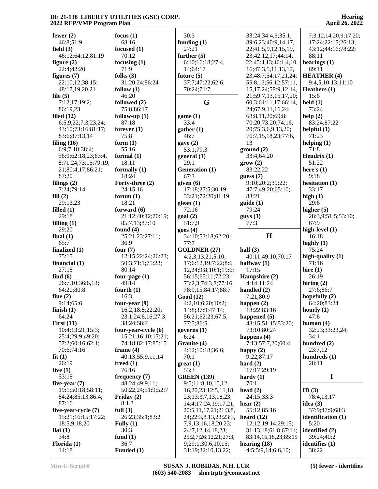| fewer $(2)$           | focus $(1)$           | 30:3                                         | 33:24;34:4,6;35:1;         | 7:3,12,14,20;9:17,20; |
|-----------------------|-----------------------|----------------------------------------------|----------------------------|-----------------------|
| 46:8;51:9             | 68:16                 | funding $(1)$                                | 39:6,23;40:9,14,17,        | 17:24;22:15;26:13;    |
| field $(3)$           | focused $(1)$         | 27:21                                        | 22;41:5,9,12,15,19,        | 43:12;44:16;78:22;    |
| 46:12;64:12;81:19     | 70:12                 | further $(5)$                                | 23;42:12,17;44:14,         | 88:11                 |
| figure $(2)$          | focusing $(1)$        | 6:10;16:18;27:4,                             | 22;45:4,13;46:1,4,10,      | hearings $(1)$        |
| 22:4:42:20            | 71:9                  | 14;64:17                                     | 16;47:3,5,11,13,17,        | 69:11                 |
| figures $(7)$         | folks $(3)$           | future $(5)$                                 | 23;48:7;54:17,21,24;       | <b>HEATHER (4)</b>    |
| 22:10,12;38:15;       | 31:20,24;86:24        | 37:7;47:22;62:6;                             | 55:8,13;56:12;57:11,       | 9:4,5;10:13;11:10     |
| 48:17,19,20,21        |                       | 70:24;71:7                                   | 15, 17, 24; 58: 9, 12, 14, | Heathers $(1)$        |
|                       | follow $(1)$<br>46:20 |                                              |                            | 15:6                  |
| file $(5)$            |                       | G                                            | 21;59:7,13,15,17,20;       | $\text{held}(1)$      |
| 7:12,17;19:2;         | followed (2)          |                                              | 60:3;61:11,17;66:14,       |                       |
| 86:19,23              | 75:8;86:17            |                                              | 24;67:9,11,16,24;          | 73:24                 |
| filed $(12)$          | follow-up $(1)$       | game(1)                                      | 68:8,11,20;69:8;           | help(2)               |
| 6:5,9,22;7:3,23,24;   | 87:18                 | 33:4                                         | 70:20;73:20;74:16,         | 83:24;87:22           |
| 43:10;73:16;81:17;    | forever $(1)$         | gather (1)                                   | 20;75:3,6,9,13,20;         | helpful $(1)$         |
| 83:6;87:13,14         | 75:8                  | 46:7                                         | 76:7,15,18,23;77:6,        | 71:23                 |
| filing $(16)$         | form $(1)$            | gave $(2)$                                   | 13                         | helping $(1)$         |
| 6:9;7:18;38:4;        | 55:16                 | 53:1;79:3                                    | ground(2)                  | 71:8                  |
| 56:9;62:18,23;63:4,   | formal $(1)$          | general(1)                                   | 33:4;64:20                 | Hendrix $(1)$         |
| 8;71:24;73:15;79:19,  | 18:11                 | 29:1                                         | grow(2)                    | 51:22                 |
| 21;80:4,17;86:21;     | formally $(1)$        | Generation (1)                               | 83:22,22                   | here's $(1)$          |
| 87:20                 | 18:24                 | 67:3                                         | guess(7)                   | 9:18                  |
| filings $(2)$         | Forty-three (2)       | given $(6)$                                  | 9:10;20:2;39:22;           | hesitation (1)        |
| 7:24;79:14            | 24:15,16              | 17:18;27:5;30:19;                            | 47:7;49:20;65:10;          | 33:17                 |
| fill(2)               | forum $(1)$           | 33:21;72:20;81:19                            | 83:21                      | high $(1)$            |
| 29:13,23              | 18:21                 | glean $(1)$                                  | guide(1)                   | 29:6                  |
| filled $(1)$          | forward $(6)$         | 72:16                                        | 79:24                      | higher $(5)$          |
| 29:18                 | 21:12;40:12;70:19;    | goal(2)                                      | guys(1)                    | 28:3,9;51:5;53:10;    |
| filling $(1)$         | 85:7,13;87:10         | 51:7,9                                       | 77:3                       | 67:9                  |
| 29:20                 | found $(4)$           | goes(4)                                      |                            | high-level (1)        |
| final $(1)$           | 25:21,23;27:11;       | 34:10;53:18;62:20;                           | H                          | 16:18                 |
|                       |                       |                                              |                            |                       |
| 65:7                  | 36:9                  | 77:7                                         |                            | highly $(1)$          |
| finalized $(1)$       | four $(7)$            | <b>GOLDNER (27)</b>                          | half $(3)$                 | 75:24                 |
| 75:15                 | 12:15;22:24;26:23;    | 4:2,3,13,21;5:10,                            | 40:11;49:10;70:17          | high-quality $(1)$    |
| financial $(1)$       | 50:3;71:1;75:22;      | 17;6:12,19;7:22;8:6,                         | halfway $(1)$              | 71:16                 |
| 27:18                 | 80:14                 | 12,24;9:8;10:1;19:6;                         | 17:15                      | hire $(1)$            |
| find $(6)$            | four-page $(1)$       | 56:15;65:11;72:23;                           | Hampshire (2)              | 26:19                 |
| 26:7,10;36:6,13;      | 49:14                 | 73:2,3;74:3,8;77:16;                         | 4:14;11:24                 | hiring $(2)$          |
| 64:20;80:8            | fourth $(1)$          | 78:9,15;84:17;88:7                           | handled $(2)$              | 27:6;86:7             |
| fine $(2)$            | 16:3                  | Good (12)                                    | 7:21;80:9                  | hopefully (2)         |
| 9:14;65:6             | four-year (9)         | 4:2,10;6:20;10:2;                            |                            | 64:20;83:24           |
| finish $(1)$          | 16:2;18:8;22:20;      | 14:8;37:9;47:14;                             | happen (2)<br>18:22;83:16  | hourly $(1)$          |
| 64:24                 | 23:1;24:6,16;27:3;    | 56:21;62:23;67:5;                            | happened $(5)$             | 47:6                  |
| First $(11)$          | 38:24;58:7            | 77:5;86:5                                    | 43:15;51:15;53:20;         | human $(4)$           |
| 10:4;13:21;15:3;      | four-year-cycle (6)   | governs $(1)$                                | 73:10;80:24                | 32:23;33:23,24;       |
| 25:4;29:9;49:20;      | 15:21;16:10;17:21;    | 6:24                                         | happens $(4)$              | 34:1                  |
| 57:2;60:16;62:1;      | 74:18;82:17;85:15     | Granite (4)                                  | 7:13;57:7,20;60:4          | hundred (2)           |
| 70:6;74:16            | frame $(4)$           | 4:12;10:18;36:6;                             | happy $(2)$                | 23:7,12               |
| fit(1)                | 40:13;55:9,11,14      | 70:1                                         | 9:22;87:17                 | hundreds $(1)$        |
| 26:19                 | freed $(1)$           | $gr(1)$                                      | hard $(2)$                 | 28:11                 |
| five $(1)$            | 76:16                 | 53:3                                         | 17:17;29:19                |                       |
| 53:18                 | frequency (7)         | <b>GREEN</b> (139)                           | hardy $(1)$                | I                     |
| five-year $(7)$       | 48:24;49:9,11;        | 9:5;11:8,10,10,12,                           | 70:1                       |                       |
| 19:1;50:18;58:11;     | 50:22,24;51:9;52:7    | 16, 20, 23; 12: 5, 11, 18,                   | head $(2)$                 | ID $(3)$              |
| 84:24;85:13;86:4;     | Friday $(2)$          | 23;13:3,7,13,18,23;                          | 24:15;33:3                 | 78:4,13,17            |
| 87:16                 | 8:1,3                 | 14:4;17:24;19:17,21;                         | hear $(2)$                 | idea $(3)$            |
| five-year-cycle $(7)$ | full $(3)$            | 20:5, 11, 17, 21; 21: 3, 8,                  | 55:12;85:16                | 37:9;47:9;68:3        |
| 15:21;16:15;17:22;    | 26:23;35:1;83:2       |                                              | heard $(12)$               | identification (1)    |
| 18:5,9,18,20          | Fully $(1)$           | 24;22:3,8,13,23;23:3,<br>7,9,13,16,18,20,23; | 12:12;19:14;29:15;         | 5:20                  |
| flat $(1)$            | 30:3                  | 24:7,12,14,18,23;                            | 31:13,18;61:8;67:11;       | identified (2)        |
| 34:8                  | fund $(1)$            | 25:2,7;26:12,21;27:3,                        | 83:14,15,18,23;85:15       | 39:24;40:2            |
| Florida $(1)$         | 36:7                  | 9;29:1;30:6,10,15;                           | hearing $(18)$             | identifies (1)        |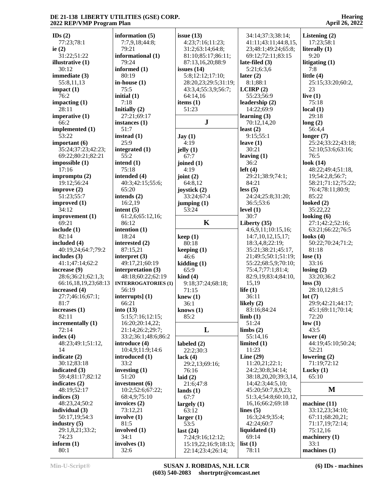| IDs(2)               | information (5)            | issue $(13)$             | 34:14;37:3;38:14;     | Listening $(2)$     |
|----------------------|----------------------------|--------------------------|-----------------------|---------------------|
| 77:23;78:1           | 7:7,9,18;44:8;             | 4:23;7:16;11:23;         | 41:11;43:11;44:8,15,  | 17:23;58:1          |
| ie $(2)$             | 79:21                      | 31:2;63:14;64:8;         | 23;48:1;49:24;65:8;   | literally $(1)$     |
| 31:22;51:22          | informational (1)          | 81:10;85:17;86:11;       | 69:12;72:11;83:15     | 9:20                |
| illustrative $(1)$   | 79:24                      | 87:13,16,20;88:9         | late-filed $(3)$      | litigating $(1)$    |
| 30:12                | informed (1)               | issues $(14)$            | 5:21;6:3,6            | 7:8                 |
| immediate (3)        | 80:19                      | 5:8;12:12;17:10;         | later $(2)$           | little $(4)$        |
| 55:8,11,13           | in-house $(1)$             | 28:20,23;29:5;31:19;     | 8:1;88:1              | 25:15;33:20;60:2,   |
| impact(1)            | 75:5                       | 43:3,4;55:3,9;56:7;      | LCIRP(2)              | 23                  |
| 76:2                 | initial (1)                | 64:14,16                 | 55:23;56:9            | live $(1)$          |
| impacting $(1)$      | 7:18                       | items $(1)$              | leadership (2)        | 75:18               |
| 28:11                | Initially (2)              | 51:23                    | 14:22;69:9            | local(1)            |
| imperative $(1)$     | 27:21;69:17                |                          | learning $(3)$        | 29:18               |
| 66:2                 | instances (1)              | ${\bf J}$                | 70:12,14,20           |                     |
|                      |                            |                          |                       | long(2)             |
| implemented (1)      | 51:7                       |                          | least $(2)$           | 56:4,4              |
| 53:22                | instead $(1)$              | $\text{Jay}(1)$          | 9:15;55:1             | longer $(7)$        |
| important $(6)$      | 25:9                       | 4:19                     | leave $(1)$           | 25:24;33:22;43:18;  |
| 35:24;37:23;42:23;   | integrated (1)             | jelly $(1)$              | 30:21                 | 52:10;53:6;63:16;   |
| 69:22;80:21;82:21    | 55:2                       | 67:7                     | leaving $(1)$         | 76:5                |
| impossible(1)        | intend $(1)$               | joined (1)               | 36:2                  | look $(14)$         |
| 17:16                | 75:18                      | 4:19                     | left(4)               | 48:22;49:4;51:18,   |
| impromptu $(2)$      | intended (4)               | joint $(2)$              | 29:21;38:9;74:1;      | 19;54:2,8;56:7;     |
| 19:12;56:24          | 40:3;42:15;55:6;           | 64:8,12                  | 84:21                 | 58:21;71:12;75:22;  |
| improve $(2)$        | 65:20                      | joystick (2)             | less(5)               | 76:4;78:11;80:9;    |
| 51:23;55:7           | intends $(2)$              | 33:24;67:4               | 24:24;25:8;31:20;     | 85:22               |
| improved (1)         | 16:2,19                    | jumping $(1)$            | 36:5;53:6             | looked $(2)$        |
|                      |                            |                          |                       |                     |
| 34:12                | intent $(5)$               | 53:24                    | level $(1)$           | 35:22,22            |
| improvement (1)      | 61:2,6;65:12,16;           |                          | 30:7                  | looking $(6)$       |
| 69:21                | 86:12                      | $\mathbf K$              | Liberty $(35)$        | 27:1;42:2;52:16;    |
| include $(1)$        | intention (1)              |                          | 4:6,9,11;10:15,16;    | 63:21;66:22;76:5    |
| 82:14                | 18:24                      | keep(1)                  | 14:7,10,12,15,17;     | looks $(4)$         |
| included $(4)$       | interested (2)             | 80:18                    | 18:3,4,8;22:19;       | 50:22;70:24;71:2;   |
| 40:19,24;64:7;79:2   | 87:15,21                   | keeping $(1)$            | 35:21;38:21;45:17,    | 81:18               |
| includes $(3)$       | interpret $(3)$            | 46:6                     | 21;49:5;50:1;51:19;   | lose $(1)$          |
| 41:1;47:14;62:2      | 49:17,21;60:19             | kidding(1)               | 55:22;68:5,9;70:10;   | 33:16               |
| increase $(9)$       | interpretation (3)         | 65:9                     | 75:4,7;77:1;81:4;     | $\text{losing} (2)$ |
| 28:6;36:21;62:1,3;   | 48:18;60:22;62:19          | $\operatorname{kind}(4)$ | 82:9,19;83:4;84:10,   | 33:20;36:2          |
| 66:16,18,19,23;68:13 | <b>INTERROGATORIES (1)</b> | 9:18;37:24;68:18;        | 15,19                 | loss(3)             |
| increased (4)        | 56:19                      | 71:15                    | life $(1)$            | 28:10,12;81:5       |
| 27:7;46:16;67:1;     | interrupts $(1)$           | knew $(1)$               | 36:11                 | lot(7)              |
| 81:7                 | 66:21                      | 36:1                     | likely $(2)$          | 29:9;42:21;44:17;   |
|                      |                            |                          |                       | 45:1;69:11;70:14;   |
| increases $(1)$      | into $(13)$                | knows $(1)$              | 83:16;84:24           |                     |
| 82:11                | 5:15;7:16;12:15;           | 85:2                     | limb(1)               | 72:20               |
| incrementally (1)    | 16:20:20:14,22;            |                          | 51:24                 | low(1)              |
| 72:14                | 21:14;26:2;29:7;           | L                        | limbs(2)              | 43:5                |
| index $(4)$          | 33:2;36:1;48:6;86:2        |                          | 55:14,16              | lower $(4)$         |
| 48:23;49:1;51:12,    | introduce (4)              | labeled $(2)$            | limited $(1)$         | 44:19;45:10;50:24;  |
| 14                   | 10:4,9;11:9;14:6           | 22:2;30:3                | 11:23                 | 52:21               |
| indicate (2)         | introduced (1)             | lack $(4)$               | Line $(29)$           | lowering $(2)$      |
| 30:12;83:18          | 33:2                       | 29:2,13;69:16;           | 11:20,21;22:1;        | 71:19;72:12         |
| indicated $(3)$      | investing $(1)$            | 76:16                    | 24:2;30:8;34:14;      | Lucky $(1)$         |
| 59:4;81:17;82:12     | 51:20                      | laid $(2)$               | 38:18,20,20;39:3,14,  | 65:10               |
| indicates $(2)$      | investment (6)             | 21:6;47:8                | 14;42:3;44:5,10;      |                     |
| 48:19;52:17          | 10:2;52:6;67:22;           | lands $(1)$              | 45:20;50:7,8,9,23;    | M                   |
| indices $(3)$        |                            |                          | 51:3,4;54:8;60:10,12, |                     |
|                      | 68:4,9;75:10               | 67:7                     |                       |                     |
| 48:23,24;50:2        | invoices $(2)$             | largely $(1)$            | 16, 16; 66: 2; 69: 18 | machine (11)        |
| individual $(3)$     | 73:12,21                   | 63:12                    | lines $(5)$           | 33:12,23;34:10;     |
| 50:17,19;54:3        | involve $(1)$              | larger $(1)$             | 16:3;24:9;35:4;       | 67:11;68:20,21;     |
| industry $(5)$       | 81:5                       | 53:5                     | 42:24;60:7            | 71:17,19;72:14;     |
| 29:1,8,21;33:2;      | involved (1)               | last $(24)$              | liquidated (1)        | 75:12,16            |
| 74:23                | 34:1                       | 7:24;9:16;12:12;         | 69:14                 | machinery $(1)$     |
| inform $(1)$         | involves $(1)$             | 15:19,22;16:9;18:13;     | list(1)               | 33:1                |
| 80:1                 | 32:6                       | 22:14;23:4;26:14;        | 78:11                 | machines $(1)$      |
|                      |                            |                          |                       |                     |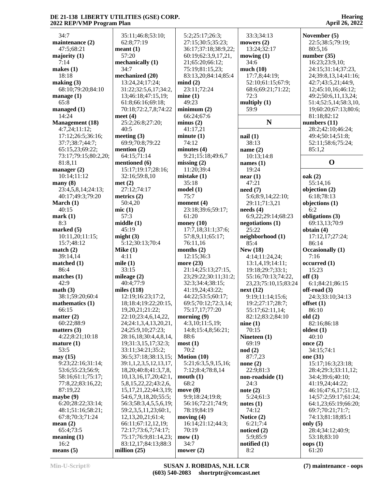| 34:7                   | 35:11;46:8;53:10;           | 5:2;25:17;26:3;      | 33:3;34:13                      | November (5)            |
|------------------------|-----------------------------|----------------------|---------------------------------|-------------------------|
| maintenance (2)        | 62:8;77:19                  | 27:15;30:5;35:23;    | mowers $(2)$                    | 22:5;38:5;79:19;        |
| 47:5;68:21             | meant(1)                    | 36:17;37:18;38:9,22; | 13:24;32:17                     | 80:5,16                 |
|                        | 57:20                       |                      |                                 |                         |
| majority $(1)$         |                             | 60:19;62:3,9,17,21,  | mowing $(1)$                    | number(35)              |
| 7:14                   | mechanically (1)            | 21;65:20;66:12;      | 34:6                            | 16:23;23:9,10;          |
| makes $(1)$            | 34:7                        | 75:19;81:15,23;      | much(10)                        | 24:15;31:14;37:23,      |
| 18:18                  | mechanized (20)             | 83:13,20;84:14;85:4  | 17:7,8;44:19;                   | 24;39:8,13,14;41:16;    |
| making (3)             | 13:24,24;17:24;             | mind(2)              | 52:10;61:15;67:9;               | 42:7;43:5,21;44:9,      |
| 68:10;79:20;84:10      | 31:22;32:5,6,17;34:2,       | 23:11;72:24          | 68:6;69:21;71:22;               | 12;45:10,16;46:12;      |
| manage $(1)$           | 13;46:18;47:15,19;          | mine(1)              | 72:3                            | 49:2;50:6,11,13,24;     |
| 65:8                   | 61:8;66:16;69:18;           | 49:23                | multiply $(1)$                  | 51:4;52:5,14;58:3,10,   |
| managed $(1)$          | 70:18;72:2,7,8;74:22        | minimum(2)           | 59:9                            | 19;60:20;67:13;80:6;    |
| 14:24                  | meet $(4)$                  | 66:24;67:6           |                                 | 81:18:82:12             |
| <b>Management</b> (18) | 25:2;26:8;27:20;            | minus(2)             | N                               | numbers (11)            |
| 4:7,24;11:12;          | 40:5                        | 41:17,21             |                                 | 28:2;42:10;46:24;       |
| 17:12;26:5;36:16;      | meeting $(3)$               | minute(1)            | nail(1)                         | 49:4;50:14;51:8;        |
|                        |                             |                      |                                 |                         |
| 37:7;38:7;44:7;        | 69:9;70:8;79:22             | 74:12                | 38:13                           | 52:11;58:6;75:24;       |
| 65:15,23;69:22;        | mention $(2)$               | minutes $(4)$        | name $(2)$                      | 85:1,2                  |
| 73:17;79:15;80:2,20;   | 64:15;71:14                 | 9:21;15:18;49:6,7    | 10:13;14:8                      |                         |
| 81:8,11                | mentioned (6)               | missing $(2)$        | names $(1)$                     | $\mathbf 0$             |
| manager $(2)$          | 15:17;19:17;28:16;          | 11:20;39:4           | 19:24                           |                         |
| 10:14;11:12            | 32:16;59:8,10               | mistake(1)           | near(1)                         | oak(2)                  |
| many(8)                | met(2)                      | 35:18                | 47:21                           | 55:14,16                |
| 23:4,5,8,14;24:13;     | 27:12;74:17                 | model(1)             | need(7)                         | objection (2)           |
| 40:17;49:3;79:20       | metrics $(2)$               | 75:7                 | 5:6;8:9,14;22:10;               | 6:18:78:13              |
| March $(1)$            | 50:4,20                     | moment $(4)$         | 29:11;71:3,21                   | objections (1)          |
| 40:15                  | mic(1)                      | 23:18;39:6;59:17;    |                                 | 6:2                     |
|                        |                             |                      | $\boldsymbol{\text{needs (4)}}$ |                         |
| mark(1)                | 57:3                        | 61:20                | 6:9,22;29:14;68:23              | obligations (3)         |
| 8:3                    | middle(1)                   | money $(10)$         | negotiations $(1)$              | 69:13,13;70:9           |
| marked $(5)$           | 45:19                       | 17:7,18;31:1;37:6;   | 25:22                           | obtain (4)              |
| 10:11,20;11:15;        | might $(3)$                 | 57:8,9,11;65:17;     | neighborhood (1)                | 17:12,17;27:24;         |
| 15:7;48:12             | 5:12;30:13;70:4             | 76:11,16             | 85:4                            | 86:14                   |
| match $(2)$            | Mike $(1)$                  | months $(2)$         | <b>New (18)</b>                 | <b>Occasionally</b> (1) |
| 39:14,14               | 4:11                        | 12:15;36:3           | 4:14;11:24,24;                  | 7:16                    |
| matched $(1)$          | mile $(1)$                  | more (23)            | 13:1,4,19;14:11;                | occurred(1)             |
| 86:4                   | 33:15                       | 21:14;25:13;27:15,   | 19:18;29:7;33:1;                | 15:23                   |
| matches $(1)$          | mileage $(2)$               | 23;29:22;30:11;31:2; | 55:16;70:13;74:22,              | off(3)                  |
| 42:9                   | 40:4;77:9                   | 32:3;34:4;38:15;     | 23, 23; 75: 10, 15; 83: 24      | 6:1;84:21;86:15         |
| math(3)                | miles $(118)$               | 41:19,24;43:22;      | next(12)                        | $off$ -road $(3)$       |
| 38:1;59:20;60:4        | 12:19;16:23;17:2,           | 44:22;53:5;60:17;    | 9:19;11:14;15:6;                | 24:3;33:10;34:13        |
| mathematics $(1)$      | 18;18:4;19:22;20:15,        | 69:5;70:12;72:3,14;  | 19:2;27:17;28:7;                | offset $(1)$            |
| 66:15                  | 19,20,21;21:22;             | 75:17,17;77:20       | 55:17;62:11,14;                 | 86:10                   |
| matter $(2)$           | 22:10;23:4,6,14,22,         | morning $(9)$        |                                 | old(2)                  |
| 60:22;88:9             |                             | 4:3,10;11:5,19;      | 82:12;83:2;84:10                | 82:16;86:18             |
|                        | 24;24:1,3,4,13,20,21,       |                      | nine(1)                         |                         |
| matters $(3)$          | 24;25:9,10;27:23;           | 14:8;15:4,8;56:21;   | 70:15                           | oldest (1)              |
| 4:22;8:21;10:18        | 28:16,18;30:4,4,8,14,       | 88:6                 | Nineteen (1)                    | 40:10                   |
| mature(1)              | 19;31:3,15,17;32:3;         | most(1)              | 69:19                           | once $(2)$              |
| 53:5                   | 33:11;34:21;35:2;           | 70:2                 | $\mod(2)$                       | 34:15:74:1              |
| may(15)                | 36:5;37:18;38:13,15;        | Motion (10)          | 87:7,23                         | one (31)                |
| 9:23;22:16;31:14;      | 39:1,1,2,3,5,12,13,17,      | 5:21;6:3,5,9,15,16;  | none $(2)$                      | 15:17;16:3;23:18;       |
| 53:6;55:23;56:9;       | 18, 20; 40: 8; 41: 3, 7, 8, | 7:12;8:4;78:8,14     | 22:9:81:3                       | 28:4;29:3;33:11,12;     |
| 58:16;61:1;75:17;      | 10, 13, 16, 17, 20; 42: 1,  | mouth(1)             | $non-roadside(1)$               | 34:4;39:6;40:10;        |
| 77:8,22;83:16,22;      | 5,8,15,22,22;43:2,6,        | 68:2                 | 24:3                            | 41:19,24;44:22;         |
| 87:19,22               | 15, 17, 21, 22; 44: 3, 19;  | move(8)              | note $(2)$                      | 46:16;47:6,17;51:12,    |
| maybe $(9)$            | 54:6,7,9,18,20;55:5;        | 9:9;18:24;19:8;      | 5:24;61:3                       | 14;57:2;59:17;61:24;    |
| 6:20;28:22;33:14;      | 56:3;58:3,4,5,5,6,19;       | 56:16;72:21;74:9;    | notes(1)                        | 64:1,23;65:19;66:20;    |
| 48:1;51:16;58:21;      | 59:2,3,5,11,23;60:1,        | 78:19;84:19          | 74:12                           | 69:7;70:21;71:7;        |
| 67:8;70:3;71:24        | 12, 13, 20, 21; 61: 4;      | moving $(4)$         | Notice $(2)$                    | 74:13;81:18;85:1        |
|                        |                             |                      |                                 |                         |
| mean $(2)$             | 66:11;67:12,12,19;          | 16:14;21:12;44:3;    | 6:21;7:4                        | only $(5)$              |
| 65:4;73:5              | 72:17;73:6,7;74:17;         | 70:19                | noticed $(2)$                   | 28:4;34:12;40:9;        |
| meaning(1)             | 75:17;76:9;81:14,23;        | mow(1)               | 5:9;85:9                        | 53:18;83:10             |
| 16:2                   | 83:12,17;84:13;88:3         | 34:7                 | notified $(1)$                  | $^{8}$ oops $(1)$       |
| means $(5)$            | million $(25)$              | mower $(2)$          | 8:2                             | 61:20                   |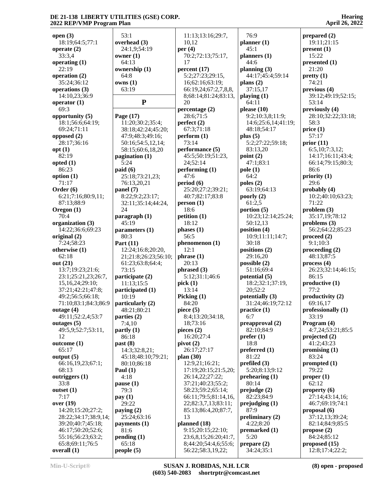**open (3)** 18:19;64:5;77:1 **operate (2)** 33:3,4 **operating (1)** 22:19 **operation (2)** 35:24;36:12 **operations (3)** 14:10,23;36:9 **operator (1)** 69:3 **opportunity (5)** 18:1;56:6;64:19; 69:24;71:11 **opposed (2)** 28:17;36:16 **opt (1)** 82:19 **opted (1)** 86:23 **option (1)** 71:17 **Order (6)** 6:21;7:16;80:9,11; 87:13;88:9 **Oregon (1)**  $70.4$ **organization (3)** 14:22;36:6;69:23 **original (2)** 7:24;58:23 **otherwise (1)** 62:18 **out (21)** 13:7;19:23;21:6; 23:1;25:21,23;26:7, 15,16,24;29:10; 37:21;42:21;47:8; 49:2;56:5;66:18; 71:10;83:1;84:3;86:9 **outage (4)** 49:11;52:2,4;53:7 **outages (5)** 49:5,9;52:7;53:11, 12 **outcome (1)** 65:17 **output (5)** 66:16,19,23;67:1; 68:13 **outriggers (1)** 33:8 **outset (1)** 7:17 **over (19)** 14:20;15:20;27:2; 28:22;34:17;38:9,14; 39:20;40:7;45:18; 46:17;50:20;52:6; 55:16;56:23;63:2; 65:8;69:11;76:5 **overall (1)**

| 53:1                                 | 11:13;13:16;29:7,         |                 |
|--------------------------------------|---------------------------|-----------------|
| overhead (3)                         | 10,12                     | plε             |
| 24:1,9;54:19                         | per $(4)$                 |                 |
| owner $(1)$                          | 70:2;72:13;75:17,         | plε             |
| 64:13                                | 17                        |                 |
| ownership (1)                        | percent(17)               | plε             |
| 64:8                                 | 5:2;27:23;29:15,          |                 |
| owns(1)                              | 16;62:16;63:19;           | plε             |
| 63:19                                | 66:19,24;67:2,7,8,8,      |                 |
|                                      | 8;68:14;81:24;83:13,      | pla             |
| $\mathbf{P}$                         | 20                        |                 |
|                                      | percentage (2)            | ple             |
| Page $(17)$                          | 28:6;71:5                 |                 |
| 11:20;30:2;35:4;                     | perfect $(2)$             |                 |
| 38:18;42:24;45:20;                   | 67:3;71:18                |                 |
| 47:9;48:3;49:16;                     | perform (1)               | plı             |
| 50:16;54:5,12,14;                    | 73:14                     |                 |
| 58:15;60:6,18,20                     | performance (5)           |                 |
| pagination $(1)$                     | 45:5:50:19:51:23,         |                 |
| 5:24                                 | 24;52:14                  | po              |
| paid(6)                              | performing (1)            | po.             |
| 25:18;73:21,23;                      | 47:6                      |                 |
| 76:13,20,21                          | period (6)                | po.             |
| panel (7)                            | 25:20;27:2;39:21;         |                 |
|                                      | 40:7;82:17;83:8           |                 |
| 8:22;9:2;23:17;                      |                           | po              |
| 32:11;35:14;44:24,                   | person(1)                 |                 |
| 24                                   | 18:6                      | po              |
| $\frac{1}{2}$ paragraph (1)<br>45:19 | petition (1)<br>18:12     |                 |
|                                      |                           |                 |
| parameters <sub>(1)</sub><br>80:3    | phases(1)<br>56:5         | po              |
| Part $(11)$                          | phenomenon <sub>(1)</sub> |                 |
| 12:24;16:8;20:20,                    | 12:1                      | po              |
| 21;21:8;26:23;56:10;                 | phrase (1)                |                 |
| 61:23;63:8;64:4;                     | 20:13                     | po              |
| 73:15                                | phrased (3)               |                 |
| participate (2)                      | 5:12;31:1;46:6            | po <sup>-</sup> |
| 11:13;15:5                           | pick(1)                   |                 |
| participated (1)                     | 13:14                     |                 |
| 10:19                                | Picking $(1)$             | po <sup>-</sup> |
| particularly (2)                     | 84:20                     |                 |
|                                      | piece (5)                 |                 |
| 48:21;80:21<br>parties (2)           | 8:4;13:20;34:18,          | pr              |
| 7:4,10                               | 18;73:16                  | pro             |
| partly(1)                            | pieces $(2)$              |                 |
| 86:18                                | 16:20;27:4                | pro             |
| past (8)                             | pivot(2)                  |                 |
| 14:3;32:8,21;                        | 26:17;27:17               | pro             |
| 45:18;48:10;79:21;                   | plan (30)                 |                 |
|                                      | 12:9,21;16:21;            |                 |
| 80:10;86:18                          | 17:19;20:15;21:5,20;      | pro             |
| Paul $(1)$<br>4:18                   | 26:14,22;27:22;           |                 |
| pause (1)                            | 37:21;40:23;55:2;         | pro             |
|                                      |                           |                 |
| 79:3                                 | 58:23;59:2;65:14;         | pro             |
| pay(1)                               | 66:11;79:5;81:14,16,      |                 |
| 29:22                                | 22;82:3,7,13;83:11;       | pro             |
| paying $(2)$                         | 85:13;86:4,20;87:7,       |                 |
| 25:24;63:16                          | 13                        | pr              |
| payments $(1)$                       | planned (18)              |                 |
| 81:6                                 | 9:15;20:15;22:10;         | pro             |
| pending(1)                           | 23:6,8,15;26:20;41:7,     |                 |
| 65:18                                | 8;44:20;54:4,6;55:6;      | pro             |
| people $(5)$                         | 56:22;58:3,19,22;         |                 |

 76:9 **planner (1)** 45:1 **planners (1)** 44:6 **planning (3)** 44:17;45:4;59:14 **plans (2)** 37:15,17 **playing (1)** 64:11 **please (10)** 9:2;10:3,8;11:9; 14:6;25:6,14;41:19; 48:18;54:17 **plus (5)** 5:2;27:22;59:18; 83:13,20 **point (2)** 47:1;83:1 **pole (1)** 64:2 **poles (2)** 63:19;64:13 **poorly (2)** 61:2,5 **portion (5)** 10:23;12:14;25:24; 50:12,13 **position (4)** 10:9;11:11;14:7; 30:18 **positions (2)** 29:16,20 **possible (2)** 51:16;69:4 **potential (5)** 18:2;32:1;37:19, 20;52:2 **potentially (3)** 31:24;46:19;72:12 **practice (1)** 6:7 **preapproval (2)** 82:10;84:9 **prefer (1)** 18:8 **preferred (1)** 81:22 **prefiled (3)** 5:20;8:13;9:12 **prehearing (1)** 80:14 **prejudge (2)** 82:23;84:9 **prejudging (1)** 87:9 **preliminary (2)** 4:22;8:20 **premarked (1)** 5:20 **prepare (2)** 34:24;35:1

**prepared (2)** 19:11;21:15 **present (1)** 15:22 **presented (1)** 21:20 **pretty (1)** 74:21 **previous (4)** 39:12;49:19;52:15; 53:14 **previously (4)** 28:10;32:22;33:18; 58:3 **price (1)** 57:17 **prior (11)** 6:5,10;7:3,12; 14:17;16:11;43:4; 66:14;79:15;80:3; 86:6 **priority (1)** 29:6 **probably (4)** 10:2;40:10;63:23; 71:22 **problem (3)** 35:17,19;78:12 **problems (3)** 56:2;64:22;85:23 **proceed (2)** 9:1;10:3 **proceeding (2)** 48:13;87:5 **process (4)** 26:23;32:14;46:15; 86:15 **productive (1)** 77:2 **productivity (2)** 69:16,17 **professionally (1)** 33:19 **Program (4)** 4:7,24;53:21;85:5 **projected (2)** 41:2;43:23 **promising (1)** 83:24 **prompted (1)** 79:22 **proper (1)** 62:12 **property (6)** 27:14;43:14,16; 46:7;69:19;74:1 **proposal (6)** 37:12,13;39:24; 82:14;84:9;85:5 **propose (2)** 84:24;85:12 **proposed (15)**

12:8;17:4;22:2;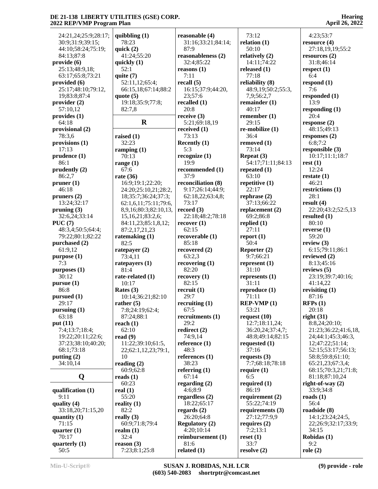| 24:21,24;25:9;28:17;    | quibbling $(1)$       | reasonable (4)        | 73:12              | 4:23;53:7            |
|-------------------------|-----------------------|-----------------------|--------------------|----------------------|
| 30:9;31:9;39:15;        | 78:23                 | 31:16;33:21;84:14;    | relation $(1)$     | resource (4)         |
| 44:10;58:24;75:19;      | quick $(2)$           | 87:9                  | 50:10              | 27:18,19,19;55:2     |
| 84:13;87:8              | 41:24;55:20           | reasonableness (2)    | relatively $(2)$   | resources $(2)$      |
| provide(6)              | quickly $(1)$         | 32:4;85:22            | 14:11;74:22        | 31:8;46:14           |
| 25:13;48:9,18;          | 52:1                  | reasons $(1)$         | released $(1)$     | respect $(1)$        |
| 63:17;65:8;73:21        | quite $(7)$           | 7:11                  | 77:18              | 6:4                  |
| provided $(6)$          | 52:11,12;65:4;        | recall $(5)$          | reliability (8)    | respond $(1)$        |
| 25:17;48:10;79:12,      | 66:15,18;67:14;88:2   | 16:15:37:9:44:20,     | 48:9,19;50:2;55:3, | 7:6                  |
| 19;83:8;87:4            | quote $(5)$           | 23;57:6               | 7,9;56:2,7         | responded (1)        |
| provider $(2)$          | 19:18;35:9;77:8;      | recalled (1)          | remainder $(1)$    | 13:9                 |
| 57:10,12                | 82:7,8                | 20:8                  | 40:17              | responding $(1)$     |
| provides $(1)$          |                       | receive $(3)$         | remember $(1)$     | 20:4                 |
| 64:18                   | $\mathbf R$           | 5:21;69:18,19         | 29:15              | response $(2)$       |
| provisional (2)         |                       | received $(1)$        | re-mobilize (1)    | 48:15;49:13          |
| 78:3,6                  | raised $(1)$          | 73:13                 | 36:4               | responses $(2)$      |
| provisions (1)          | 32:23                 | Recently (1)          | removed (1)        | 6:8;7:2              |
| 17:13                   | ramping $(1)$         | 5:3                   | 73:14              | responsible (3)      |
| prudence <sub>(1)</sub> | 70:13                 | recognize $(1)$       | Repeat $(3)$       | 10:17;11:1;18:7      |
| 86:1                    | range $(1)$           | 19:9                  | 54:17;71:11;84:13  | rest(1)              |
| prudently $(2)$         | 67:6                  | recommended (1)       | repeated (1)       | 12:24                |
| 86:2,7                  | rate $(36)$           | 37:9                  | 63:10              | restate $(1)$        |
| pruner(1)               | 16:9;19:1;22:20;      | reconciliation (8)    | repetitive $(1)$   | 46:21                |
| 46:18                   | 24:20;25:10,21;28:2,  | 9:17;26:14;44:9;      | 22:17              | restrictions (1)     |
| pruners $(2)$           | 18;35:7;36:24;37:3;   | 62:18,22;63:4,8;      | rephrase $(2)$     | 28:1                 |
| 13:24;32:17             | 62:1,6,11;75:11;79:6, | 73:17                 | 37:13;66:22        | result(4)            |
| pruning $(3)$           | 8,9,16;80:3;82:10,13, | record $(3)$          | replacement (2)    | 22:20;43:2;52:5,13   |
| 32:6,24;33:14           | 15, 16, 21; 83: 2, 6; | 22:18;48:2;78:18      | 69:2;86:8          | resulted $(1)$       |
| PUC(7)                  | 84:11,23;85:1,8,12;   | recover(1)            | replied $(1)$      | 80:10                |
| 48:3,4;50:5;64:4;       | 87:2,17,21,23         | 62:15                 | 27:11              | reverse $(1)$        |
| 79:22;80:1;82:22        | ratemaking (1)        | recoverable (1)       | report $(1)$       | 59:20                |
| purchased (2)           | 82:5                  | 85:18                 | 50:4               | review $(3)$         |
| 61:9,12                 | ratepayer (2)         | recovered (2)         | Reporter (2)       | 6:15;79:11;86:1      |
| purpose (1)             | 73:4,11               | 63:2,3                | 9:7;66:21          | reviewed (2)         |
| 7:3                     | ratepayers $(1)$      | recovering $(1)$      | represent $(1)$    | 8:13;45:16           |
| $p$ urposes $(1)$       | 81:4                  | 82:20                 | 31:10              | reviews $(5)$        |
| 30:12                   | rate-related (1)      | recovery(1)           | represents $(1)$   | 23:19:39:7:40:16:    |
| pursue(1)               | 10:17                 | 82:15                 | 31:11              | 41:14,22             |
| 86:8                    | Rates $(3)$           | recruit(1)            | reproduce (1)      | revisiting $(1)$     |
| pursued $(1)$           | 10:14;36:21;82:10     | 29:7                  | 71:11              | 87:16                |
| 29:17                   | rather $(5)$          | recruiting $(1)$      | $REP-VMP(1)$       | RFPs(1)              |
| pursuing $(1)$          | 7:8;24:19;62:4;       | 67:5                  | 53:21              | 20:18                |
| 63:18                   | 87:24;88:1            | recruitments (1)      | request $(10)$     | right(31)            |
| put $(11)$              | reach $(1)$           | 29:2                  | 12:7;18:11,24;     | 8:8,24;20:10;        |
| 7:4;13:7;18:4;          | 62:10                 | redirect $(2)$        | 36:20,24;37:4,7;   | 21:23;36:22;41:6,18, |
| 19:22;20:11;22:6;       | read $(9)$            | 74:9,14               | 48:8;49:14;82:15   | 24;44:1;45:3;46:3,   |
| 37:23;38:10;40:20;      | 11:22;39:10;61:5,     | reference $(1)$       | requested $(1)$    | 12;47:22;51:14;      |
| 68:1;73:18              | 22;62:1,12,23;79:1,   | 48:3                  | 37:16              | 52:15;53:17;56:13;   |
| putting $(2)$           | 10                    | references (1)        | requests $(3)$     | 58:8;59:8;61:10;     |
| 34:10,14                | reading $(2)$         | 38:23                 | 7:7;68:18;78:18    | 65:21,23;67:3,4;     |
|                         | 60:9;62:8             | referring $(1)$       | require $(1)$      | 68:15:70:3,21:71:8;  |
| Q                       | reads $(1)$           | 67:14                 | 6:5                | 81:18;87:10,24       |
|                         | 60:23                 | regarding $(2)$       | required $(1)$     | right-of-way $(2)$   |
| qualification (1)       | real $(1)$            | 4:6;8:9               | 86:19              | 33:9;34:8            |
| 9:11                    | 55:20                 | regardless $(2)$      | requirement (2)    | roads $(1)$          |
| quality $(4)$           | reality $(1)$         | 18:22;65:17           | 55:22;74:19        | 56:4                 |
| 33:18,20;71:15,20       | 82:2                  | regards $(2)$         | requirements (3)   | roadside (8)         |
| quantity $(1)$          | really $(3)$          | 26:20;64:8            | 27:12;77:9,9       | 14:1;23:24;24:5,     |
| 71:15                   | 60:9;71:8;79:4        | <b>Regulatory (2)</b> | requires $(2)$     | 22;26:9;32:17;33:9;  |
| quarter $(1)$           | realm $(1)$           | 4:20;10:14            | 7:2;13:1           | 34:15                |
| 70:17                   | 32:4                  | reimbursement (1)     | reset(1)           | Robidas (1)          |
| quarterly $(1)$         | reason (3)            | 81:6                  | 33:7               | 9:2                  |
| 50:5                    | 7:23;8:1;25:8         | related $(1)$         | resolve (2)        | role $(2)$           |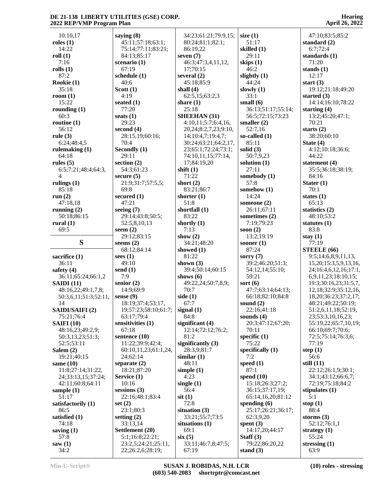| 10:10,17               | saying $(8)$                            | 34:23;61:21;79:9,15;        | size $(1)$                    | 47:10;83:5;85:2              |
|------------------------|-----------------------------------------|-----------------------------|-------------------------------|------------------------------|
| roles $(1)$            | 45:11;57:18;63:1;                       | 80:24;81:1;82:1;            | 51:17                         | standard $(2)$               |
| 14:22                  | 75:14;77:11;83:21;                      | 86:19,22                    | skilled (1)                   | 6:7;72:4                     |
|                        |                                         |                             |                               |                              |
| roll(1)                | 84:13;85:17                             | seven $(7)$                 | 29:11                         | standards (1)                |
| 7:16                   | scenario $(1)$                          | 46:3;47:3,4,11,12,          | skips (1)                     | 71:20                        |
| rolls(1)               | 67:19                                   | 17;70:15                    | 46:2                          | stands $(1)$                 |
| 87:2                   | schedule $(1)$                          | several $(2)$               | slightly $(1)$                | 12:17                        |
| Rookie (1)             | 40:6                                    | 45:18;85:9                  | 44:24                         | start $(3)$                  |
| 35:18                  | Scott $(1)$                             | shall $(4)$                 | slowly $(1)$                  | 19:12;21:18;49:20            |
| room $(1)$             | 4:19                                    | 62:5,15;63:2,3              | 33:1                          | started $(3)$                |
| 15:22                  | seated $(1)$                            | share $(1)$                 | small $(6)$                   | 14:14;16:10;78:22            |
| rounding $(1)$         | 77:20                                   | 25:18                       | 36:13;51:17;55:14;            | starting $(4)$               |
| 60:3                   | seats $(1)$                             | <b>SHEEHAN</b> (31)         | 56:5;72:15;73:23              | 13:2;45:20;47:1;             |
| routine $(1)$          | 29:23                                   | 4:10,11;5:7;6:4,16,         | smaller $(2)$                 | 70:21                        |
| 56:12                  | second $(4)$                            | 20,24;8:2,7,23;9:10,        | 52:7,16                       | starts $(2)$                 |
| rule $(3)$             | 28:15,19;60:16;                         | 14;10:4,7;19:4,7;           | so-called $(1)$               | 38:20;60:10                  |
|                        |                                         |                             |                               |                              |
| 6:24;48:4,5            | 70:4                                    | 30:24;63:21;64:2,17,        | 85:11                         | State $(4)$                  |
| rulemaking $(1)$       | Secondly (1)                            | 23;65:1;72:24;73:1;         | solid $(3)$                   | 4:12;10:18;36:6;             |
| 64:18                  | 29:11                                   | 74:10,11,15;77:14,          | 50:7,9,23                     | 44:22                        |
| rules $(5)$            | section $(2)$                           | 17;84:19,20                 | solution $(1)$                | statement (4)                |
| 6:5;7:21;48:4;64:3,    | 54:3;61:23                              | shift $(1)$                 | 27:11                         | 35:5;36:18;38:19;            |
| 4                      | secure $(5)$                            | 71:22                       | somebody (1)                  | 84:16                        |
| rulings $(1)$          | 21:9;31:7;57:5,5;                       | short $(2)$                 | 57:8                          | Stater $(1)$                 |
| 85:18                  | 69:8                                    | 83:21;86:7                  | somehow (1)                   | 70:1                         |
| run $(2)$              | secured (1)                             | shorter $(1)$               | 14:24                         | states $(1)$                 |
| 47:18,18               | 47:21                                   | 51:8                        | someone $(2)$                 | 65:13                        |
| running $(2)$          | seeing $(7)$                            | shortfall (1)               | 26:11;67:11                   | statistics $(2)$             |
| 50:18;86:15            | 29:14;43:8;50:5;                        | 83:22                       | sometimes (2)                 | 48:10;53:2                   |
| rural $(1)$            | 52:5,8,10,13                            | shortly $(1)$               | 7:19;79:23                    | statutes $(1)$               |
| 69:5                   | seem $(2)$                              | 7:13                        | soon $(2)$                    | 83:8                         |
|                        | 29:12;83:15                             | show $(2)$                  | 13:2;19:19                    | stay $(1)$                   |
| S                      | seems $(2)$                             | 34:21;48:20                 | sooner $(1)$                  | 77:19                        |
|                        | 68:12;84:14                             | showed $(1)$                | 87:24                         | STEELE (66)                  |
| sacrifice $(1)$        | sees $(1)$                              | 81:22                       | sorry $(7)$                   | 9:5;14:6,8,9,11,13,          |
| 36:11                  | 49:10                                   | shown $(3)$                 | 39:2;46:20;51:3;              | 15, 20; 15: 3, 5, 9, 13, 16, |
| safety $(4)$           | send $(1)$                              | 39:4;50:14;60:15            | 54:12,14;55:10;               | 24;16:4,6,12,16;17:1,        |
| 36:11;65:24;66:1,2     | 7:9                                     | shows $(6)$                 | 59:21                         | 6,9,11,23;18:10,15;          |
|                        | senior $(2)$                            |                             | sort $(6)$                    | 19:3;30:16,23;31:5,7,        |
| SAIDI(11)              |                                         | 49:22,24;50:7,8,9;          |                               |                              |
| 48:16,22;49:1,7,8;     | 14:9;69:9                               | 70:7                        | 47:7;63:14;64:13;             | 12,18;32:9;35:12,16,         |
| 50:3,6,11;51:3;52:11,  | sense $(9)$                             | side $(1)$                  | 66:18;82:10;84:8              | 18, 20; 36: 23; 37: 2, 17;   |
| 14                     | 18:19;37:4;53:17,                       | 67:7                        | sound $(2)$                   | 48:21;49:22;50:19;           |
| <b>SAIDI/SAIFI (2)</b> | 19;57:23;58:10;61:7;                    | signal $(1)$                | 22:16;41:18                   | 51:2,6,11,18;52:19,          |
| 75:21;76:4             | 63:17;79:4                              |                             |                               |                              |
|                        |                                         | 84:8                        | sounds $(4)$                  | 23;53:3,10,16,23;            |
| <b>SAIFI (10)</b>      | sensitivities (1)                       | significant (4)             | 20:3;47:12;67:20;             | 55:19,22;65:7,10,19;         |
| 48:16,23;49:2,9;       | 67:18                                   | 12:14;72:12;76:2;           | 70:11                         | 66:10;69:7;70:6;             |
| 50:3,13,23;51:3;       | sentence $(10)$                         | 81:2                        | specific $(1)$                | 72:5;75:14;76:3,6;           |
| 52:5;53:11             | 11:22;39:9;42:4;                        | significantly $(3)$         | 75:22                         | 77:19                        |
| Salem $(2)$            | 60:10,11,23;61:1,24,                    | 28:3,9;81:7                 | specifically $(1)$            | step $(1)$                   |
| 19:21;40:15            | 24;62:14                                | similar(1)                  | 7:2                           | 56:6                         |
|                        |                                         | 48:11                       | speed $(1)$                   | still $(11)$                 |
| same $(10)$            | separate $(2)$                          |                             | 87:1                          | 22:12;26:1,9;30:1;           |
| 11:8;27:14;31:22,      | 18:21;87:20                             | simple $(1)$                |                               |                              |
| 24;33:13,15;37:24;     | Service (1)<br>10:16                    | 4:23                        | spend $(10)$                  | 34:1;43:12;66:6,7;           |
| 42:11;60:8;64:11       |                                         | single $(1)$                | 15:18;26:3;27:2;              | 72:19;75:18;84:2             |
| sample $(1)$           | sessions $(3)$                          | 56:4                        | 36:15;37:17,19;               | stipulates $(1)$             |
| 51:17                  | 22:16;48:1;83:4                         | $s$ it $(1)$                | 65:14,16,20;81:12             | 5:1                          |
| satisfactorily (1)     | set $(2)$                               | 72:8                        | spending $(6)$                | stop $(1)$                   |
| 86:5                   | 23:1;80:3                               | situation $(3)$             | 25:17;26:21;36:17;            | 88:4                         |
| satisfied (1)          | setting $(2)$                           | 33:21;55:7;73:5             | 62:3,9,20                     | storms $(3)$                 |
| 74:18                  | 33:13,14                                | situations (1)              | spent $(3)$                   | 52:12;76:1,1                 |
| saving $(1)$           | Settlement (20)                         | 69:1                        | 14:17,20;44:17                | strategy $(1)$               |
| 57:8                   | 5:1;16:8;22:21;                         | six(5)                      | Staff $(3)$                   | 55:24                        |
| saw(1)<br>34:2         | 23:2,5;24:21;25:11,<br>22;26:2,6;28:19; | 33:11;46:7,8;47:5;<br>67:19 | 79:22;86:20,22<br>stand $(3)$ | stressing $(1)$<br>63:9      |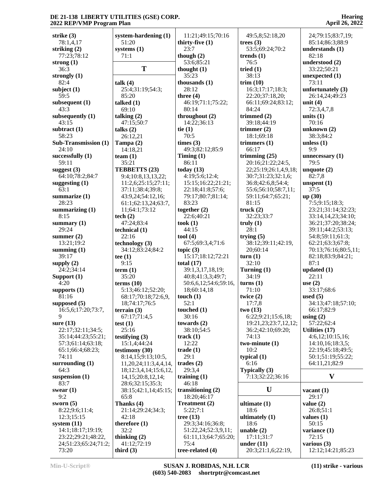| strike $(3)$                  |                            |                            |                                    |                                    |
|-------------------------------|----------------------------|----------------------------|------------------------------------|------------------------------------|
|                               | system-hardening (1)       | 11:21;49:15;70:16          | 49:5,8;52:18,20                    | 24;79:15;83:7,19;                  |
| 78:1,4,17                     | 51:20                      | thirty-five $(1)$          | trees $(3)$                        | 85:14;86:3;88:9                    |
| striking $(2)$                | systems $(1)$              | 23:7                       | 53:5;69:24;70:2                    | understands (1)                    |
| 77:23;78:12                   | 71:1                       | though $(2)$               | trends $(1)$                       | 82:18                              |
|                               |                            |                            |                                    |                                    |
| strong $(1)$                  |                            | 53:6;85:21                 | 76:5                               | understood (2)                     |
| 36:3                          | T                          | thought $(1)$              | tried $(1)$                        | 33:22;50:21                        |
| strongly $(1)$                |                            | 35:23                      | 38:13                              | unexpected $(1)$                   |
| 82:4                          | talk $(4)$                 | thousands $(1)$            | trim(10)                           | 73:11                              |
| subject $(1)$                 | 25:4;31:19;54:3;           | 28:12                      | 16:3;17:17;18:3;                   | unfortunately (3)                  |
| 59:5                          | 85:20                      | three $(4)$                | 22:20;37:18,20;                    | 26:14,24;49:23                     |
| subsequent $(1)$              | talked $(1)$               | 46:19;71:1;75:22;          | 66:11;69:24;83:12;                 | unit $(4)$                         |
| 43:3                          | 69:10                      | 80:14                      | 84:24                              | 72:3,4,7,8                         |
|                               |                            |                            |                                    |                                    |
| subsequently $(1)$            | talking $(2)$              | throughout (2)             | trimmed $(2)$                      | units $(1)$                        |
| 43:15                         | 47:15;50:7                 | 14:22;36:13                | 39:18;44:19                        | 70:16                              |
| subtract $(1)$                | talks $(2)$                | tie $(1)$                  | trimmer $(2)$                      | unknown $(2)$                      |
| 58:23                         | 26:12,21                   | 70:5                       | 18:1;69:18                         | 38:3;84:2                          |
| <b>Sub-Transmission (1)</b>   | Tampa $(2)$                | times (3)                  | trimmers $(1)$                     | unless $(1)$                       |
| 24:10                         | 14:18,21                   | 49:3;82:12;85:9            | 66:17                              | 9:9                                |
| successfully (1)              | team $(1)$                 | Timing $(1)$               | trimming $(25)$                    | unnecessary $(1)$                  |
| 59:11                         | 35:21                      | 86:11                      | 20:16;21:22;24:5,                  | 79:5                               |
|                               |                            | today $(13)$               |                                    |                                    |
| suggest $(3)$                 | TEBBETTS (23)              |                            | 22;25:19;26:1,4,9,18;              | unquote $(2)$                      |
| 64:10;78:2;84:7               | 9:4;10:8,13,13,22;         | 4:19;5:6;12:4;             | 30:7;31:23;32:1,6;                 | 82:7,8                             |
| suggesting $(1)$              | 11:2,6;25:15;27:11;        | 15:15;16:22;21:21;         | 36:8;42:6,8;54:4;                  | unspent $(1)$                      |
| 63:1                          | 37:11;38:4;39:8;           | 22:18;41:8;57:6;           | 55:6;56:10;58:7,11;                | 37:5                               |
| summarize $(1)$               | 43:9,24;54:12,16;          | 79:17;80:7;81:14;          | 59:11;64:7;65:21;                  | up(30)                             |
| 28:23                         | 61:1;62:13,24;63:7,        | 83:23                      | 81:15                              | 7:5;9:15;18:3;                     |
| summarizing (1)               | 11;64:1;73:12              | together $(2)$             | truek(2)                           | 23:21;31:14;32:23;                 |
| 8:15                          | tech $(2)$                 | 22:6;40:21                 | 32:23;33:7                         | 33:14,14,23;34:10;                 |
|                               |                            |                            |                                    |                                    |
| summary $(1)$                 | 47:24;83:4                 | took(1)                    | truly(1)                           | 36:21;37:20;38:24;                 |
| 29:24                         | technical (1)              | 44:15                      | 28:1                               | 39:11;44:2;53:13;                  |
| summer $(2)$                  | 22:16                      | tool (4)                   | trying $(5)$                       | 54:8;59:11;61:3;                   |
| 13:21;19:2                    | technology(3)              | 67:5;69:3,4;71:6           | 38:12;39:11;42:19,                 | 62:21;63:3;67:8;                   |
| summing $(1)$                 | 34:12;83:24;84:2           | topic $(3)$                | 20;60:14                           | 70:13;76:16;80:5,11;               |
| 39:17                         | tee $(1)$                  | 15:17;18:12;72:21          | turn(1)                            | 82:18;83:9;84:21;                  |
| supply $(2)$                  | 9:15                       | total $(17)$               | 32:10                              | 87:1                               |
| 24:2;34:14                    | term(1)                    | 39:1,3,17,18,19;           | Turning (1)                        | updated $(1)$                      |
| Support $(1)$                 | 35:20                      | 40:8;41:3,3;49:7;          | 34:19                              | 22:11                              |
|                               | terms $(10)$               |                            |                                    |                                    |
|                               |                            |                            |                                    |                                    |
| 4:20                          |                            | 50:6,6,12;54:6;59:16,      | turns(1)                           | use $(2)$                          |
| supports (1)                  | 5:13;46:12;52:20;          | 18;60:14,18                | 71:10                              | 33:17;68:6                         |
| 81:16                         | 68:17;70:18;72:6,9,        | touch $(1)$                | twice $(2)$                        | used $(5)$                         |
| supposed $(5)$                | 18;74:17;76:5              | 52:1                       | 17:7,8                             | 34:13;47:18;57:10;                 |
| 16:5,6;17:20;73:7,            | terrain $(3)$              | touched $(1)$              | two(13)                            | 66:17;82:9                         |
| 9                             |                            | 30:16                      |                                    |                                    |
|                               | 67:17;71:4,5               |                            | 6:22;9:21;15:6,18;                 | using $(2)$                        |
| sure $(13)$                   | test $(1)$                 | towards $(2)$              | 19:21,23;23:7,12,12;               | 57:22;62:4                         |
| 22:17;32:11;34:5;             | 25:16                      | 38:10;54:5                 | 36:2;42:10;69:20;                  | <b>Utilities (17)</b>              |
| 35:14;44:23;55:21;            | testifying $(3)$           | track $(1)$                | 74:13                              | 4:6,12;10:15,16;                   |
| 57:3;61:14;63:18;             | 15:1,4;44:24               | 12:22                      | two-minute $(1)$                   | 14:10,16;18:3,5;                   |
| 65:1;66:4;68:23;              | testimony (30)             | trade(1)                   | 10:2                               | 22:19;45:18;49:5;                  |
| 74:11                         | 8:14,15;9:13;10:5,         | 29:1                       | typical $(1)$                      | 50:1;51:19;55:22;                  |
| surrounding $(1)$             | 11,20,24;11:3,4,4,14,      | trades $(2)$               | 6:16                               | 64:11,21;82:9                      |
| 64:3                          |                            | 29:3,4                     |                                    |                                    |
|                               | 18;12:3,4,14;15:6,12,      |                            | Typically (3)                      | V                                  |
| suspension $(1)$              | 14, 15; 20: 8, 12, 14;     | training $(1)$             | 7:13;32:22;36:16                   |                                    |
| 83:7                          | 28:6;32:15;35:3;           | 46:18                      |                                    |                                    |
| swear $(1)$                   | 38:15;42:1,14;45:15;       | transitioning $(2)$        | U                                  | vacant $(1)$                       |
| 9:2                           | 65:8                       | 18:20;46:17                |                                    | 29:17                              |
| sworn $(5)$                   | Thanks (4)                 | Treatment (2)              | ultimate $(1)$                     | value $(2)$                        |
| 8:22;9:6;11:4;                | 21:14;29:24;34:3;          | 5:22;7:1                   | 18:6                               | 26:8;51:1                          |
| 12:3;15:15                    | 42:18                      | tree $(13)$                | ultimately (1)                     | values $(1)$                       |
| system $(11)$                 | therefore $(1)$            | 29:3;34:16;36:8;           | 18:6                               | 50:15                              |
|                               |                            |                            |                                    |                                    |
| 14:1;18:17;19:19;             | 32:2                       | 51:22,24;52:3,9,11;        | unable $(2)$                       | variance (1)                       |
| 23:22;29:21;48:22,            | thinking $(2)$             | 61:11,13;64:7;65:20;       | 17:11;31:7                         | 72:15                              |
| 24;51:23;65:24;71:2;<br>73:20 | 41:12;72:19<br>third $(3)$ | 75:4<br>tree-related $(4)$ | under $(11)$<br>20:3;21:1,6;22:19, | various $(3)$<br>12:12;14:21;85:23 |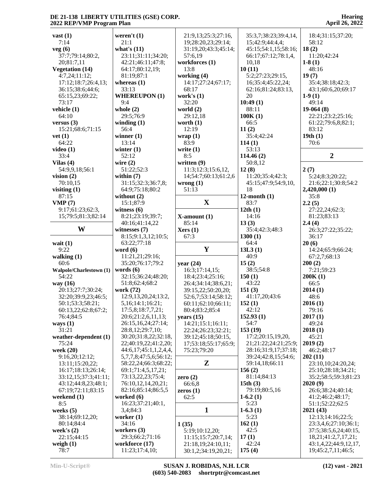7:14

**vet (1)**

33:4

9:22

60:6

#### **vast (1) veg (6)** 37:7;79:14;80:2, 20;81:7,11 **Vegetation (14)** 4:7,24;11:12; 17:12;18:7;26:4,13; 36:15;38:6;44:6; 65:15,23;69:22; 73:17 **vehicle (1)** 64:10 **versus (3)** 15:21;68:6;71:15 64:22 **video (1) Vilas (4)** 54:9,9,18;56:1 **vision (2)** 70:10,15 **visiting (1)** 87:15 **VMP (7)** 9:17;61:23;62:3, 15;79:5;81:3;82:14 **W witnesses (7) wait (1) walking (1) Walpole/Charlestown (1)** 54:22 **way (16)** 20:13;27:7;30:24; 32:20;39:9,23;46:5; 50:1;53:3;58:21; 60:13,22;62:8;67:2; 76:4;84:5 **ways (1)** 31:21 **weather-dependent (1)** 75:24 **week (20)** 9:16,20;12:12; 13:11;15:20,22; 16:17;18:13;26:14; 33:12,15;37:3;41:11; 43:12;44:8,23;48:1; 67:19;72:11;83:15 **weekend (1) weeks (5)** 38:14;69:12,20; 80:14;84:4 **week's (2)** 22:15;44:15 **weigh (1) weren't (1)** 21:1 **what's (11)** 23:11;31:11;34:20; 42:21;46:11;47:8; 64:17;80:12,19; 81:19;87:1 **whereas (1)** 33:13 **WHEREUPON (1)** 9:4 **whole (2)** 29:5;76:9 **winding (1)** 56:4 **winner (1)** 13:14 **winter (1)** 52:12 **wire (2)** 51:22;52:3 **within (7)** 31:15;32:3;36:7,8; 64:9;75:18;80:2 **without (2)** 15:1;87:9 **witness (6)** 8:21;23:19;39:7; 40:16;41:14,22 8:15;9:1,3,12;10:5; 63:22;77:18 **word (6)** 11:21,21;29:16; 35:20;76:17;79:2 **words (6)** 32:15;36:24;48:20; 51:8;62:4;68:2 **work (72)** 12:9,13,20,24;13:2, 5,16;14:1;16:21; 17:5,8;18:7,7,21; 20:6;21:2,6,11,13; 26:15,16,24;27:14; 28:8,12;29:7,10; 30:20;31:8,22;32:18, 22;40:19,22;41:2,20; 44:6,17;45:1,1,2,4,4, 5,7,7,8;47:5,6;56:12; 58:22,24;66:3;68:22; 69:1;71:4,5,17,21; 73:13,22,23;75:4; 76:10,12,14,20,21; 82:16;85:14;86:5,5 **worked (6)** 16:23;37:21;40:1, 3,4;84:3 **worker (1)** 34:16 **workers (3)** 29:3;66:2;71:16 **workforce (17)** 11:23;17:4,10; 21:9,13;25:3;27:16, 19;28:20,23;29:14; 31:19,20;43:3;45:14; 57:6,19 **workforces (1)** 13:8 **working (4)** 14:17;27:24;67:17; 68:17 **work's (1)** 32:20 **world (2)** 29:12,18 **worth (1)** 12:19 **wrap (1)** 83:9 **write (1)** 8:5 **written (9)** 11:3;12:3;15:6,12, 14;54:7;60:13;61:2,6 **wrong (1)** 51:13 **X X-amount (1)** 85:14 **Xers (1)** 67:3 **Y**  $|13L3(1)|$ **year (24)** 16:3;17:14,15; 18:4;23:4;25:16; 26:4;34:14;38:6,21; 39:15,22;50:20,20; 52:6,7;53:14;58:12; 60:11;62:10;66:11; 80:4;83:2;85:4 **years (15)** 14:21;15:1;16:11; 22:24;26:23;32:21; 39:12;45:18;50:15, 17;53:18;55:17;65:9; 75:23;79:20 **Z zero (2)** 66:6,8 **zeros (1)** 62:5 **1 1 (35)** 5:19;10:12,20; 11:15;15:7;20:7,14; 21:18,19;24:10,11; 30:1,2;34:19,20,21; 35:3,7;38:23;39:4,14, 15;42:9;44:4,4; 45:15;54:1,15;58:16; 66:17;67:12;78:1,4, 10,18 **10 (11)** 5:2;27:23;29:15, 16;35:4;45:22,24; 62:16;81:24;83:13, 20 **10:49 (1)** 88:11 **100K (1)** 66:5 **11 (2)** 35:4;42:24 **114 (1)** 53:13 **114.46 (2)** 50:8,12 **12 (8)** 11:20;35:4;42:3; 45:15;47:9;54:9,10, 18 **12-month (1)** 83:7 **12th (1)** 14:16 **13 (3)** 35:4;42:3;48:3 **1300 (1)** 64:4 40:9 **15 (2)** 38:5;54:8 **150 (1)** 43:22 **151 (3)** 41:17,20;43:6 **152 (1)** 42:12 **152.93 (1)** 54:7 **153 (19)** 17:2;20:15,19,20, 21;21:22;24:21;25:9; 28:16;31:9,17;37:18; 39:24;42:8,15;54:6; 59:14,18;66:11 **156 (2)** 81:14;84:13 **15th (3)** 79:19;80:5,16 **1-6.2 (1)** 5:23 **1-6.3 (1)** 5:23 **162 (1)** 42:5 **17 (1)** 42:24 **175 (4)** 18:4;31:15;37:20; 58:12 **18 (2)** 11:20;42:24 **1-8 (1)** 48:16 **19 (7)** 35:4;38:18;42:3; 43:1;60:6,20;69:17 **1-9 (1)** 49:14 **19-064 (8)** 22:21;23:2;25:16; 61:22;79:6,8;82:1; 83:12 **19th (1)** 70:6 **2 2 (7)** 5:24;8:3;20:22; 21:6;22:1;30:8;54:2 **2,420,000 (1)** 35:8 **2.2 (5)** 27:22,24;62:3; 81:23;83:13 **2.4 (4)** 26:3;27:22;35:22; 36:17 **20 (6)** 14:24;65:9;66:24; 67:2,7;68:13 **200 (2)** 7:21;59:23 **200K (1)** 66:5 **2014 (1)** 48:6 **2016 (1)** 79:16 **2017 (1)** 49:24 **2018 (1)** 45:21 **2019 (2)** 46:2;48:17 **202 (11)** 23:10,10;24:20,24; 25:10;28:18;34:21; 35:2;58:5;59:3;81:23 **2020 (9)** 26:6;38:24;40:14; 41:2;46:2;48:17; 51:1;52:22;62:5 **2021 (43)** 12:13;14:16;22:5; 23:3,4,6;27:10;36:1; 37:5;38:5,6,24;40:15, 18,21;41:2,7,17,21; 43:1,4,22;44:9,12,17, 19;45:2,7,11;46:5;

78:7

8:5